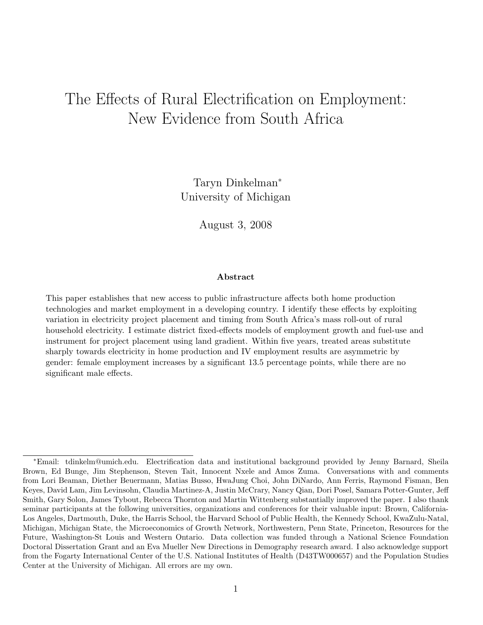# The Effects of Rural Electrification on Employment: New Evidence from South Africa

Taryn Dinkelman<sup>∗</sup> University of Michigan

August 3, 2008

#### Abstract

This paper establishes that new access to public infrastructure affects both home production technologies and market employment in a developing country. I identify these effects by exploiting variation in electricity project placement and timing from South Africa's mass roll-out of rural household electricity. I estimate district fixed-effects models of employment growth and fuel-use and instrument for project placement using land gradient. Within five years, treated areas substitute sharply towards electricity in home production and IV employment results are asymmetric by gender: female employment increases by a significant 13.5 percentage points, while there are no significant male effects.

<sup>∗</sup>Email: tdinkelm@umich.edu. Electrification data and institutional background provided by Jenny Barnard, Sheila Brown, Ed Bunge, Jim Stephenson, Steven Tait, Innocent Nxele and Amos Zuma. Conversations with and comments from Lori Beaman, Diether Beuermann, Matias Busso, HwaJung Choi, John DiNardo, Ann Ferris, Raymond Fisman, Ben Keyes, David Lam, Jim Levinsohn, Claudia Martinez-A, Justin McCrary, Nancy Qian, Dori Posel, Samara Potter-Gunter, Jeff Smith, Gary Solon, James Tybout, Rebecca Thornton and Martin Wittenberg substantially improved the paper. I also thank seminar participants at the following universities, organizations and conferences for their valuable input: Brown, California-Los Angeles, Dartmouth, Duke, the Harris School, the Harvard School of Public Health, the Kennedy School, KwaZulu-Natal, Michigan, Michigan State, the Microeconomics of Growth Network, Northwestern, Penn State, Princeton, Resources for the Future, Washington-St Louis and Western Ontario. Data collection was funded through a National Science Foundation Doctoral Dissertation Grant and an Eva Mueller New Directions in Demography research award. I also acknowledge support from the Fogarty International Center of the U.S. National Institutes of Health (D43TW000657) and the Population Studies Center at the University of Michigan. All errors are my own.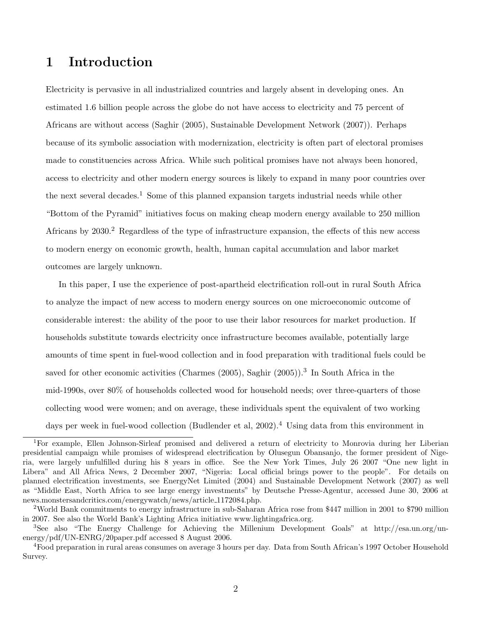# 1 Introduction

Electricity is pervasive in all industrialized countries and largely absent in developing ones. An estimated 1.6 billion people across the globe do not have access to electricity and 75 percent of Africans are without access (Saghir (2005), Sustainable Development Network (2007)). Perhaps because of its symbolic association with modernization, electricity is often part of electoral promises made to constituencies across Africa. While such political promises have not always been honored, access to electricity and other modern energy sources is likely to expand in many poor countries over the next several decades.<sup>1</sup> Some of this planned expansion targets industrial needs while other "Bottom of the Pyramid" initiatives focus on making cheap modern energy available to 250 million Africans by  $2030<sup>2</sup>$  Regardless of the type of infrastructure expansion, the effects of this new access to modern energy on economic growth, health, human capital accumulation and labor market outcomes are largely unknown.

In this paper, I use the experience of post-apartheid electrification roll-out in rural South Africa to analyze the impact of new access to modern energy sources on one microeconomic outcome of considerable interest: the ability of the poor to use their labor resources for market production. If households substitute towards electricity once infrastructure becomes available, potentially large amounts of time spent in fuel-wood collection and in food preparation with traditional fuels could be saved for other economic activities (Charmes (2005), Saghir (2005)).<sup>3</sup> In South Africa in the mid-1990s, over 80% of households collected wood for household needs; over three-quarters of those collecting wood were women; and on average, these individuals spent the equivalent of two working days per week in fuel-wood collection (Budlender et al, 2002).<sup>4</sup> Using data from this environment in

<sup>1</sup>For example, Ellen Johnson-Sirleaf promised and delivered a return of electricity to Monrovia during her Liberian presidential campaign while promises of widespread electrification by Olusegun Obansanjo, the former president of Nigeria, were largely unfulfilled during his 8 years in office. See the New York Times, July 26 2007 "One new light in Libera" and All Africa News, 2 December 2007, "Nigeria: Local official brings power to the people". For details on planned electrification investments, see EnergyNet Limited (2004) and Sustainable Development Network (2007) as well as "Middle East, North Africa to see large energy investments" by Deutsche Presse-Agentur, accessed June 30, 2006 at news.monstersandcritics.com/energywatch/news/article 1172084.php.

<sup>2</sup>World Bank commitments to energy infrastructure in sub-Saharan Africa rose from \$447 million in 2001 to \$790 million in 2007. See also the World Bank's Lighting Africa initiative www.lightingafrica.org.

<sup>3</sup>See also "The Energy Challenge for Achieving the Millenium Development Goals" at http://esa.un.org/unenergy/pdf/UN-ENRG/20paper.pdf accessed 8 August 2006.

<sup>4</sup>Food preparation in rural areas consumes on average 3 hours per day. Data from South African's 1997 October Household Survey.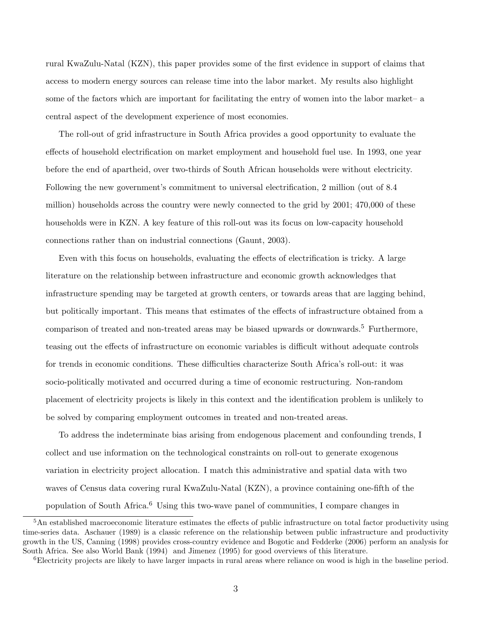rural KwaZulu-Natal (KZN), this paper provides some of the first evidence in support of claims that access to modern energy sources can release time into the labor market. My results also highlight some of the factors which are important for facilitating the entry of women into the labor market– a central aspect of the development experience of most economies.

The roll-out of grid infrastructure in South Africa provides a good opportunity to evaluate the effects of household electrification on market employment and household fuel use. In 1993, one year before the end of apartheid, over two-thirds of South African households were without electricity. Following the new government's commitment to universal electrification, 2 million (out of 8.4 million) households across the country were newly connected to the grid by 2001; 470,000 of these households were in KZN. A key feature of this roll-out was its focus on low-capacity household connections rather than on industrial connections (Gaunt, 2003).

Even with this focus on households, evaluating the effects of electrification is tricky. A large literature on the relationship between infrastructure and economic growth acknowledges that infrastructure spending may be targeted at growth centers, or towards areas that are lagging behind, but politically important. This means that estimates of the effects of infrastructure obtained from a comparison of treated and non-treated areas may be biased upwards or downwards.<sup>5</sup> Furthermore, teasing out the effects of infrastructure on economic variables is difficult without adequate controls for trends in economic conditions. These difficulties characterize South Africa's roll-out: it was socio-politically motivated and occurred during a time of economic restructuring. Non-random placement of electricity projects is likely in this context and the identification problem is unlikely to be solved by comparing employment outcomes in treated and non-treated areas.

To address the indeterminate bias arising from endogenous placement and confounding trends, I collect and use information on the technological constraints on roll-out to generate exogenous variation in electricity project allocation. I match this administrative and spatial data with two waves of Census data covering rural KwaZulu-Natal (KZN), a province containing one-fifth of the population of South Africa.<sup>6</sup> Using this two-wave panel of communities, I compare changes in

<sup>5</sup>An established macroeconomic literature estimates the effects of public infrastructure on total factor productivity using time-series data. Aschauer (1989) is a classic reference on the relationship between public infrastructure and productivity growth in the US, Canning (1998) provides cross-country evidence and Bogotic and Fedderke (2006) perform an analysis for South Africa. See also World Bank (1994) and Jimenez (1995) for good overviews of this literature.

<sup>&</sup>lt;sup>6</sup>Electricity projects are likely to have larger impacts in rural areas where reliance on wood is high in the baseline period.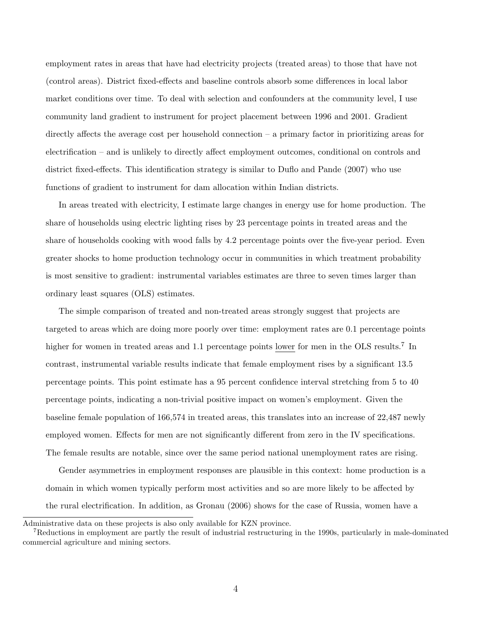employment rates in areas that have had electricity projects (treated areas) to those that have not (control areas). District fixed-effects and baseline controls absorb some differences in local labor market conditions over time. To deal with selection and confounders at the community level, I use community land gradient to instrument for project placement between 1996 and 2001. Gradient directly affects the average cost per household connection – a primary factor in prioritizing areas for electrification – and is unlikely to directly affect employment outcomes, conditional on controls and district fixed-effects. This identification strategy is similar to Duflo and Pande (2007) who use functions of gradient to instrument for dam allocation within Indian districts.

In areas treated with electricity, I estimate large changes in energy use for home production. The share of households using electric lighting rises by 23 percentage points in treated areas and the share of households cooking with wood falls by 4.2 percentage points over the five-year period. Even greater shocks to home production technology occur in communities in which treatment probability is most sensitive to gradient: instrumental variables estimates are three to seven times larger than ordinary least squares (OLS) estimates.

The simple comparison of treated and non-treated areas strongly suggest that projects are targeted to areas which are doing more poorly over time: employment rates are 0.1 percentage points higher for women in treated areas and 1.1 percentage points lower for men in the OLS results.<sup>7</sup> In contrast, instrumental variable results indicate that female employment rises by a significant 13.5 percentage points. This point estimate has a 95 percent confidence interval stretching from 5 to 40 percentage points, indicating a non-trivial positive impact on women's employment. Given the baseline female population of 166,574 in treated areas, this translates into an increase of 22,487 newly employed women. Effects for men are not significantly different from zero in the IV specifications. The female results are notable, since over the same period national unemployment rates are rising.

Gender asymmetries in employment responses are plausible in this context: home production is a domain in which women typically perform most activities and so are more likely to be affected by the rural electrification. In addition, as Gronau (2006) shows for the case of Russia, women have a

Administrative data on these projects is also only available for KZN province.

<sup>7</sup>Reductions in employment are partly the result of industrial restructuring in the 1990s, particularly in male-dominated commercial agriculture and mining sectors.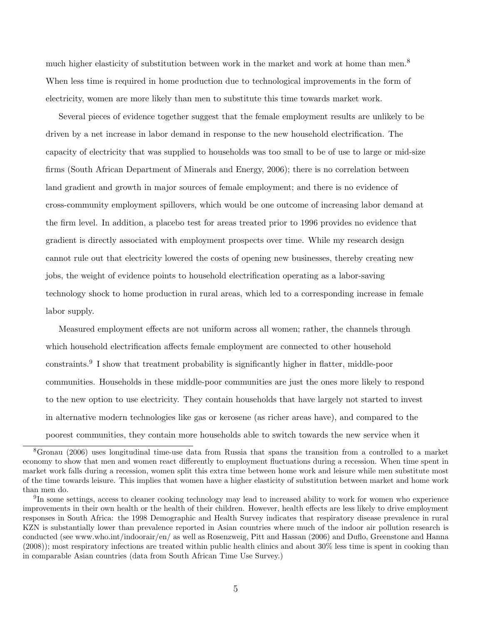much higher elasticity of substitution between work in the market and work at home than men.<sup>8</sup> When less time is required in home production due to technological improvements in the form of electricity, women are more likely than men to substitute this time towards market work.

Several pieces of evidence together suggest that the female employment results are unlikely to be driven by a net increase in labor demand in response to the new household electrification. The capacity of electricity that was supplied to households was too small to be of use to large or mid-size firms (South African Department of Minerals and Energy, 2006); there is no correlation between land gradient and growth in major sources of female employment; and there is no evidence of cross-community employment spillovers, which would be one outcome of increasing labor demand at the firm level. In addition, a placebo test for areas treated prior to 1996 provides no evidence that gradient is directly associated with employment prospects over time. While my research design cannot rule out that electricity lowered the costs of opening new businesses, thereby creating new jobs, the weight of evidence points to household electrification operating as a labor-saving technology shock to home production in rural areas, which led to a corresponding increase in female labor supply.

Measured employment effects are not uniform across all women; rather, the channels through which household electrification affects female employment are connected to other household constraints.<sup>9</sup> I show that treatment probability is significantly higher in flatter, middle-poor communities. Households in these middle-poor communities are just the ones more likely to respond to the new option to use electricity. They contain households that have largely not started to invest in alternative modern technologies like gas or kerosene (as richer areas have), and compared to the poorest communities, they contain more households able to switch towards the new service when it

<sup>8</sup>Gronau (2006) uses longitudinal time-use data from Russia that spans the transition from a controlled to a market economy to show that men and women react differently to employment fluctuations during a recession. When time spent in market work falls during a recession, women split this extra time between home work and leisure while men substitute most of the time towards leisure. This implies that women have a higher elasticity of substitution between market and home work than men do.

<sup>&</sup>lt;sup>9</sup>In some settings, access to cleaner cooking technology may lead to increased ability to work for women who experience improvements in their own health or the health of their children. However, health effects are less likely to drive employment responses in South Africa: the 1998 Demographic and Health Survey indicates that respiratory disease prevalence in rural KZN is substantially lower than prevalence reported in Asian countries where much of the indoor air pollution research is conducted (see www.who.int/indoorair/en/ as well as Rosenzweig, Pitt and Hassan (2006) and Duflo, Greenstone and Hanna (2008)); most respiratory infections are treated within public health clinics and about 30% less time is spent in cooking than in comparable Asian countries (data from South African Time Use Survey.)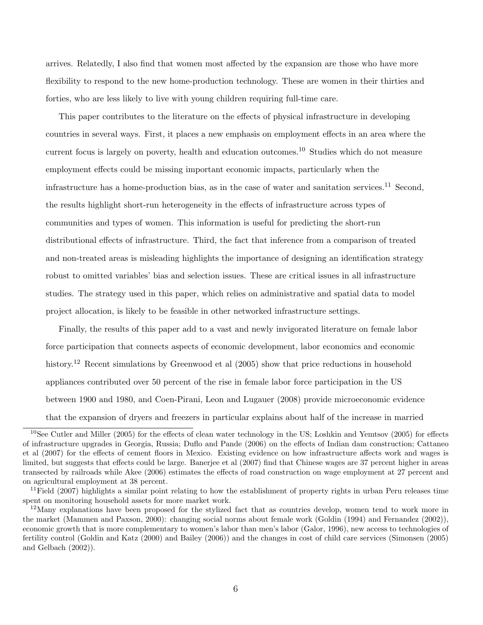arrives. Relatedly, I also find that women most affected by the expansion are those who have more flexibility to respond to the new home-production technology. These are women in their thirties and forties, who are less likely to live with young children requiring full-time care.

This paper contributes to the literature on the effects of physical infrastructure in developing countries in several ways. First, it places a new emphasis on employment effects in an area where the current focus is largely on poverty, health and education outcomes.<sup>10</sup> Studies which do not measure employment effects could be missing important economic impacts, particularly when the infrastructure has a home-production bias, as in the case of water and sanitation services.<sup>11</sup> Second, the results highlight short-run heterogeneity in the effects of infrastructure across types of communities and types of women. This information is useful for predicting the short-run distributional effects of infrastructure. Third, the fact that inference from a comparison of treated and non-treated areas is misleading highlights the importance of designing an identification strategy robust to omitted variables' bias and selection issues. These are critical issues in all infrastructure studies. The strategy used in this paper, which relies on administrative and spatial data to model project allocation, is likely to be feasible in other networked infrastructure settings.

Finally, the results of this paper add to a vast and newly invigorated literature on female labor force participation that connects aspects of economic development, labor economics and economic history.<sup>12</sup> Recent simulations by Greenwood et al (2005) show that price reductions in household appliances contributed over 50 percent of the rise in female labor force participation in the US between 1900 and 1980, and Coen-Pirani, Leon and Lugauer (2008) provide microeconomic evidence that the expansion of dryers and freezers in particular explains about half of the increase in married

<sup>10</sup>See Cutler and Miller (2005) for the effects of clean water technology in the US; Loshkin and Yemtsov (2005) for effects of infrastructure upgrades in Georgia, Russia; Duflo and Pande (2006) on the effects of Indian dam construction; Cattaneo et al (2007) for the effects of cement floors in Mexico. Existing evidence on how infrastructure affects work and wages is limited, but suggests that effects could be large. Banerjee et al (2007) find that Chinese wages are 37 percent higher in areas transected by railroads while Akee (2006) estimates the effects of road construction on wage employment at 27 percent and on agricultural employment at 38 percent.

 $11$ Field (2007) highlights a similar point relating to how the establishment of property rights in urban Peru releases time spent on monitoring household assets for more market work.

 $12$ Many explanations have been proposed for the stylized fact that as countries develop, women tend to work more in the market (Mammen and Paxson, 2000): changing social norms about female work (Goldin (1994) and Fernandez (2002)), economic growth that is more complementary to women's labor than men's labor (Galor, 1996), new access to technologies of fertility control (Goldin and Katz (2000) and Bailey (2006)) and the changes in cost of child care services (Simonsen (2005) and Gelbach (2002)).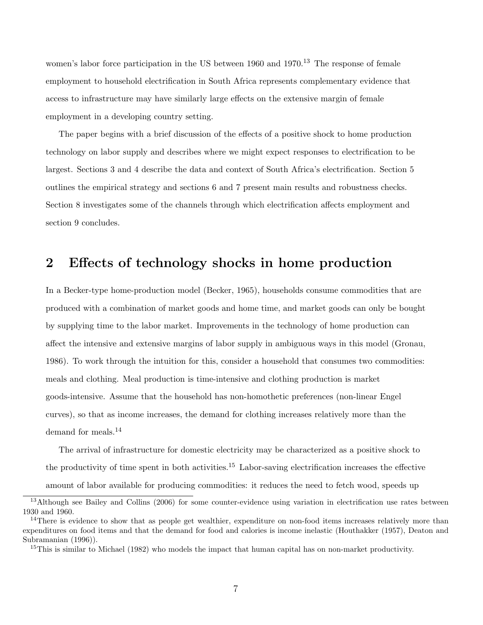women's labor force participation in the US between  $1960$  and  $1970<sup>13</sup>$  The response of female employment to household electrification in South Africa represents complementary evidence that access to infrastructure may have similarly large effects on the extensive margin of female employment in a developing country setting.

The paper begins with a brief discussion of the effects of a positive shock to home production technology on labor supply and describes where we might expect responses to electrification to be largest. Sections 3 and 4 describe the data and context of South Africa's electrification. Section 5 outlines the empirical strategy and sections 6 and 7 present main results and robustness checks. Section 8 investigates some of the channels through which electrification affects employment and section 9 concludes.

### 2 Effects of technology shocks in home production

In a Becker-type home-production model (Becker, 1965), households consume commodities that are produced with a combination of market goods and home time, and market goods can only be bought by supplying time to the labor market. Improvements in the technology of home production can affect the intensive and extensive margins of labor supply in ambiguous ways in this model (Gronau, 1986). To work through the intuition for this, consider a household that consumes two commodities: meals and clothing. Meal production is time-intensive and clothing production is market goods-intensive. Assume that the household has non-homothetic preferences (non-linear Engel curves), so that as income increases, the demand for clothing increases relatively more than the demand for meals.<sup>14</sup>

The arrival of infrastructure for domestic electricity may be characterized as a positive shock to the productivity of time spent in both activities.<sup>15</sup> Labor-saving electrification increases the effective amount of labor available for producing commodities: it reduces the need to fetch wood, speeds up

<sup>&</sup>lt;sup>13</sup>Although see Bailey and Collins (2006) for some counter-evidence using variation in electrification use rates between 1930 and 1960.

<sup>&</sup>lt;sup>14</sup>There is evidence to show that as people get wealthier, expenditure on non-food items increases relatively more than expenditures on food items and that the demand for food and calories is income inelastic (Houthakker (1957), Deaton and Subramanian (1996)).

<sup>&</sup>lt;sup>15</sup>This is similar to Michael (1982) who models the impact that human capital has on non-market productivity.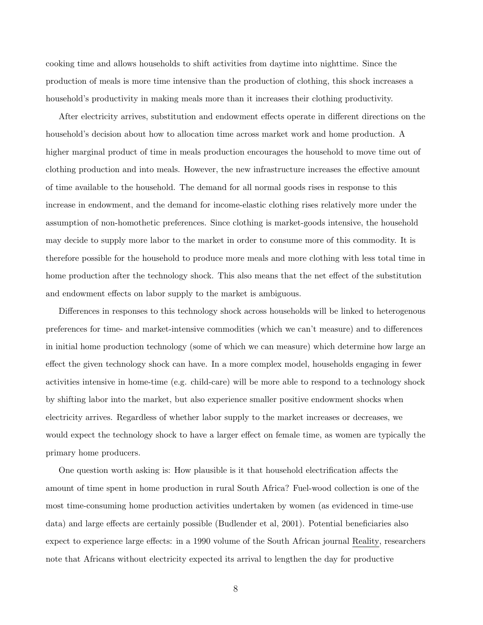cooking time and allows households to shift activities from daytime into nighttime. Since the production of meals is more time intensive than the production of clothing, this shock increases a household's productivity in making meals more than it increases their clothing productivity.

After electricity arrives, substitution and endowment effects operate in different directions on the household's decision about how to allocation time across market work and home production. A higher marginal product of time in meals production encourages the household to move time out of clothing production and into meals. However, the new infrastructure increases the effective amount of time available to the household. The demand for all normal goods rises in response to this increase in endowment, and the demand for income-elastic clothing rises relatively more under the assumption of non-homothetic preferences. Since clothing is market-goods intensive, the household may decide to supply more labor to the market in order to consume more of this commodity. It is therefore possible for the household to produce more meals and more clothing with less total time in home production after the technology shock. This also means that the net effect of the substitution and endowment effects on labor supply to the market is ambiguous.

Differences in responses to this technology shock across households will be linked to heterogenous preferences for time- and market-intensive commodities (which we can't measure) and to differences in initial home production technology (some of which we can measure) which determine how large an effect the given technology shock can have. In a more complex model, households engaging in fewer activities intensive in home-time (e.g. child-care) will be more able to respond to a technology shock by shifting labor into the market, but also experience smaller positive endowment shocks when electricity arrives. Regardless of whether labor supply to the market increases or decreases, we would expect the technology shock to have a larger effect on female time, as women are typically the primary home producers.

One question worth asking is: How plausible is it that household electrification affects the amount of time spent in home production in rural South Africa? Fuel-wood collection is one of the most time-consuming home production activities undertaken by women (as evidenced in time-use data) and large effects are certainly possible (Budlender et al, 2001). Potential beneficiaries also expect to experience large effects: in a 1990 volume of the South African journal Reality, researchers note that Africans without electricity expected its arrival to lengthen the day for productive

8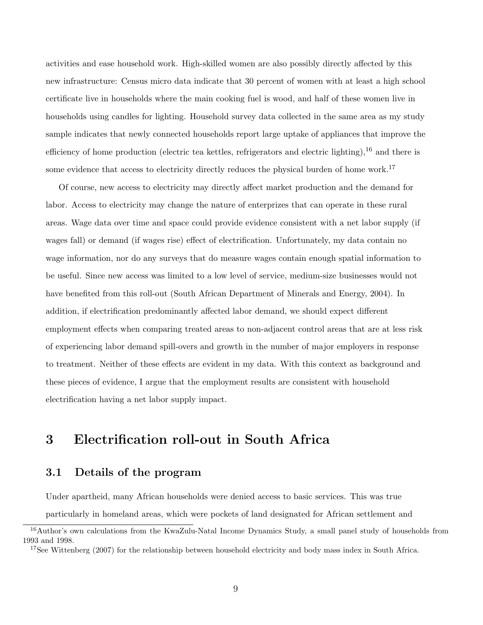activities and ease household work. High-skilled women are also possibly directly affected by this new infrastructure: Census micro data indicate that 30 percent of women with at least a high school certificate live in households where the main cooking fuel is wood, and half of these women live in households using candles for lighting. Household survey data collected in the same area as my study sample indicates that newly connected households report large uptake of appliances that improve the efficiency of home production (electric tea kettles, refrigerators and electric lighting),  $^{16}$  and there is some evidence that access to electricity directly reduces the physical burden of home work.<sup>17</sup>

Of course, new access to electricity may directly affect market production and the demand for labor. Access to electricity may change the nature of enterprizes that can operate in these rural areas. Wage data over time and space could provide evidence consistent with a net labor supply (if wages fall) or demand (if wages rise) effect of electrification. Unfortunately, my data contain no wage information, nor do any surveys that do measure wages contain enough spatial information to be useful. Since new access was limited to a low level of service, medium-size businesses would not have benefited from this roll-out (South African Department of Minerals and Energy, 2004). In addition, if electrification predominantly affected labor demand, we should expect different employment effects when comparing treated areas to non-adjacent control areas that are at less risk of experiencing labor demand spill-overs and growth in the number of major employers in response to treatment. Neither of these effects are evident in my data. With this context as background and these pieces of evidence, I argue that the employment results are consistent with household electrification having a net labor supply impact.

# 3 Electrification roll-out in South Africa

### 3.1 Details of the program

Under apartheid, many African households were denied access to basic services. This was true particularly in homeland areas, which were pockets of land designated for African settlement and

<sup>&</sup>lt;sup>16</sup>Author's own calculations from the KwaZulu-Natal Income Dynamics Study, a small panel study of households from 1993 and 1998.

<sup>&</sup>lt;sup>17</sup>See Wittenberg (2007) for the relationship between household electricity and body mass index in South Africa.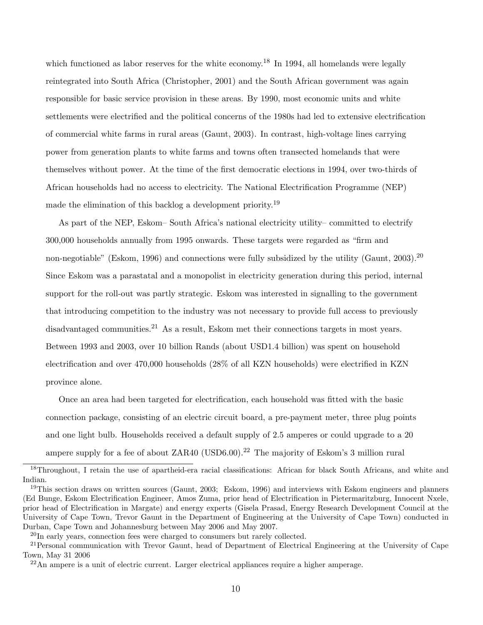which functioned as labor reserves for the white economy.<sup>18</sup> In 1994, all homelands were legally reintegrated into South Africa (Christopher, 2001) and the South African government was again responsible for basic service provision in these areas. By 1990, most economic units and white settlements were electrified and the political concerns of the 1980s had led to extensive electrification of commercial white farms in rural areas (Gaunt, 2003). In contrast, high-voltage lines carrying power from generation plants to white farms and towns often transected homelands that were themselves without power. At the time of the first democratic elections in 1994, over two-thirds of African households had no access to electricity. The National Electrification Programme (NEP) made the elimination of this backlog a development priority.<sup>19</sup>

As part of the NEP, Eskom– South Africa's national electricity utility– committed to electrify 300,000 households annually from 1995 onwards. These targets were regarded as "firm and non-negotiable" (Eskom, 1996) and connections were fully subsidized by the utility (Gaunt, 2003).<sup>20</sup> Since Eskom was a parastatal and a monopolist in electricity generation during this period, internal support for the roll-out was partly strategic. Eskom was interested in signalling to the government that introducing competition to the industry was not necessary to provide full access to previously disadvantaged communities.<sup>21</sup> As a result, Eskom met their connections targets in most years. Between 1993 and 2003, over 10 billion Rands (about USD1.4 billion) was spent on household electrification and over 470,000 households (28% of all KZN households) were electrified in KZN province alone.

Once an area had been targeted for electrification, each household was fitted with the basic connection package, consisting of an electric circuit board, a pre-payment meter, three plug points and one light bulb. Households received a default supply of 2.5 amperes or could upgrade to a 20 ampere supply for a fee of about  $ZAR40$  (USD6.00).<sup>22</sup> The majority of Eskom's 3 million rural

<sup>&</sup>lt;sup>18</sup>Throughout, I retain the use of apartheid-era racial classifications: African for black South Africans, and white and Indian.

<sup>&</sup>lt;sup>19</sup>This section draws on written sources (Gaunt, 2003; Eskom, 1996) and interviews with Eskom engineers and planners (Ed Bunge, Eskom Electrification Engineer, Amos Zuma, prior head of Electrification in Pietermaritzburg, Innocent Nxele, prior head of Electrification in Margate) and energy experts (Gisela Prasad, Energy Research Development Council at the University of Cape Town, Trevor Gaunt in the Department of Engineering at the University of Cape Town) conducted in Durban, Cape Town and Johannesburg between May 2006 and May 2007.

 $^{20}$ In early years, connection fees were charged to consumers but rarely collected.

 $^{21}$ Personal communication with Trevor Gaunt, head of Department of Electrical Engineering at the University of Cape Town, May 31 2006

 $^{22}$ An ampere is a unit of electric current. Larger electrical appliances require a higher amperage.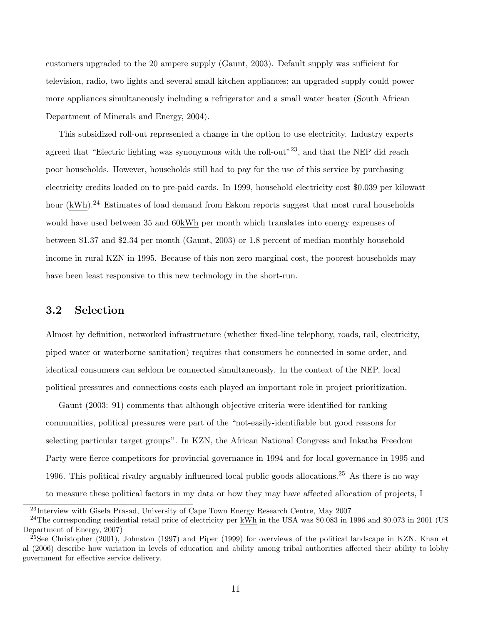customers upgraded to the 20 ampere supply (Gaunt, 2003). Default supply was sufficient for television, radio, two lights and several small kitchen appliances; an upgraded supply could power more appliances simultaneously including a refrigerator and a small water heater (South African Department of Minerals and Energy, 2004).

This subsidized roll-out represented a change in the option to use electricity. Industry experts agreed that "Electric lighting was synonymous with the roll-out"<sup>23</sup>, and that the NEP did reach poor households. However, households still had to pay for the use of this service by purchasing electricity credits loaded on to pre-paid cards. In 1999, household electricity cost \$0.039 per kilowatt hour  $(kWh)$ .<sup>24</sup> Estimates of load demand from Eskom reports suggest that most rural households would have used between 35 and 60kWh per month which translates into energy expenses of between \$1.37 and \$2.34 per month (Gaunt, 2003) or 1.8 percent of median monthly household income in rural KZN in 1995. Because of this non-zero marginal cost, the poorest households may have been least responsive to this new technology in the short-run.

#### 3.2 Selection

Almost by definition, networked infrastructure (whether fixed-line telephony, roads, rail, electricity, piped water or waterborne sanitation) requires that consumers be connected in some order, and identical consumers can seldom be connected simultaneously. In the context of the NEP, local political pressures and connections costs each played an important role in project prioritization.

Gaunt (2003: 91) comments that although objective criteria were identified for ranking communities, political pressures were part of the "not-easily-identifiable but good reasons for selecting particular target groups". In KZN, the African National Congress and Inkatha Freedom Party were fierce competitors for provincial governance in 1994 and for local governance in 1995 and 1996. This political rivalry arguably influenced local public goods allocations.<sup>25</sup> As there is no way to measure these political factors in my data or how they may have affected allocation of projects, I

<sup>&</sup>lt;sup>23</sup>Interview with Gisela Prasad, University of Cape Town Energy Research Centre, May 2007

 $^{24}$ The corresponding residential retail price of electricity per kWh in the USA was \$0.083 in 1996 and \$0.073 in 2001 (US Department of Energy, 2007)

<sup>&</sup>lt;sup>25</sup>See Christopher (2001), Johnston (1997) and Piper (1999) for overviews of the political landscape in KZN. Khan et al (2006) describe how variation in levels of education and ability among tribal authorities affected their ability to lobby government for effective service delivery.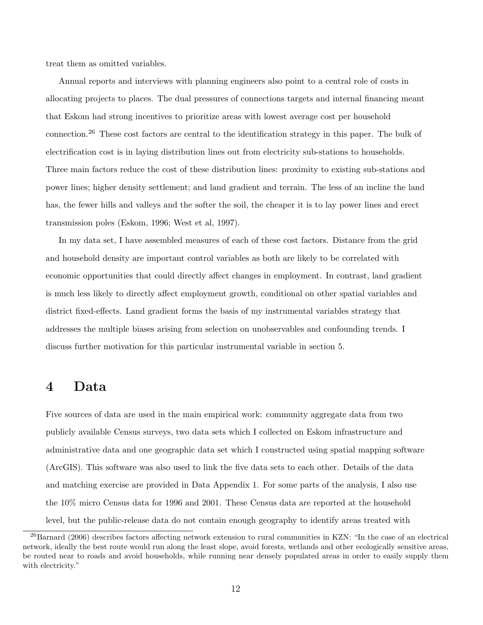treat them as omitted variables.

Annual reports and interviews with planning engineers also point to a central role of costs in allocating projects to places. The dual pressures of connections targets and internal financing meant that Eskom had strong incentives to prioritize areas with lowest average cost per household connection.<sup>26</sup> These cost factors are central to the identification strategy in this paper. The bulk of electrification cost is in laying distribution lines out from electricity sub-stations to households. Three main factors reduce the cost of these distribution lines: proximity to existing sub-stations and power lines; higher density settlement; and land gradient and terrain. The less of an incline the land has, the fewer hills and valleys and the softer the soil, the cheaper it is to lay power lines and erect transmission poles (Eskom, 1996; West et al, 1997).

In my data set, I have assembled measures of each of these cost factors. Distance from the grid and household density are important control variables as both are likely to be correlated with economic opportunities that could directly affect changes in employment. In contrast, land gradient is much less likely to directly affect employment growth, conditional on other spatial variables and district fixed-effects. Land gradient forms the basis of my instrumental variables strategy that addresses the multiple biases arising from selection on unobservables and confounding trends. I discuss further motivation for this particular instrumental variable in section 5.

### 4 Data

Five sources of data are used in the main empirical work: community aggregate data from two publicly available Census surveys, two data sets which I collected on Eskom infrastructure and administrative data and one geographic data set which I constructed using spatial mapping software (ArcGIS). This software was also used to link the five data sets to each other. Details of the data and matching exercise are provided in Data Appendix 1. For some parts of the analysis, I also use the 10% micro Census data for 1996 and 2001. These Census data are reported at the household level, but the public-release data do not contain enough geography to identify areas treated with

<sup>26</sup>Barnard (2006) describes factors affecting network extension to rural communities in KZN: "In the case of an electrical network, ideally the best route would run along the least slope, avoid forests, wetlands and other ecologically sensitive areas, be routed near to roads and avoid households, while running near densely populated areas in order to easily supply them with electricity."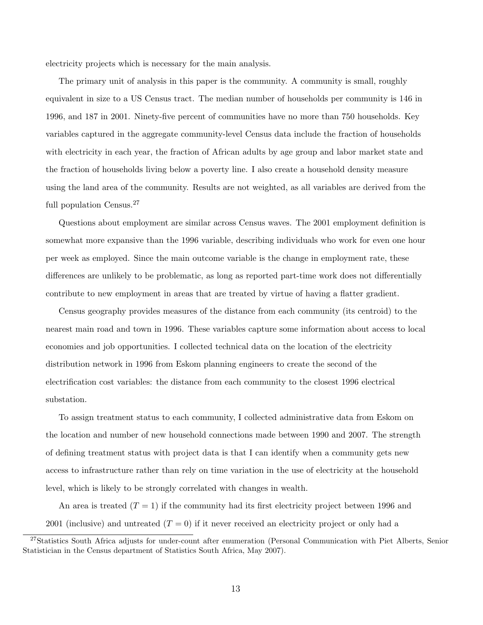electricity projects which is necessary for the main analysis.

The primary unit of analysis in this paper is the community. A community is small, roughly equivalent in size to a US Census tract. The median number of households per community is 146 in 1996, and 187 in 2001. Ninety-five percent of communities have no more than 750 households. Key variables captured in the aggregate community-level Census data include the fraction of households with electricity in each year, the fraction of African adults by age group and labor market state and the fraction of households living below a poverty line. I also create a household density measure using the land area of the community. Results are not weighted, as all variables are derived from the full population Census.<sup>27</sup>

Questions about employment are similar across Census waves. The 2001 employment definition is somewhat more expansive than the 1996 variable, describing individuals who work for even one hour per week as employed. Since the main outcome variable is the change in employment rate, these differences are unlikely to be problematic, as long as reported part-time work does not differentially contribute to new employment in areas that are treated by virtue of having a flatter gradient.

Census geography provides measures of the distance from each community (its centroid) to the nearest main road and town in 1996. These variables capture some information about access to local economies and job opportunities. I collected technical data on the location of the electricity distribution network in 1996 from Eskom planning engineers to create the second of the electrification cost variables: the distance from each community to the closest 1996 electrical substation.

To assign treatment status to each community, I collected administrative data from Eskom on the location and number of new household connections made between 1990 and 2007. The strength of defining treatment status with project data is that I can identify when a community gets new access to infrastructure rather than rely on time variation in the use of electricity at the household level, which is likely to be strongly correlated with changes in wealth.

An area is treated  $(T = 1)$  if the community had its first electricity project between 1996 and 2001 (inclusive) and untreated  $(T = 0)$  if it never received an electricity project or only had a

<sup>&</sup>lt;sup>27</sup>Statistics South Africa adjusts for under-count after enumeration (Personal Communication with Piet Alberts, Senior Statistician in the Census department of Statistics South Africa, May 2007).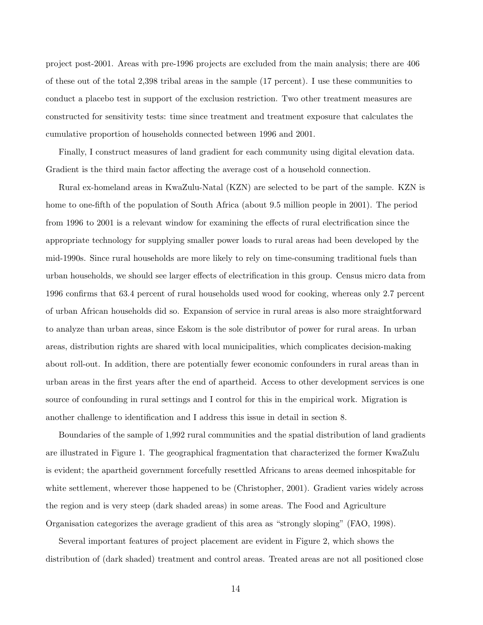project post-2001. Areas with pre-1996 projects are excluded from the main analysis; there are 406 of these out of the total 2,398 tribal areas in the sample (17 percent). I use these communities to conduct a placebo test in support of the exclusion restriction. Two other treatment measures are constructed for sensitivity tests: time since treatment and treatment exposure that calculates the cumulative proportion of households connected between 1996 and 2001.

Finally, I construct measures of land gradient for each community using digital elevation data. Gradient is the third main factor affecting the average cost of a household connection.

Rural ex-homeland areas in KwaZulu-Natal (KZN) are selected to be part of the sample. KZN is home to one-fifth of the population of South Africa (about 9.5 million people in 2001). The period from 1996 to 2001 is a relevant window for examining the effects of rural electrification since the appropriate technology for supplying smaller power loads to rural areas had been developed by the mid-1990s. Since rural households are more likely to rely on time-consuming traditional fuels than urban households, we should see larger effects of electrification in this group. Census micro data from 1996 confirms that 63.4 percent of rural households used wood for cooking, whereas only 2.7 percent of urban African households did so. Expansion of service in rural areas is also more straightforward to analyze than urban areas, since Eskom is the sole distributor of power for rural areas. In urban areas, distribution rights are shared with local municipalities, which complicates decision-making about roll-out. In addition, there are potentially fewer economic confounders in rural areas than in urban areas in the first years after the end of apartheid. Access to other development services is one source of confounding in rural settings and I control for this in the empirical work. Migration is another challenge to identification and I address this issue in detail in section 8.

Boundaries of the sample of 1,992 rural communities and the spatial distribution of land gradients are illustrated in Figure 1. The geographical fragmentation that characterized the former KwaZulu is evident; the apartheid government forcefully resettled Africans to areas deemed inhospitable for white settlement, wherever those happened to be (Christopher, 2001). Gradient varies widely across the region and is very steep (dark shaded areas) in some areas. The Food and Agriculture Organisation categorizes the average gradient of this area as "strongly sloping" (FAO, 1998).

Several important features of project placement are evident in Figure 2, which shows the distribution of (dark shaded) treatment and control areas. Treated areas are not all positioned close

14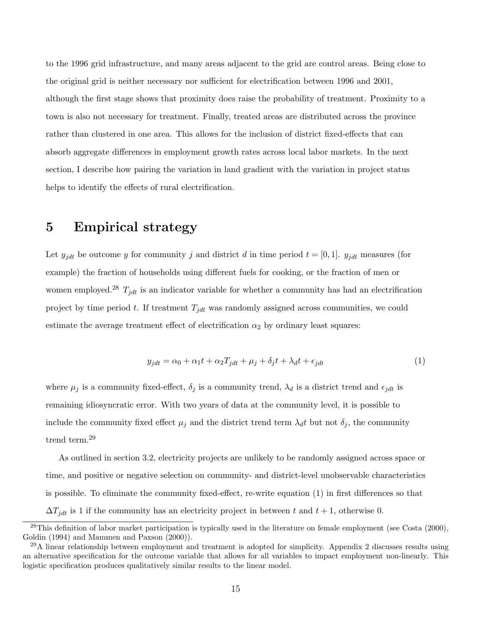to the 1996 grid infrastructure, and many areas adjacent to the grid are control areas. Being close to the original grid is neither necessary nor sufficient for electrification between 1996 and 2001, although the first stage shows that proximity does raise the probability of treatment. Proximity to a town is also not necessary for treatment. Finally, treated areas are distributed across the province rather than clustered in one area. This allows for the inclusion of district fixed-effects that can absorb aggregate differences in employment growth rates across local labor markets. In the next section, I describe how pairing the variation in land gradient with the variation in project status helps to identify the effects of rural electrification.

# 5 Empirical strategy

Let  $y_{jdt}$  be outcome y for community j and district d in time period  $t = [0, 1]$ .  $y_{jdt}$  measures (for example) the fraction of households using different fuels for cooking, or the fraction of men or women employed.<sup>28</sup>  $T_{jdt}$  is an indicator variable for whether a community has had an electrification project by time period t. If treatment  $T_{jdt}$  was randomly assigned across communities, we could estimate the average treatment effect of electrification  $\alpha_2$  by ordinary least squares:

$$
y_{jdt} = \alpha_0 + \alpha_1 t + \alpha_2 T_{jdt} + \mu_j + \delta_j t + \lambda_d t + \epsilon_{jdt}
$$
\n<sup>(1)</sup>

where  $\mu_j$  is a community fixed-effect,  $\delta_j$  is a community trend,  $\lambda_d$  is a district trend and  $\epsilon_{jdt}$  is remaining idiosyncratic error. With two years of data at the community level, it is possible to include the community fixed effect  $\mu_j$  and the district trend term  $\lambda_d t$  but not  $\delta_j$ , the community trend term.<sup>29</sup>

As outlined in section 3.2, electricity projects are unlikely to be randomly assigned across space or time, and positive or negative selection on community- and district-level unobservable characteristics is possible. To eliminate the community fixed-effect, re-write equation (1) in first differences so that  $\Delta T_{jdt}$  is 1 if the community has an electricity project in between t and  $t + 1$ , otherwise 0.

 $^{28}$ This definition of labor market participation is typically used in the literature on female employment (see Costa  $(2000)$ , Goldin (1994) and Mammen and Paxson (2000)).

 $^{29}$ A linear relationship between employment and treatment is adopted for simplicity. Appendix 2 discusses results using an alternative specification for the outcome variable that allows for all variables to impact employment non-linearly. This logistic specification produces qualitatively similar results to the linear model.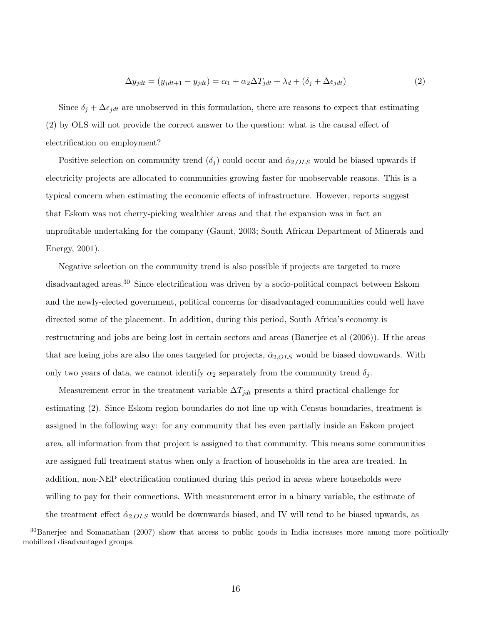$$
\Delta y_{jdt} = (y_{jdt+1} - y_{jdt}) = \alpha_1 + \alpha_2 \Delta T_{jdt} + \lambda_d + (\delta_j + \Delta \epsilon_{jdt})
$$
\n(2)

Since  $\delta_j + \Delta \epsilon_{jdt}$  are unobserved in this formulation, there are reasons to expect that estimating (2) by OLS will not provide the correct answer to the question: what is the causal effect of electrification on employment?

Positive selection on community trend  $(\delta_i)$  could occur and  $\hat{\alpha}_{2,OLS}$  would be biased upwards if electricity projects are allocated to communities growing faster for unobservable reasons. This is a typical concern when estimating the economic effects of infrastructure. However, reports suggest that Eskom was not cherry-picking wealthier areas and that the expansion was in fact an unprofitable undertaking for the company (Gaunt, 2003; South African Department of Minerals and Energy, 2001).

Negative selection on the community trend is also possible if projects are targeted to more disadvantaged areas.<sup>30</sup> Since electrification was driven by a socio-political compact between Eskom and the newly-elected government, political concerns for disadvantaged communities could well have directed some of the placement. In addition, during this period, South Africa's economy is restructuring and jobs are being lost in certain sectors and areas (Banerjee et al (2006)). If the areas that are losing jobs are also the ones targeted for projects,  $\hat{\alpha}_{2,OLS}$  would be biased downwards. With only two years of data, we cannot identify  $\alpha_2$  separately from the community trend  $\delta_j$ .

Measurement error in the treatment variable  $\Delta T_{jdt}$  presents a third practical challenge for estimating (2). Since Eskom region boundaries do not line up with Census boundaries, treatment is assigned in the following way: for any community that lies even partially inside an Eskom project area, all information from that project is assigned to that community. This means some communities are assigned full treatment status when only a fraction of households in the area are treated. In addition, non-NEP electrification continued during this period in areas where households were willing to pay for their connections. With measurement error in a binary variable, the estimate of the treatment effect  $\hat{\alpha}_{2,OLS}$  would be downwards biased, and IV will tend to be biased upwards, as

<sup>&</sup>lt;sup>30</sup>Banerjee and Somanathan (2007) show that access to public goods in India increases more among more politically mobilized disadvantaged groups.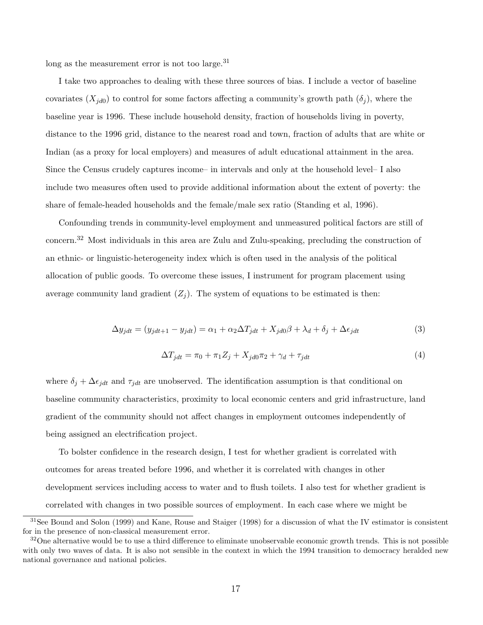long as the measurement error is not too large. $^{31}$ 

I take two approaches to dealing with these three sources of bias. I include a vector of baseline covariates  $(X_{jd0})$  to control for some factors affecting a community's growth path  $(\delta_j)$ , where the baseline year is 1996. These include household density, fraction of households living in poverty, distance to the 1996 grid, distance to the nearest road and town, fraction of adults that are white or Indian (as a proxy for local employers) and measures of adult educational attainment in the area. Since the Census crudely captures income– in intervals and only at the household level– I also include two measures often used to provide additional information about the extent of poverty: the share of female-headed households and the female/male sex ratio (Standing et al, 1996).

Confounding trends in community-level employment and unmeasured political factors are still of concern.<sup>32</sup> Most individuals in this area are Zulu and Zulu-speaking, precluding the construction of an ethnic- or linguistic-heterogeneity index which is often used in the analysis of the political allocation of public goods. To overcome these issues, I instrument for program placement using average community land gradient  $(Z<sub>j</sub>)$ . The system of equations to be estimated is then:

$$
\Delta y_{jdt} = (y_{jdt+1} - y_{jdt}) = \alpha_1 + \alpha_2 \Delta T_{jdt} + X_{jd0}\beta + \lambda_d + \delta_j + \Delta \epsilon_{jdt}
$$
\n(3)

$$
\Delta T_{jdt} = \pi_0 + \pi_1 Z_j + X_{jd0}\pi_2 + \gamma_d + \tau_{jdt} \tag{4}
$$

where  $\delta_j + \Delta \epsilon_{jdt}$  and  $\tau_{jdt}$  are unobserved. The identification assumption is that conditional on baseline community characteristics, proximity to local economic centers and grid infrastructure, land gradient of the community should not affect changes in employment outcomes independently of being assigned an electrification project.

To bolster confidence in the research design, I test for whether gradient is correlated with outcomes for areas treated before 1996, and whether it is correlated with changes in other development services including access to water and to flush toilets. I also test for whether gradient is correlated with changes in two possible sources of employment. In each case where we might be

 $31$ See Bound and Solon (1999) and Kane, Rouse and Staiger (1998) for a discussion of what the IV estimator is consistent for in the presence of non-classical measurement error.

 $32$ One alternative would be to use a third difference to eliminate unobservable economic growth trends. This is not possible with only two waves of data. It is also not sensible in the context in which the 1994 transition to democracy heralded new national governance and national policies.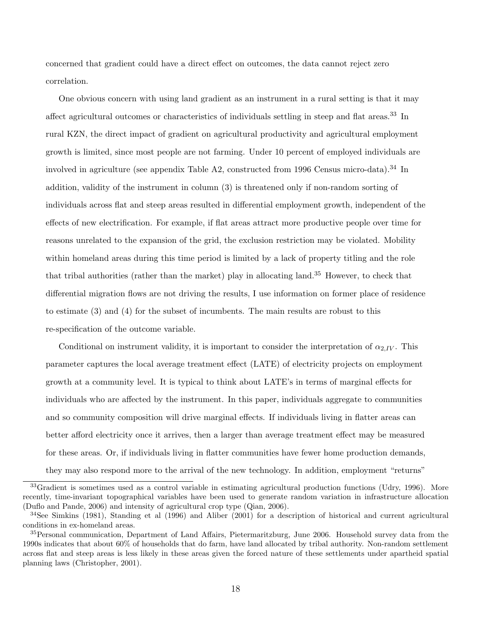concerned that gradient could have a direct effect on outcomes, the data cannot reject zero correlation.

One obvious concern with using land gradient as an instrument in a rural setting is that it may affect agricultural outcomes or characteristics of individuals settling in steep and flat areas.<sup>33</sup> In rural KZN, the direct impact of gradient on agricultural productivity and agricultural employment growth is limited, since most people are not farming. Under 10 percent of employed individuals are involved in agriculture (see appendix Table A2, constructed from 1996 Census micro-data).<sup>34</sup> In addition, validity of the instrument in column (3) is threatened only if non-random sorting of individuals across flat and steep areas resulted in differential employment growth, independent of the effects of new electrification. For example, if flat areas attract more productive people over time for reasons unrelated to the expansion of the grid, the exclusion restriction may be violated. Mobility within homeland areas during this time period is limited by a lack of property titling and the role that tribal authorities (rather than the market) play in allocating land.<sup>35</sup> However, to check that differential migration flows are not driving the results, I use information on former place of residence to estimate (3) and (4) for the subset of incumbents. The main results are robust to this re-specification of the outcome variable.

Conditional on instrument validity, it is important to consider the interpretation of  $\alpha_{2,IV}$ . This parameter captures the local average treatment effect (LATE) of electricity projects on employment growth at a community level. It is typical to think about LATE's in terms of marginal effects for individuals who are affected by the instrument. In this paper, individuals aggregate to communities and so community composition will drive marginal effects. If individuals living in flatter areas can better afford electricity once it arrives, then a larger than average treatment effect may be measured for these areas. Or, if individuals living in flatter communities have fewer home production demands,

they may also respond more to the arrival of the new technology. In addition, employment "returns"

<sup>&</sup>lt;sup>33</sup>Gradient is sometimes used as a control variable in estimating agricultural production functions (Udry, 1996). More recently, time-invariant topographical variables have been used to generate random variation in infrastructure allocation (Duflo and Pande, 2006) and intensity of agricultural crop type (Qian, 2006).

 $34$ See Simkins (1981), Standing et al (1996) and Aliber (2001) for a description of historical and current agricultural conditions in ex-homeland areas.

<sup>&</sup>lt;sup>35</sup>Personal communication, Department of Land Affairs, Pietermaritzburg, June 2006. Household survey data from the 1990s indicates that about 60% of households that do farm, have land allocated by tribal authority. Non-random settlement across flat and steep areas is less likely in these areas given the forced nature of these settlements under apartheid spatial planning laws (Christopher, 2001).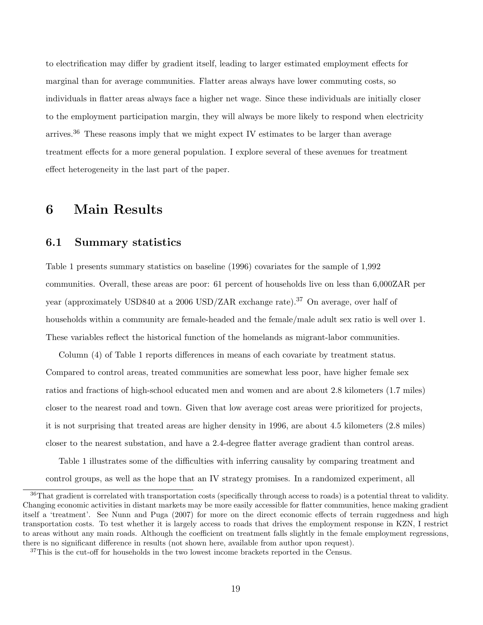to electrification may differ by gradient itself, leading to larger estimated employment effects for marginal than for average communities. Flatter areas always have lower commuting costs, so individuals in flatter areas always face a higher net wage. Since these individuals are initially closer to the employment participation margin, they will always be more likely to respond when electricity arrives.<sup>36</sup> These reasons imply that we might expect IV estimates to be larger than average treatment effects for a more general population. I explore several of these avenues for treatment effect heterogeneity in the last part of the paper.

### 6 Main Results

### 6.1 Summary statistics

Table 1 presents summary statistics on baseline (1996) covariates for the sample of 1,992 communities. Overall, these areas are poor: 61 percent of households live on less than 6,000ZAR per year (approximately USD840 at a 2006 USD/ZAR exchange rate).<sup>37</sup> On average, over half of households within a community are female-headed and the female/male adult sex ratio is well over 1. These variables reflect the historical function of the homelands as migrant-labor communities.

Column (4) of Table 1 reports differences in means of each covariate by treatment status. Compared to control areas, treated communities are somewhat less poor, have higher female sex ratios and fractions of high-school educated men and women and are about 2.8 kilometers (1.7 miles) closer to the nearest road and town. Given that low average cost areas were prioritized for projects, it is not surprising that treated areas are higher density in 1996, are about 4.5 kilometers (2.8 miles) closer to the nearest substation, and have a 2.4-degree flatter average gradient than control areas.

Table 1 illustrates some of the difficulties with inferring causality by comparing treatment and control groups, as well as the hope that an IV strategy promises. In a randomized experiment, all

<sup>&</sup>lt;sup>36</sup>That gradient is correlated with transportation costs (specifically through access to roads) is a potential threat to validity. Changing economic activities in distant markets may be more easily accessible for flatter communities, hence making gradient itself a 'treatment'. See Nunn and Puga (2007) for more on the direct economic effects of terrain ruggedness and high transportation costs. To test whether it is largely access to roads that drives the employment response in KZN, I restrict to areas without any main roads. Although the coefficient on treatment falls slightly in the female employment regressions, there is no significant difference in results (not shown here, available from author upon request).

 $37$ This is the cut-off for households in the two lowest income brackets reported in the Census.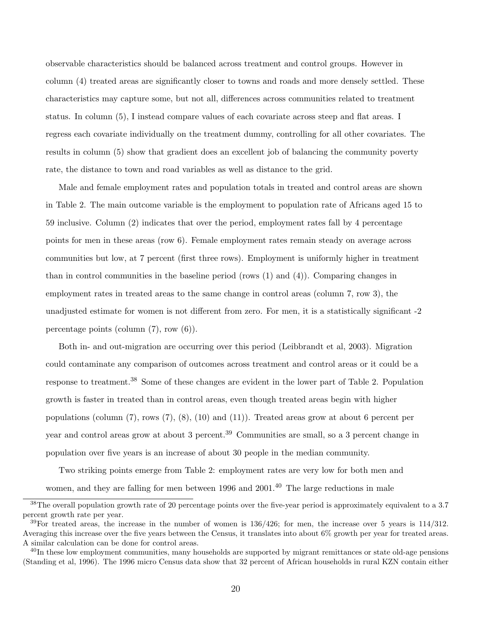observable characteristics should be balanced across treatment and control groups. However in column (4) treated areas are significantly closer to towns and roads and more densely settled. These characteristics may capture some, but not all, differences across communities related to treatment status. In column (5), I instead compare values of each covariate across steep and flat areas. I regress each covariate individually on the treatment dummy, controlling for all other covariates. The results in column (5) show that gradient does an excellent job of balancing the community poverty rate, the distance to town and road variables as well as distance to the grid.

Male and female employment rates and population totals in treated and control areas are shown in Table 2. The main outcome variable is the employment to population rate of Africans aged 15 to 59 inclusive. Column (2) indicates that over the period, employment rates fall by 4 percentage points for men in these areas (row 6). Female employment rates remain steady on average across communities but low, at 7 percent (first three rows). Employment is uniformly higher in treatment than in control communities in the baseline period (rows (1) and (4)). Comparing changes in employment rates in treated areas to the same change in control areas (column 7, row 3), the unadjusted estimate for women is not different from zero. For men, it is a statistically significant -2 percentage points (column (7), row (6)).

Both in- and out-migration are occurring over this period (Leibbrandt et al, 2003). Migration could contaminate any comparison of outcomes across treatment and control areas or it could be a response to treatment.<sup>38</sup> Some of these changes are evident in the lower part of Table 2. Population growth is faster in treated than in control areas, even though treated areas begin with higher populations (column (7), rows (7), (8), (10) and (11)). Treated areas grow at about 6 percent per year and control areas grow at about 3 percent.<sup>39</sup> Communities are small, so a 3 percent change in population over five years is an increase of about 30 people in the median community.

Two striking points emerge from Table 2: employment rates are very low for both men and women, and they are falling for men between 1996 and 2001.<sup>40</sup> The large reductions in male

 $38$ The overall population growth rate of 20 percentage points over the five-year period is approximately equivalent to a 3.7 percent growth rate per year.

 $39$ For treated areas, the increase in the number of women is  $136/426$ ; for men, the increase over 5 years is  $114/312$ . Averaging this increase over the five years between the Census, it translates into about 6% growth per year for treated areas. A similar calculation can be done for control areas.

 $^{40}$ In these low employment communities, many households are supported by migrant remittances or state old-age pensions (Standing et al, 1996). The 1996 micro Census data show that 32 percent of African households in rural KZN contain either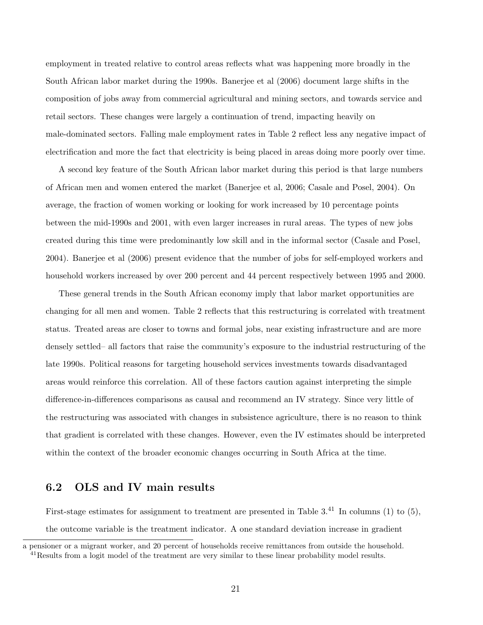employment in treated relative to control areas reflects what was happening more broadly in the South African labor market during the 1990s. Banerjee et al (2006) document large shifts in the composition of jobs away from commercial agricultural and mining sectors, and towards service and retail sectors. These changes were largely a continuation of trend, impacting heavily on male-dominated sectors. Falling male employment rates in Table 2 reflect less any negative impact of electrification and more the fact that electricity is being placed in areas doing more poorly over time.

A second key feature of the South African labor market during this period is that large numbers of African men and women entered the market (Banerjee et al, 2006; Casale and Posel, 2004). On average, the fraction of women working or looking for work increased by 10 percentage points between the mid-1990s and 2001, with even larger increases in rural areas. The types of new jobs created during this time were predominantly low skill and in the informal sector (Casale and Posel, 2004). Banerjee et al (2006) present evidence that the number of jobs for self-employed workers and household workers increased by over 200 percent and 44 percent respectively between 1995 and 2000.

These general trends in the South African economy imply that labor market opportunities are changing for all men and women. Table 2 reflects that this restructuring is correlated with treatment status. Treated areas are closer to towns and formal jobs, near existing infrastructure and are more densely settled– all factors that raise the community's exposure to the industrial restructuring of the late 1990s. Political reasons for targeting household services investments towards disadvantaged areas would reinforce this correlation. All of these factors caution against interpreting the simple difference-in-differences comparisons as causal and recommend an IV strategy. Since very little of the restructuring was associated with changes in subsistence agriculture, there is no reason to think that gradient is correlated with these changes. However, even the IV estimates should be interpreted within the context of the broader economic changes occurring in South Africa at the time.

### 6.2 OLS and IV main results

First-stage estimates for assignment to treatment are presented in Table  $3<sup>41</sup>$  In columns (1) to (5), the outcome variable is the treatment indicator. A one standard deviation increase in gradient

a pensioner or a migrant worker, and 20 percent of households receive remittances from outside the household. <sup>41</sup>Results from a logit model of the treatment are very similar to these linear probability model results.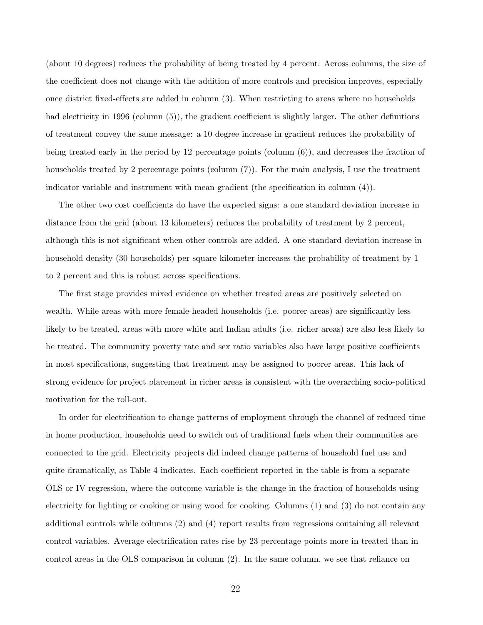(about 10 degrees) reduces the probability of being treated by 4 percent. Across columns, the size of the coefficient does not change with the addition of more controls and precision improves, especially once district fixed-effects are added in column (3). When restricting to areas where no households had electricity in 1996 (column (5)), the gradient coefficient is slightly larger. The other definitions of treatment convey the same message: a 10 degree increase in gradient reduces the probability of being treated early in the period by 12 percentage points (column (6)), and decreases the fraction of households treated by 2 percentage points (column (7)). For the main analysis, I use the treatment indicator variable and instrument with mean gradient (the specification in column (4)).

The other two cost coefficients do have the expected signs: a one standard deviation increase in distance from the grid (about 13 kilometers) reduces the probability of treatment by 2 percent, although this is not significant when other controls are added. A one standard deviation increase in household density (30 households) per square kilometer increases the probability of treatment by 1 to 2 percent and this is robust across specifications.

The first stage provides mixed evidence on whether treated areas are positively selected on wealth. While areas with more female-headed households (i.e. poorer areas) are significantly less likely to be treated, areas with more white and Indian adults (i.e. richer areas) are also less likely to be treated. The community poverty rate and sex ratio variables also have large positive coefficients in most specifications, suggesting that treatment may be assigned to poorer areas. This lack of strong evidence for project placement in richer areas is consistent with the overarching socio-political motivation for the roll-out.

In order for electrification to change patterns of employment through the channel of reduced time in home production, households need to switch out of traditional fuels when their communities are connected to the grid. Electricity projects did indeed change patterns of household fuel use and quite dramatically, as Table 4 indicates. Each coefficient reported in the table is from a separate OLS or IV regression, where the outcome variable is the change in the fraction of households using electricity for lighting or cooking or using wood for cooking. Columns (1) and (3) do not contain any additional controls while columns (2) and (4) report results from regressions containing all relevant control variables. Average electrification rates rise by 23 percentage points more in treated than in control areas in the OLS comparison in column (2). In the same column, we see that reliance on

22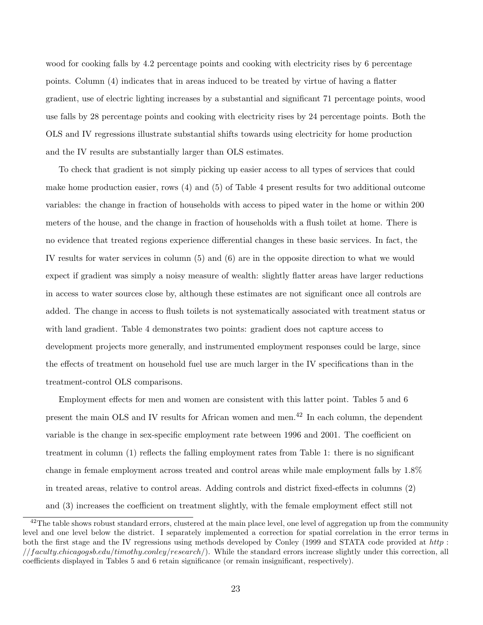wood for cooking falls by 4.2 percentage points and cooking with electricity rises by 6 percentage points. Column (4) indicates that in areas induced to be treated by virtue of having a flatter gradient, use of electric lighting increases by a substantial and significant 71 percentage points, wood use falls by 28 percentage points and cooking with electricity rises by 24 percentage points. Both the OLS and IV regressions illustrate substantial shifts towards using electricity for home production and the IV results are substantially larger than OLS estimates.

To check that gradient is not simply picking up easier access to all types of services that could make home production easier, rows (4) and (5) of Table 4 present results for two additional outcome variables: the change in fraction of households with access to piped water in the home or within 200 meters of the house, and the change in fraction of households with a flush toilet at home. There is no evidence that treated regions experience differential changes in these basic services. In fact, the IV results for water services in column (5) and (6) are in the opposite direction to what we would expect if gradient was simply a noisy measure of wealth: slightly flatter areas have larger reductions in access to water sources close by, although these estimates are not significant once all controls are added. The change in access to flush toilets is not systematically associated with treatment status or with land gradient. Table 4 demonstrates two points: gradient does not capture access to development projects more generally, and instrumented employment responses could be large, since the effects of treatment on household fuel use are much larger in the IV specifications than in the treatment-control OLS comparisons.

Employment effects for men and women are consistent with this latter point. Tables 5 and 6 present the main OLS and IV results for African women and men.<sup>42</sup> In each column, the dependent variable is the change in sex-specific employment rate between 1996 and 2001. The coefficient on treatment in column (1) reflects the falling employment rates from Table 1: there is no significant change in female employment across treated and control areas while male employment falls by 1.8% in treated areas, relative to control areas. Adding controls and district fixed-effects in columns (2) and (3) increases the coefficient on treatment slightly, with the female employment effect still not

 $^{42}$ The table shows robust standard errors, clustered at the main place level, one level of aggregation up from the community level and one level below the district. I separately implemented a correction for spatial correlation in the error terms in both the first stage and the IV regressions using methods developed by Conley (1999 and STATA code provided at http :  $// faculty. Chicagogs..edu/timothy.conley/research/).$  While the standard errors increase slightly under this correction, all coefficients displayed in Tables 5 and 6 retain significance (or remain insignificant, respectively).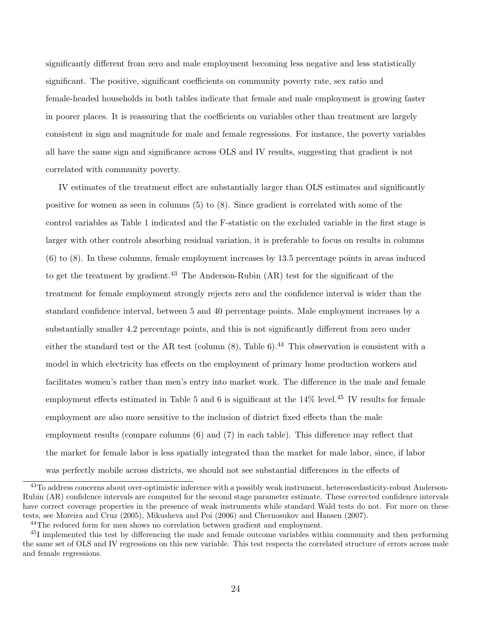significantly different from zero and male employment becoming less negative and less statistically significant. The positive, significant coefficients on community poverty rate, sex ratio and female-headed households in both tables indicate that female and male employment is growing faster in poorer places. It is reassuring that the coefficients on variables other than treatment are largely consistent in sign and magnitude for male and female regressions. For instance, the poverty variables all have the same sign and significance across OLS and IV results, suggesting that gradient is not correlated with community poverty.

IV estimates of the treatment effect are substantially larger than OLS estimates and significantly positive for women as seen in columns (5) to (8). Since gradient is correlated with some of the control variables as Table 1 indicated and the F-statistic on the excluded variable in the first stage is larger with other controls absorbing residual variation, it is preferable to focus on results in columns (6) to (8). In these columns, female employment increases by 13.5 percentage points in areas induced to get the treatment by gradient.<sup>43</sup> The Anderson-Rubin (AR) test for the significant of the treatment for female employment strongly rejects zero and the confidence interval is wider than the standard confidence interval, between 5 and 40 percentage points. Male employment increases by a substantially smaller 4.2 percentage points, and this is not significantly different from zero under either the standard test or the AR test (column  $(8)$ , Table 6).<sup>44</sup> This observation is consistent with a model in which electricity has effects on the employment of primary home production workers and facilitates women's rather than men's entry into market work. The difference in the male and female employment effects estimated in Table 5 and 6 is significant at the  $14\%$  level.<sup>45</sup> IV results for female employment are also more sensitive to the inclusion of district fixed effects than the male employment results (compare columns (6) and (7) in each table). This difference may reflect that the market for female labor is less spatially integrated than the market for male labor, since, if labor was perfectly mobile across districts, we should not see substantial differences in the effects of

<sup>&</sup>lt;sup>43</sup>To address concerns about over-optimistic inference with a possibly weak instrument, heteroscedasticity-robust Anderson-Rubin (AR) confidence intervals are computed for the second stage parameter estimate. These corrected confidence intervals have correct coverage properties in the presence of weak instruments while standard Wald tests do not. For more on these tests, see Moreira and Cruz (2005), Mikusheva and Poi (2006) and Chernosukov and Hansen (2007).

<sup>44</sup>The reduced form for men shows no correlation between gradient and employment.

<sup>45</sup>I implemented this test by differencing the male and female outcome variables within community and then performing the same set of OLS and IV regressions on this new variable. This test respects the correlated structure of errors across male and female regressions.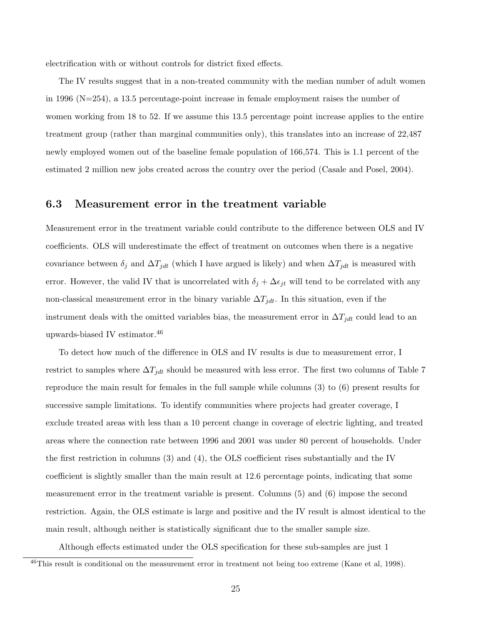electrification with or without controls for district fixed effects.

The IV results suggest that in a non-treated community with the median number of adult women in 1996 (N=254), a 13.5 percentage-point increase in female employment raises the number of women working from 18 to 52. If we assume this 13.5 percentage point increase applies to the entire treatment group (rather than marginal communities only), this translates into an increase of 22,487 newly employed women out of the baseline female population of 166,574. This is 1.1 percent of the estimated 2 million new jobs created across the country over the period (Casale and Posel, 2004).

#### 6.3 Measurement error in the treatment variable

Measurement error in the treatment variable could contribute to the difference between OLS and IV coefficients. OLS will underestimate the effect of treatment on outcomes when there is a negative covariance between  $\delta_j$  and  $\Delta T_{jdt}$  (which I have argued is likely) and when  $\Delta T_{jdt}$  is measured with error. However, the valid IV that is uncorrelated with  $\delta_j + \Delta \epsilon_{jt}$  will tend to be correlated with any non-classical measurement error in the binary variable  $\Delta T_{jdt}$ . In this situation, even if the instrument deals with the omitted variables bias, the measurement error in  $\Delta T_{jdt}$  could lead to an upwards-biased IV estimator.<sup>46</sup>

To detect how much of the difference in OLS and IV results is due to measurement error, I restrict to samples where  $\Delta T_{jdt}$  should be measured with less error. The first two columns of Table 7 reproduce the main result for females in the full sample while columns (3) to (6) present results for successive sample limitations. To identify communities where projects had greater coverage, I exclude treated areas with less than a 10 percent change in coverage of electric lighting, and treated areas where the connection rate between 1996 and 2001 was under 80 percent of households. Under the first restriction in columns (3) and (4), the OLS coefficient rises substantially and the IV coefficient is slightly smaller than the main result at 12.6 percentage points, indicating that some measurement error in the treatment variable is present. Columns (5) and (6) impose the second restriction. Again, the OLS estimate is large and positive and the IV result is almost identical to the main result, although neither is statistically significant due to the smaller sample size.

Although effects estimated under the OLS specification for these sub-samples are just 1

<sup>&</sup>lt;sup>46</sup>This result is conditional on the measurement error in treatment not being too extreme (Kane et al, 1998).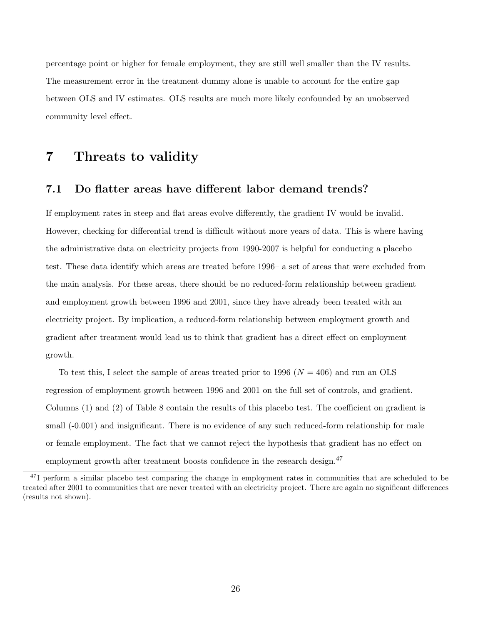percentage point or higher for female employment, they are still well smaller than the IV results. The measurement error in the treatment dummy alone is unable to account for the entire gap between OLS and IV estimates. OLS results are much more likely confounded by an unobserved community level effect.

### 7 Threats to validity

### 7.1 Do flatter areas have different labor demand trends?

If employment rates in steep and flat areas evolve differently, the gradient IV would be invalid. However, checking for differential trend is difficult without more years of data. This is where having the administrative data on electricity projects from 1990-2007 is helpful for conducting a placebo test. These data identify which areas are treated before 1996– a set of areas that were excluded from the main analysis. For these areas, there should be no reduced-form relationship between gradient and employment growth between 1996 and 2001, since they have already been treated with an electricity project. By implication, a reduced-form relationship between employment growth and gradient after treatment would lead us to think that gradient has a direct effect on employment growth.

To test this, I select the sample of areas treated prior to 1996 ( $N = 406$ ) and run an OLS regression of employment growth between 1996 and 2001 on the full set of controls, and gradient. Columns (1) and (2) of Table 8 contain the results of this placebo test. The coefficient on gradient is small  $(-0.001)$  and insignificant. There is no evidence of any such reduced-form relationship for male or female employment. The fact that we cannot reject the hypothesis that gradient has no effect on employment growth after treatment boosts confidence in the research design.<sup>47</sup>

<sup>&</sup>lt;sup>47</sup>I perform a similar placebo test comparing the change in employment rates in communities that are scheduled to be treated after 2001 to communities that are never treated with an electricity project. There are again no significant differences (results not shown).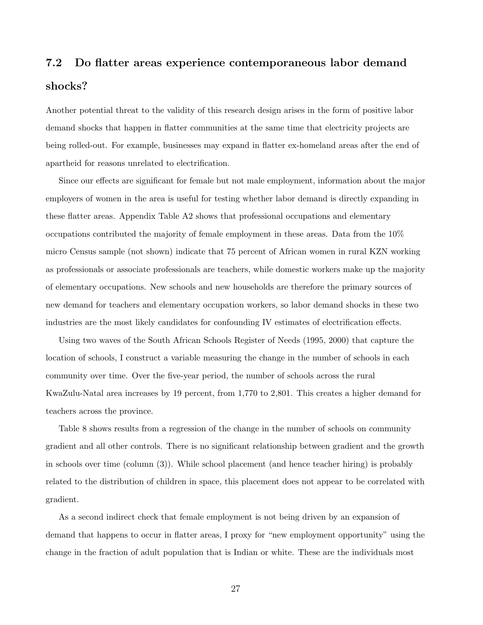# 7.2 Do flatter areas experience contemporaneous labor demand shocks?

Another potential threat to the validity of this research design arises in the form of positive labor demand shocks that happen in flatter communities at the same time that electricity projects are being rolled-out. For example, businesses may expand in flatter ex-homeland areas after the end of apartheid for reasons unrelated to electrification.

Since our effects are significant for female but not male employment, information about the major employers of women in the area is useful for testing whether labor demand is directly expanding in these flatter areas. Appendix Table A2 shows that professional occupations and elementary occupations contributed the majority of female employment in these areas. Data from the 10% micro Census sample (not shown) indicate that 75 percent of African women in rural KZN working as professionals or associate professionals are teachers, while domestic workers make up the majority of elementary occupations. New schools and new households are therefore the primary sources of new demand for teachers and elementary occupation workers, so labor demand shocks in these two industries are the most likely candidates for confounding IV estimates of electrification effects.

Using two waves of the South African Schools Register of Needs (1995, 2000) that capture the location of schools, I construct a variable measuring the change in the number of schools in each community over time. Over the five-year period, the number of schools across the rural KwaZulu-Natal area increases by 19 percent, from 1,770 to 2,801. This creates a higher demand for teachers across the province.

Table 8 shows results from a regression of the change in the number of schools on community gradient and all other controls. There is no significant relationship between gradient and the growth in schools over time (column (3)). While school placement (and hence teacher hiring) is probably related to the distribution of children in space, this placement does not appear to be correlated with gradient.

As a second indirect check that female employment is not being driven by an expansion of demand that happens to occur in flatter areas, I proxy for "new employment opportunity" using the change in the fraction of adult population that is Indian or white. These are the individuals most

27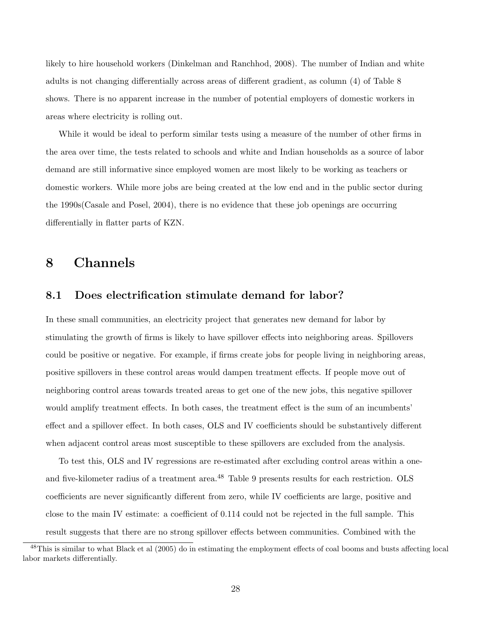likely to hire household workers (Dinkelman and Ranchhod, 2008). The number of Indian and white adults is not changing differentially across areas of different gradient, as column (4) of Table 8 shows. There is no apparent increase in the number of potential employers of domestic workers in areas where electricity is rolling out.

While it would be ideal to perform similar tests using a measure of the number of other firms in the area over time, the tests related to schools and white and Indian households as a source of labor demand are still informative since employed women are most likely to be working as teachers or domestic workers. While more jobs are being created at the low end and in the public sector during the 1990s(Casale and Posel, 2004), there is no evidence that these job openings are occurring differentially in flatter parts of KZN.

### 8 Channels

### 8.1 Does electrification stimulate demand for labor?

In these small communities, an electricity project that generates new demand for labor by stimulating the growth of firms is likely to have spillover effects into neighboring areas. Spillovers could be positive or negative. For example, if firms create jobs for people living in neighboring areas, positive spillovers in these control areas would dampen treatment effects. If people move out of neighboring control areas towards treated areas to get one of the new jobs, this negative spillover would amplify treatment effects. In both cases, the treatment effect is the sum of an incumbents' effect and a spillover effect. In both cases, OLS and IV coefficients should be substantively different when adjacent control areas most susceptible to these spillovers are excluded from the analysis.

To test this, OLS and IV regressions are re-estimated after excluding control areas within a oneand five-kilometer radius of a treatment area.<sup>48</sup> Table 9 presents results for each restriction. OLS coefficients are never significantly different from zero, while IV coefficients are large, positive and close to the main IV estimate: a coefficient of 0.114 could not be rejected in the full sample. This result suggests that there are no strong spillover effects between communities. Combined with the

 $^{48}$ This is similar to what Black et al (2005) do in estimating the employment effects of coal booms and busts affecting local labor markets differentially.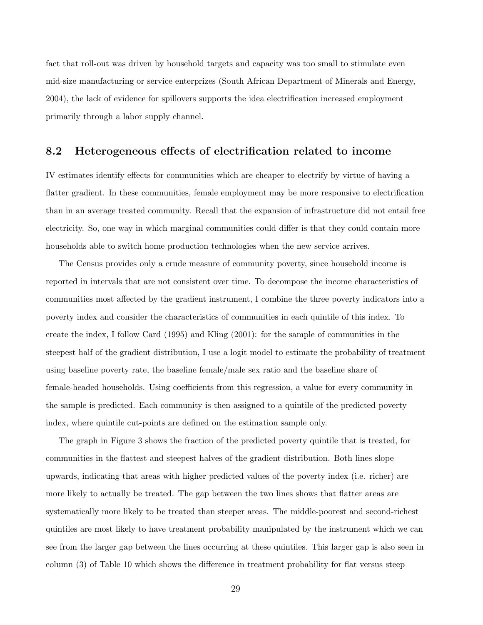fact that roll-out was driven by household targets and capacity was too small to stimulate even mid-size manufacturing or service enterprizes (South African Department of Minerals and Energy, 2004), the lack of evidence for spillovers supports the idea electrification increased employment primarily through a labor supply channel.

### 8.2 Heterogeneous effects of electrification related to income

IV estimates identify effects for communities which are cheaper to electrify by virtue of having a flatter gradient. In these communities, female employment may be more responsive to electrification than in an average treated community. Recall that the expansion of infrastructure did not entail free electricity. So, one way in which marginal communities could differ is that they could contain more households able to switch home production technologies when the new service arrives.

The Census provides only a crude measure of community poverty, since household income is reported in intervals that are not consistent over time. To decompose the income characteristics of communities most affected by the gradient instrument, I combine the three poverty indicators into a poverty index and consider the characteristics of communities in each quintile of this index. To create the index, I follow Card (1995) and Kling (2001): for the sample of communities in the steepest half of the gradient distribution, I use a logit model to estimate the probability of treatment using baseline poverty rate, the baseline female/male sex ratio and the baseline share of female-headed households. Using coefficients from this regression, a value for every community in the sample is predicted. Each community is then assigned to a quintile of the predicted poverty index, where quintile cut-points are defined on the estimation sample only.

The graph in Figure 3 shows the fraction of the predicted poverty quintile that is treated, for communities in the flattest and steepest halves of the gradient distribution. Both lines slope upwards, indicating that areas with higher predicted values of the poverty index (i.e. richer) are more likely to actually be treated. The gap between the two lines shows that flatter areas are systematically more likely to be treated than steeper areas. The middle-poorest and second-richest quintiles are most likely to have treatment probability manipulated by the instrument which we can see from the larger gap between the lines occurring at these quintiles. This larger gap is also seen in column (3) of Table 10 which shows the difference in treatment probability for flat versus steep

29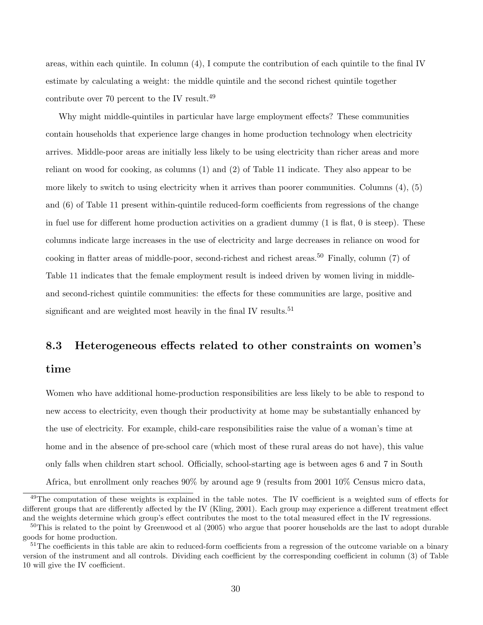areas, within each quintile. In column (4), I compute the contribution of each quintile to the final IV estimate by calculating a weight: the middle quintile and the second richest quintile together contribute over 70 percent to the IV result.<sup>49</sup>

Why might middle-quintiles in particular have large employment effects? These communities contain households that experience large changes in home production technology when electricity arrives. Middle-poor areas are initially less likely to be using electricity than richer areas and more reliant on wood for cooking, as columns (1) and (2) of Table 11 indicate. They also appear to be more likely to switch to using electricity when it arrives than poorer communities. Columns  $(4)$ ,  $(5)$ and (6) of Table 11 present within-quintile reduced-form coefficients from regressions of the change in fuel use for different home production activities on a gradient dummy (1 is flat, 0 is steep). These columns indicate large increases in the use of electricity and large decreases in reliance on wood for cooking in flatter areas of middle-poor, second-richest and richest areas.<sup>50</sup> Finally, column (7) of Table 11 indicates that the female employment result is indeed driven by women living in middleand second-richest quintile communities: the effects for these communities are large, positive and significant and are weighted most heavily in the final IV results.<sup>51</sup>

#### 8.3 Heterogeneous effects related to other constraints on women's

#### time

Women who have additional home-production responsibilities are less likely to be able to respond to new access to electricity, even though their productivity at home may be substantially enhanced by the use of electricity. For example, child-care responsibilities raise the value of a woman's time at home and in the absence of pre-school care (which most of these rural areas do not have), this value only falls when children start school. Officially, school-starting age is between ages 6 and 7 in South Africa, but enrollment only reaches 90% by around age 9 (results from 2001 10% Census micro data,

<sup>&</sup>lt;sup>49</sup>The computation of these weights is explained in the table notes. The IV coefficient is a weighted sum of effects for different groups that are differently affected by the IV (Kling, 2001). Each group may experience a different treatment effect and the weights determine which group's effect contributes the most to the total measured effect in the IV regressions.

 $50$ This is related to the point by Greenwood et al  $(2005)$  who argue that poorer households are the last to adopt durable goods for home production.

 $51$ The coefficients in this table are akin to reduced-form coefficients from a regression of the outcome variable on a binary version of the instrument and all controls. Dividing each coefficient by the corresponding coefficient in column (3) of Table 10 will give the IV coefficient.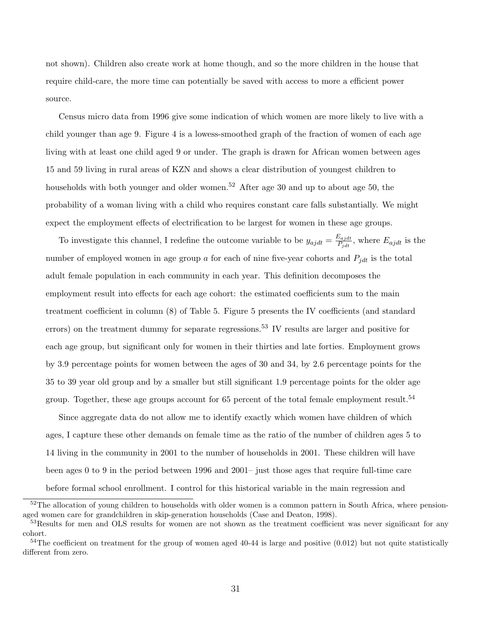not shown). Children also create work at home though, and so the more children in the house that require child-care, the more time can potentially be saved with access to more a efficient power source.

Census micro data from 1996 give some indication of which women are more likely to live with a child younger than age 9. Figure 4 is a lowess-smoothed graph of the fraction of women of each age living with at least one child aged 9 or under. The graph is drawn for African women between ages 15 and 59 living in rural areas of KZN and shows a clear distribution of youngest children to households with both younger and older women.<sup>52</sup> After age 30 and up to about age 50, the probability of a woman living with a child who requires constant care falls substantially. We might expect the employment effects of electrification to be largest for women in these age groups.

To investigate this channel, I redefine the outcome variable to be  $y_{ajdt} = \frac{E_{ajdt}}{P_{i,t}}$  $\frac{E_{ajdt}}{P_{jdt}}$ , where  $E_{ajdt}$  is the number of employed women in age group  $a$  for each of nine five-year cohorts and  $P_{jdt}$  is the total adult female population in each community in each year. This definition decomposes the employment result into effects for each age cohort: the estimated coefficients sum to the main treatment coefficient in column (8) of Table 5. Figure 5 presents the IV coefficients (and standard errors) on the treatment dummy for separate regressions.<sup>53</sup> IV results are larger and positive for each age group, but significant only for women in their thirties and late forties. Employment grows by 3.9 percentage points for women between the ages of 30 and 34, by 2.6 percentage points for the 35 to 39 year old group and by a smaller but still significant 1.9 percentage points for the older age group. Together, these age groups account for 65 percent of the total female employment result.<sup>54</sup>

Since aggregate data do not allow me to identify exactly which women have children of which ages, I capture these other demands on female time as the ratio of the number of children ages 5 to 14 living in the community in 2001 to the number of households in 2001. These children will have been ages 0 to 9 in the period between 1996 and 2001– just those ages that require full-time care before formal school enrollment. I control for this historical variable in the main regression and

 $52$ The allocation of young children to households with older women is a common pattern in South Africa, where pensionaged women care for grandchildren in skip-generation households (Case and Deaton, 1998).

<sup>53</sup>Results for men and OLS results for women are not shown as the treatment coefficient was never significant for any cohort.

 $54$ The coefficient on treatment for the group of women aged 40-44 is large and positive  $(0.012)$  but not quite statistically different from zero.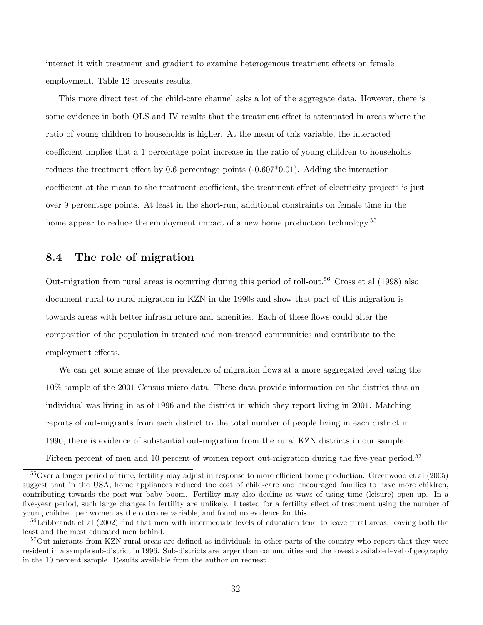interact it with treatment and gradient to examine heterogenous treatment effects on female employment. Table 12 presents results.

This more direct test of the child-care channel asks a lot of the aggregate data. However, there is some evidence in both OLS and IV results that the treatment effect is attenuated in areas where the ratio of young children to households is higher. At the mean of this variable, the interacted coefficient implies that a 1 percentage point increase in the ratio of young children to households reduces the treatment effect by 0.6 percentage points (-0.607\*0.01). Adding the interaction coefficient at the mean to the treatment coefficient, the treatment effect of electricity projects is just over 9 percentage points. At least in the short-run, additional constraints on female time in the home appear to reduce the employment impact of a new home production technology.<sup>55</sup>

### 8.4 The role of migration

Out-migration from rural areas is occurring during this period of roll-out.<sup>56</sup> Cross et al (1998) also document rural-to-rural migration in KZN in the 1990s and show that part of this migration is towards areas with better infrastructure and amenities. Each of these flows could alter the composition of the population in treated and non-treated communities and contribute to the employment effects.

We can get some sense of the prevalence of migration flows at a more aggregated level using the 10% sample of the 2001 Census micro data. These data provide information on the district that an individual was living in as of 1996 and the district in which they report living in 2001. Matching reports of out-migrants from each district to the total number of people living in each district in 1996, there is evidence of substantial out-migration from the rural KZN districts in our sample. Fifteen percent of men and 10 percent of women report out-migration during the five-year period.<sup>57</sup>

<sup>55</sup>Over a longer period of time, fertility may adjust in response to more efficient home production. Greenwood et al (2005) suggest that in the USA, home appliances reduced the cost of child-care and encouraged families to have more children, contributing towards the post-war baby boom. Fertility may also decline as ways of using time (leisure) open up. In a five-year period, such large changes in fertility are unlikely. I tested for a fertility effect of treatment using the number of young children per women as the outcome variable, and found no evidence for this.

 $56$ Leibbrandt et al (2002) find that men with intermediate levels of education tend to leave rural areas, leaving both the least and the most educated men behind.

<sup>57</sup>Out-migrants from KZN rural areas are defined as individuals in other parts of the country who report that they were resident in a sample sub-district in 1996. Sub-districts are larger than communities and the lowest available level of geography in the 10 percent sample. Results available from the author on request.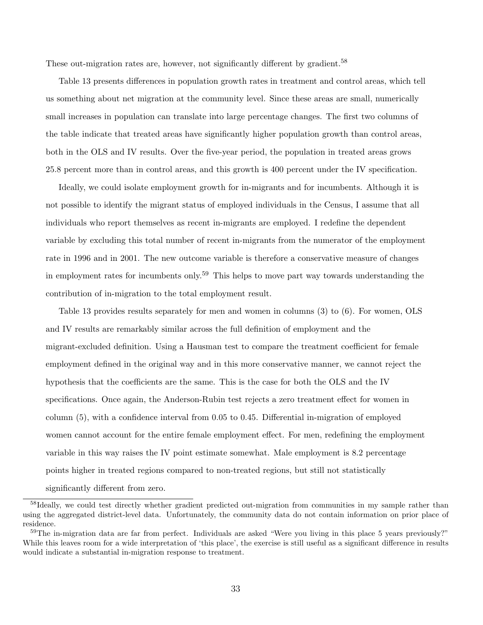These out-migration rates are, however, not significantly different by gradient.<sup>58</sup>

Table 13 presents differences in population growth rates in treatment and control areas, which tell us something about net migration at the community level. Since these areas are small, numerically small increases in population can translate into large percentage changes. The first two columns of the table indicate that treated areas have significantly higher population growth than control areas, both in the OLS and IV results. Over the five-year period, the population in treated areas grows 25.8 percent more than in control areas, and this growth is 400 percent under the IV specification.

Ideally, we could isolate employment growth for in-migrants and for incumbents. Although it is not possible to identify the migrant status of employed individuals in the Census, I assume that all individuals who report themselves as recent in-migrants are employed. I redefine the dependent variable by excluding this total number of recent in-migrants from the numerator of the employment rate in 1996 and in 2001. The new outcome variable is therefore a conservative measure of changes in employment rates for incumbents only.<sup>59</sup> This helps to move part way towards understanding the contribution of in-migration to the total employment result.

Table 13 provides results separately for men and women in columns (3) to (6). For women, OLS and IV results are remarkably similar across the full definition of employment and the migrant-excluded definition. Using a Hausman test to compare the treatment coefficient for female employment defined in the original way and in this more conservative manner, we cannot reject the hypothesis that the coefficients are the same. This is the case for both the OLS and the IV specifications. Once again, the Anderson-Rubin test rejects a zero treatment effect for women in column (5), with a confidence interval from 0.05 to 0.45. Differential in-migration of employed women cannot account for the entire female employment effect. For men, redefining the employment variable in this way raises the IV point estimate somewhat. Male employment is 8.2 percentage points higher in treated regions compared to non-treated regions, but still not statistically significantly different from zero.

 $58$ Ideally, we could test directly whether gradient predicted out-migration from communities in my sample rather than using the aggregated district-level data. Unfortunately, the community data do not contain information on prior place of residence.

<sup>59</sup>The in-migration data are far from perfect. Individuals are asked "Were you living in this place 5 years previously?" While this leaves room for a wide interpretation of 'this place', the exercise is still useful as a significant difference in results would indicate a substantial in-migration response to treatment.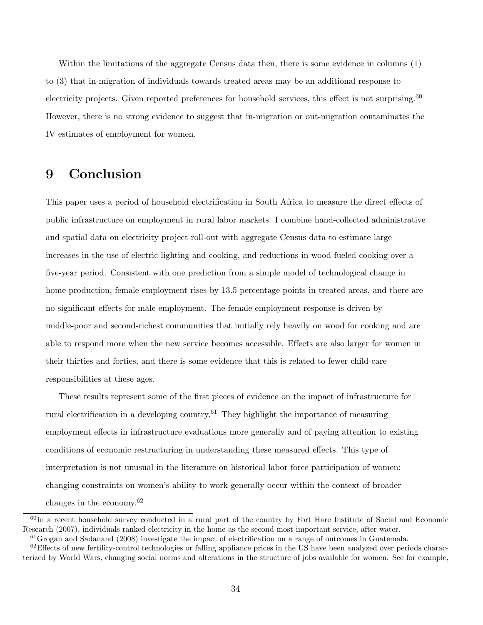Within the limitations of the aggregate Census data then, there is some evidence in columns (1) to (3) that in-migration of individuals towards treated areas may be an additional response to electricity projects. Given reported preferences for household services, this effect is not surprising.<sup>60</sup> However, there is no strong evidence to suggest that in-migration or out-migration contaminates the IV estimates of employment for women.

# 9 Conclusion

This paper uses a period of household electrification in South Africa to measure the direct effects of public infrastructure on employment in rural labor markets. I combine hand-collected administrative and spatial data on electricity project roll-out with aggregate Census data to estimate large increases in the use of electric lighting and cooking, and reductions in wood-fueled cooking over a five-year period. Consistent with one prediction from a simple model of technological change in home production, female employment rises by 13.5 percentage points in treated areas, and there are no significant effects for male employment. The female employment response is driven by middle-poor and second-richest communities that initially rely heavily on wood for cooking and are able to respond more when the new service becomes accessible. Effects are also larger for women in their thirties and forties, and there is some evidence that this is related to fewer child-care responsibilities at these ages.

These results represent some of the first pieces of evidence on the impact of infrastructure for rural electrification in a developing country.<sup>61</sup> They highlight the importance of measuring employment effects in infrastructure evaluations more generally and of paying attention to existing conditions of economic restructuring in understanding these measured effects. This type of interpretation is not unusual in the literature on historical labor force participation of women: changing constraints on women's ability to work generally occur within the context of broader changes in the economy.<sup>62</sup>

<sup>60</sup>In a recent household survey conducted in a rural part of the country by Fort Hare Institute of Social and Economic Research (2007), individuals ranked electricity in the home as the second most important service, after water.

 $61G$ rogan and Sadanand (2008) investigate the impact of electrification on a range of outcomes in Guatemala.

 ${}^{62}$ Effects of new fertility-control technologies or falling appliance prices in the US have been analyzed over periods characterized by World Wars, changing social norms and alterations in the structure of jobs available for women. See for example,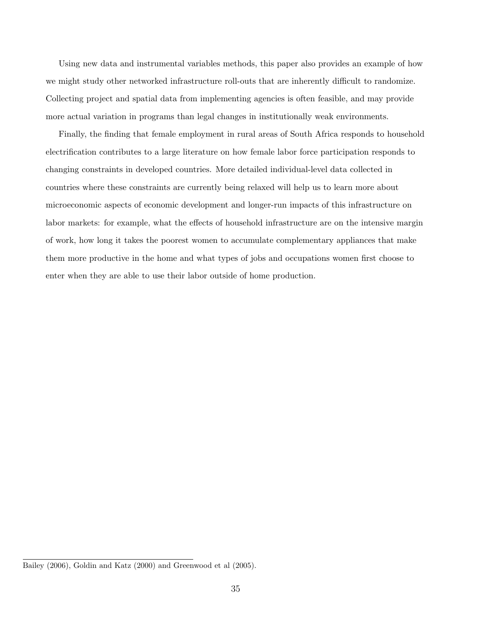Using new data and instrumental variables methods, this paper also provides an example of how we might study other networked infrastructure roll-outs that are inherently difficult to randomize. Collecting project and spatial data from implementing agencies is often feasible, and may provide more actual variation in programs than legal changes in institutionally weak environments.

Finally, the finding that female employment in rural areas of South Africa responds to household electrification contributes to a large literature on how female labor force participation responds to changing constraints in developed countries. More detailed individual-level data collected in countries where these constraints are currently being relaxed will help us to learn more about microeconomic aspects of economic development and longer-run impacts of this infrastructure on labor markets: for example, what the effects of household infrastructure are on the intensive margin of work, how long it takes the poorest women to accumulate complementary appliances that make them more productive in the home and what types of jobs and occupations women first choose to enter when they are able to use their labor outside of home production.

Bailey (2006), Goldin and Katz (2000) and Greenwood et al (2005).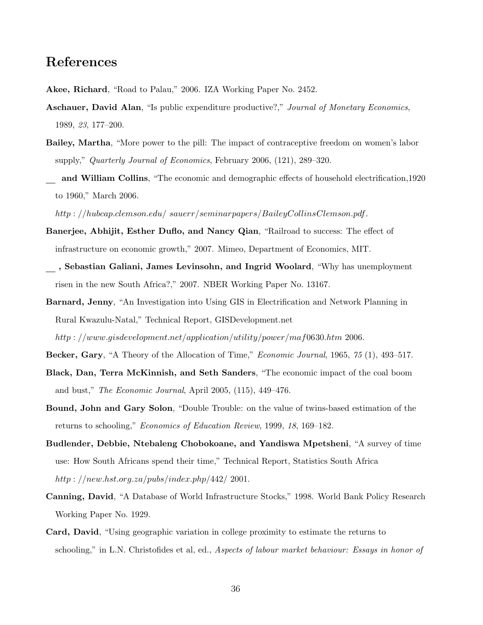### References

- Akee, Richard, "Road to Palau," 2006. IZA Working Paper No. 2452.
- Aschauer, David Alan, "Is public expenditure productive?," Journal of Monetary Economics, 1989, 23, 177–200.
- Bailey, Martha, "More power to the pill: The impact of contraceptive freedom on women's labor supply," Quarterly Journal of Economics, February 2006, (121), 289–320.
- and William Collins, "The economic and demographic effects of household electrification,1920 to 1960," March 2006.

http : //hubcap.clemson.edu/ sauerr/seminarpapers/BaileyCollinsClemson.pdf.

- Banerjee, Abhijit, Esther Duflo, and Nancy Qian, "Railroad to success: The effect of infrastructure on economic growth," 2007. Mimeo, Department of Economics, MIT.
- , Sebastian Galiani, James Levinsohn, and Ingrid Woolard, "Why has unemployment risen in the new South Africa?," 2007. NBER Working Paper No. 13167.
- Barnard, Jenny, "An Investigation into Using GIS in Electrification and Network Planning in Rural Kwazulu-Natal," Technical Report, GISDevelopment.net

http : //www.gisdevelopment.net/application/utility/power/maf0630.htm 2006.

- Becker, Gary, "A Theory of the Allocation of Time," *Economic Journal*, 1965, 75 (1), 493–517.
- Black, Dan, Terra McKinnish, and Seth Sanders, "The economic impact of the coal boom and bust," The Economic Journal, April 2005, (115), 449–476.
- Bound, John and Gary Solon, "Double Trouble: on the value of twins-based estimation of the returns to schooling," Economics of Education Review, 1999, 18, 169–182.
- Budlender, Debbie, Ntebaleng Chobokoane, and Yandiswa Mpetsheni, "A survey of time use: How South Africans spend their time," Technical Report, Statistics South Africa http :  $//new.hst.org.za/pubs/index.php/442/2001.$
- Canning, David, "A Database of World Infrastructure Stocks," 1998. World Bank Policy Research Working Paper No. 1929.
- Card, David, "Using geographic variation in college proximity to estimate the returns to schooling," in L.N. Christofides et al, ed., Aspects of labour market behaviour: Essays in honor of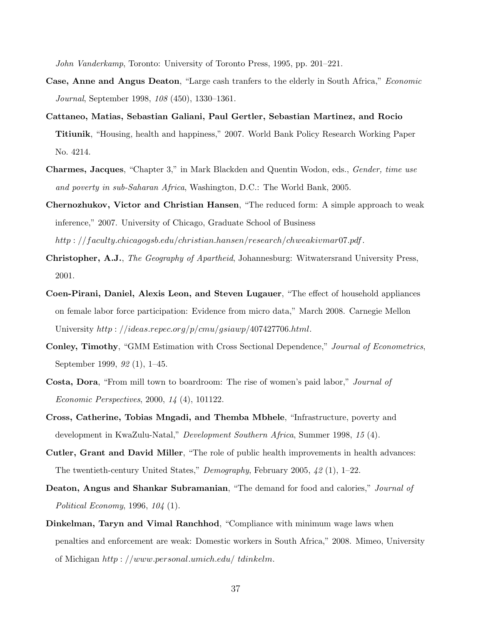John Vanderkamp, Toronto: University of Toronto Press, 1995, pp. 201–221.

- Case, Anne and Angus Deaton, "Large cash tranfers to the elderly in South Africa," Economic Journal, September 1998, 108 (450), 1330–1361.
- Cattaneo, Matias, Sebastian Galiani, Paul Gertler, Sebastian Martinez, and Rocio Titiunik, "Housing, health and happiness," 2007. World Bank Policy Research Working Paper No. 4214.
- Charmes, Jacques, "Chapter 3," in Mark Blackden and Quentin Wodon, eds., Gender, time use and poverty in sub-Saharan Africa, Washington, D.C.: The World Bank, 2005.
- Chernozhukov, Victor and Christian Hansen, "The reduced form: A simple approach to weak inference," 2007. University of Chicago, Graduate School of Business http : //f aculty.chicagogsb.edu/christian.hansen/research/chweakivmar07.pdf.
- Christopher, A.J., The Geography of Apartheid, Johannesburg: Witwatersrand University Press, 2001.
- Coen-Pirani, Daniel, Alexis Leon, and Steven Lugauer, "The effect of household appliances on female labor force participation: Evidence from micro data," March 2008. Carnegie Mellon University  $http://deas.repec.org/p/cmu/gsiawp/407427706.html$ .
- Conley, Timothy, "GMM Estimation with Cross Sectional Dependence," Journal of Econometrics, September 1999, 92 (1), 1–45.
- Costa, Dora, "From mill town to boardroom: The rise of women's paid labor," Journal of Economic Perspectives, 2000, 14 (4), 101122.
- Cross, Catherine, Tobias Mngadi, and Themba Mbhele, "Infrastructure, poverty and development in KwaZulu-Natal," Development Southern Africa, Summer 1998, 15 (4).
- Cutler, Grant and David Miller, "The role of public health improvements in health advances: The twentieth-century United States," Demography, February 2005,  $42$  (1), 1–22.
- Deaton, Angus and Shankar Subramanian, "The demand for food and calories," Journal of Political Economy, 1996, 104 (1).
- Dinkelman, Taryn and Vimal Ranchhod, "Compliance with minimum wage laws when penalties and enforcement are weak: Domestic workers in South Africa," 2008. Mimeo, University of Michigan http : //www.personal.umich.edu/ tdinkelm.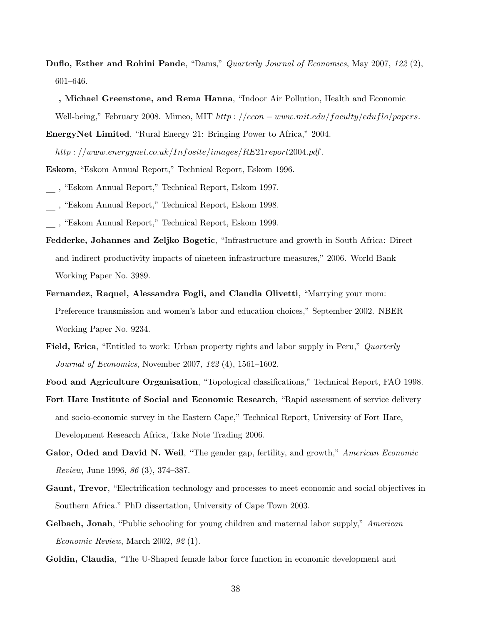- Duflo, Esther and Rohini Pande, "Dams," Quarterly Journal of Economics, May 2007, 122 (2), 601–646.
- , Michael Greenstone, and Rema Hanna, "Indoor Air Pollution, Health and Economic Well-being," February 2008. Mimeo, MIT  $http://econ-www.mit.edu/faculty/eduflo/papers$ .

EnergyNet Limited, "Rural Energy 21: Bringing Power to Africa," 2004.

http : //www.energynet.co.uk/Infosite/images/RE21report2004.pdf.

- Eskom, "Eskom Annual Report," Technical Report, Eskom 1996.
- , "Eskom Annual Report," Technical Report, Eskom 1997.
- , "Eskom Annual Report," Technical Report, Eskom 1998.
- , "Eskom Annual Report," Technical Report, Eskom 1999.
- Fedderke, Johannes and Zeljko Bogetic, "Infrastructure and growth in South Africa: Direct and indirect productivity impacts of nineteen infrastructure measures," 2006. World Bank Working Paper No. 3989.
- Fernandez, Raquel, Alessandra Fogli, and Claudia Olivetti, "Marrying your mom: Preference transmission and women's labor and education choices," September 2002. NBER Working Paper No. 9234.
- Field, Erica, "Entitled to work: Urban property rights and labor supply in Peru," Quarterly Journal of Economics, November 2007, 122 (4), 1561–1602.
- Food and Agriculture Organisation, "Topological classifications," Technical Report, FAO 1998.
- Fort Hare Institute of Social and Economic Research, "Rapid assessment of service delivery and socio-economic survey in the Eastern Cape," Technical Report, University of Fort Hare, Development Research Africa, Take Note Trading 2006.
- Galor, Oded and David N. Weil, "The gender gap, fertility, and growth," American Economic Review, June 1996, 86 (3), 374–387.
- Gaunt, Trevor, "Electrification technology and processes to meet economic and social objectives in Southern Africa." PhD dissertation, University of Cape Town 2003.
- Gelbach, Jonah, "Public schooling for young children and maternal labor supply," American Economic Review, March 2002, 92 (1).
- Goldin, Claudia, "The U-Shaped female labor force function in economic development and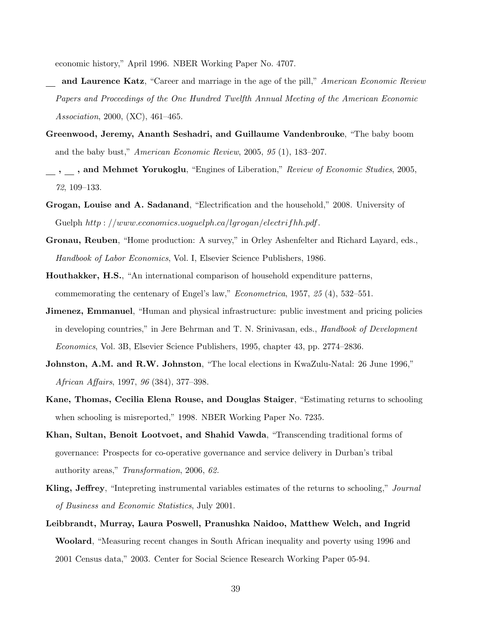economic history," April 1996. NBER Working Paper No. 4707.

- and Laurence Katz, "Career and marriage in the age of the pill," American Economic Review Papers and Proceedings of the One Hundred Twelfth Annual Meeting of the American Economic Association, 2000, (XC), 461–465.
- Greenwood, Jeremy, Ananth Seshadri, and Guillaume Vandenbrouke, "The baby boom and the baby bust," American Economic Review, 2005, 95 (1), 183–207.
- , , and Mehmet Yorukoglu, "Engines of Liberation," Review of Economic Studies, 2005, 72, 109–133.
- Grogan, Louise and A. Sadanand, "Electrification and the household," 2008. University of Guelph  $http://www.economics.uoquelph.ca/lqrogan/electrifhh.pdf$ .
- Gronau, Reuben, "Home production: A survey," in Orley Ashenfelter and Richard Layard, eds., Handbook of Labor Economics, Vol. I, Elsevier Science Publishers, 1986.
- Houthakker, H.S., "An international comparison of household expenditure patterns, commemorating the centenary of Engel's law," Econometrica, 1957, 25 (4), 532–551.
- Jimenez, Emmanuel, "Human and physical infrastructure: public investment and pricing policies in developing countries," in Jere Behrman and T. N. Srinivasan, eds., *Handbook of Development* Economics, Vol. 3B, Elsevier Science Publishers, 1995, chapter 43, pp. 2774–2836.
- Johnston, A.M. and R.W. Johnston, "The local elections in KwaZulu-Natal: 26 June 1996," African Affairs, 1997, 96 (384), 377–398.
- Kane, Thomas, Cecilia Elena Rouse, and Douglas Staiger, "Estimating returns to schooling when schooling is misreported," 1998. NBER Working Paper No. 7235.
- Khan, Sultan, Benoit Lootvoet, and Shahid Vawda, "Transcending traditional forms of governance: Prospects for co-operative governance and service delivery in Durban's tribal authority areas," Transformation, 2006, 62.
- Kling, Jeffrey, "Intepreting instrumental variables estimates of the returns to schooling," Journal of Business and Economic Statistics, July 2001.
- Leibbrandt, Murray, Laura Poswell, Pranushka Naidoo, Matthew Welch, and Ingrid Woolard, "Measuring recent changes in South African inequality and poverty using 1996 and 2001 Census data," 2003. Center for Social Science Research Working Paper 05-94.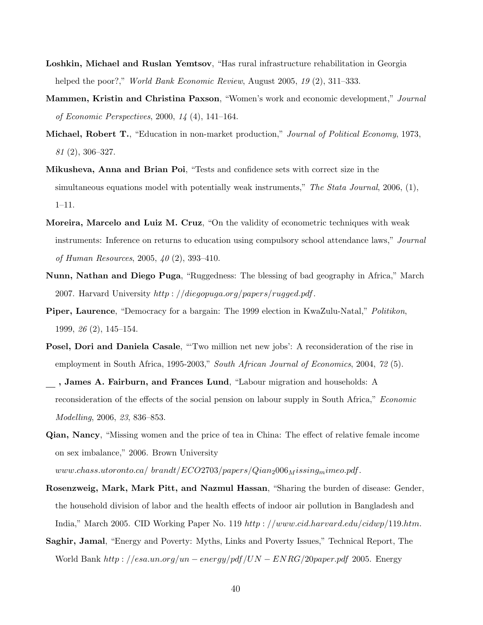- Loshkin, Michael and Ruslan Yemtsov, "Has rural infrastructure rehabilitation in Georgia helped the poor?," *World Bank Economic Review*, August 2005, 19 (2), 311–333.
- Mammen, Kristin and Christina Paxson, "Women's work and economic development," Journal of Economic Perspectives, 2000, 14 (4), 141–164.
- Michael, Robert T., "Education in non-market production," Journal of Political Economy, 1973, 81 (2), 306–327.
- Mikusheva, Anna and Brian Poi, "Tests and confidence sets with correct size in the simultaneous equations model with potentially weak instruments," The Stata Journal, 2006,  $(1)$ , 1–11.
- Moreira, Marcelo and Luiz M. Cruz, "On the validity of econometric techniques with weak instruments: Inference on returns to education using compulsory school attendance laws," Journal of Human Resources, 2005, 40 (2), 393–410.
- Nunn, Nathan and Diego Puga, "Ruggedness: The blessing of bad geography in Africa," March 2007. Harvard University  $http://diegopya.org/papers/rugged.pdf$ .
- Piper, Laurence, "Democracy for a bargain: The 1999 election in KwaZulu-Natal," Politikon, 1999, 26 (2), 145–154.
- Posel, Dori and Daniela Casale, "'Two million net new jobs': A reconsideration of the rise in employment in South Africa, 1995-2003," South African Journal of Economics, 2004, 72 (5).
- , James A. Fairburn, and Frances Lund, "Labour migration and households: A reconsideration of the effects of the social pension on labour supply in South Africa," Economic Modelling, 2006, 23, 836–853.
- Qian, Nancy, "Missing women and the price of tea in China: The effect of relative female income on sex imbalance," 2006. Brown University
	- www.chass.utoronto.ca/ brandt/ $ECO2703/papers/Qian_2006_Missing_mimeo.pdf$ .
- Rosenzweig, Mark, Mark Pitt, and Nazmul Hassan, "Sharing the burden of disease: Gender, the household division of labor and the health effects of indoor air pollution in Bangladesh and India," March 2005. CID Working Paper No. 119 http : //www.cid.harvard.edu/cidwp/119.htm.
- Saghir, Jamal, "Energy and Poverty: Myths, Links and Poverty Issues," Technical Report, The World Bank  $http://esa.un.org/un-energy/pdf/UN-ENRG/20paper.pdf$  2005. Energy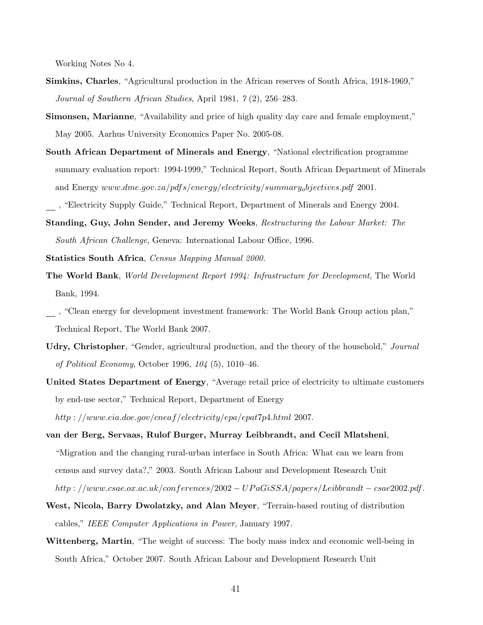Working Notes No 4.

- Simkins, Charles, "Agricultural production in the African reserves of South Africa, 1918-1969," Journal of Southern African Studies, April 1981, 7 (2), 256–283.
- Simonsen, Marianne, "Availability and price of high quality day care and female employment," May 2005. Aarhus University Economics Paper No. 2005-08.
- South African Department of Minerals and Energy, "National electrification programme summary evaluation report: 1994-1999," Technical Report, South African Department of Minerals and Energy www.dme.gov.za/pdfs/energy/electricity/summaryobjectives.pdf 2001.
- , "Electricity Supply Guide," Technical Report, Department of Minerals and Energy 2004.
- Standing, Guy, John Sender, and Jeremy Weeks, Restructuring the Labour Market: The South African Challenge, Geneva: International Labour Office, 1996.
- Statistics South Africa, Census Mapping Manual 2000.
- The World Bank, World Development Report 1994: Infrastructure for Development, The World Bank, 1994.
- , "Clean energy for development investment framework: The World Bank Group action plan," Technical Report, The World Bank 2007.
- Udry, Christopher, "Gender, agricultural production, and the theory of the household," Journal of Political Economy, October 1996, 104 (5), 1010–46.
- United States Department of Energy, "Average retail price of electricity to ultimate customers by end-use sector," Technical Report, Department of Energy http : //www.eia.doe.gov/cneaf /electricity/epa/epat7p4.html 2007.
- van der Berg, Servaas, Rulof Burger, Murray Leibbrandt, and Cecil Mlatsheni, "Migration and the changing rural-urban interface in South Africa: What can we learn from census and survey data?," 2003. South African Labour and Development Research Unit http : //www.csae.ox.ac.uk/conferences/2002 − UP aGiSSA/papers/Leibbrandt − csae2002.pdf.
- West, Nicola, Barry Dwolatzky, and Alan Meyer, "Terrain-based routing of distribution cables," IEEE Computer Applications in Power, January 1997.
- Wittenberg, Martin, "The weight of success: The body mass index and economic well-being in South Africa," October 2007. South African Labour and Development Research Unit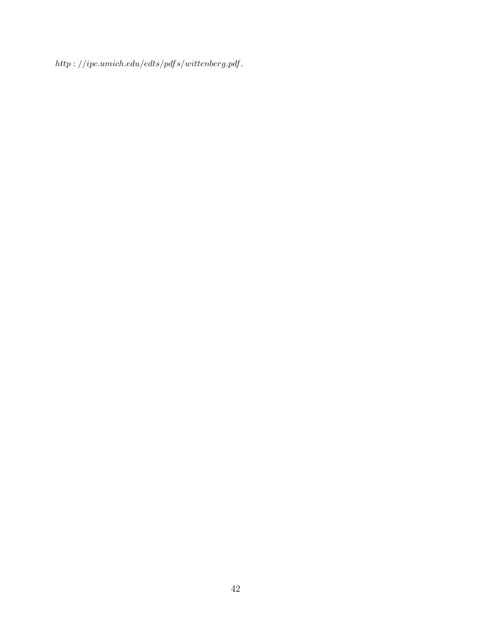$\label{thm:opt} http://ipc.umich.edu/edts/pdfs/withenberg.pdf.$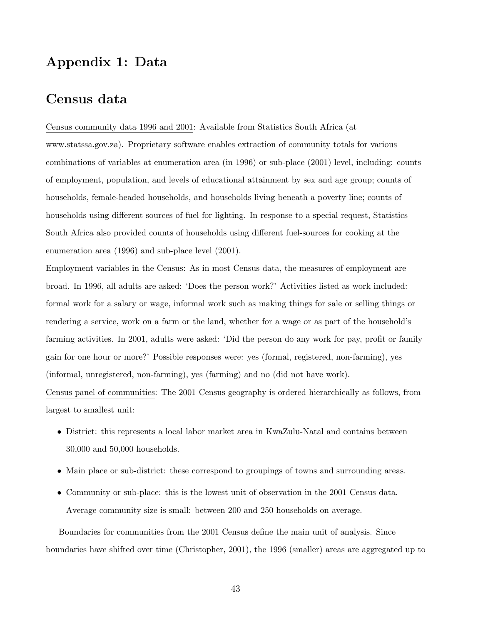# Appendix 1: Data

### Census data

Census community data 1996 and 2001: Available from Statistics South Africa (at www.statssa.gov.za). Proprietary software enables extraction of community totals for various combinations of variables at enumeration area (in 1996) or sub-place (2001) level, including: counts of employment, population, and levels of educational attainment by sex and age group; counts of households, female-headed households, and households living beneath a poverty line; counts of households using different sources of fuel for lighting. In response to a special request, Statistics South Africa also provided counts of households using different fuel-sources for cooking at the enumeration area (1996) and sub-place level (2001).

Employment variables in the Census: As in most Census data, the measures of employment are broad. In 1996, all adults are asked: 'Does the person work?' Activities listed as work included: formal work for a salary or wage, informal work such as making things for sale or selling things or rendering a service, work on a farm or the land, whether for a wage or as part of the household's farming activities. In 2001, adults were asked: 'Did the person do any work for pay, profit or family gain for one hour or more?' Possible responses were: yes (formal, registered, non-farming), yes (informal, unregistered, non-farming), yes (farming) and no (did not have work). Census panel of communities: The 2001 Census geography is ordered hierarchically as follows, from

largest to smallest unit:

- District: this represents a local labor market area in KwaZulu-Natal and contains between 30,000 and 50,000 households.
- Main place or sub-district: these correspond to groupings of towns and surrounding areas.
- Community or sub-place: this is the lowest unit of observation in the 2001 Census data. Average community size is small: between 200 and 250 households on average.

Boundaries for communities from the 2001 Census define the main unit of analysis. Since boundaries have shifted over time (Christopher, 2001), the 1996 (smaller) areas are aggregated up to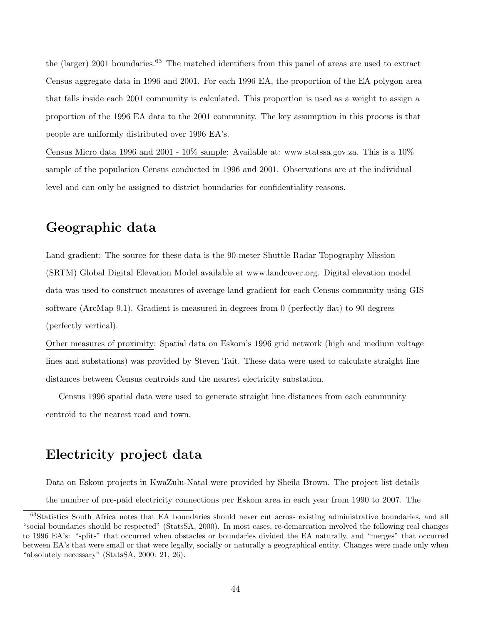the (larger) 2001 boundaries.<sup>63</sup> The matched identifiers from this panel of areas are used to extract Census aggregate data in 1996 and 2001. For each 1996 EA, the proportion of the EA polygon area that falls inside each 2001 community is calculated. This proportion is used as a weight to assign a proportion of the 1996 EA data to the 2001 community. The key assumption in this process is that people are uniformly distributed over 1996 EA's.

Census Micro data 1996 and 2001 - 10% sample: Available at: www.statssa.gov.za. This is a 10% sample of the population Census conducted in 1996 and 2001. Observations are at the individual level and can only be assigned to district boundaries for confidentiality reasons.

### Geographic data

Land gradient: The source for these data is the 90-meter Shuttle Radar Topography Mission (SRTM) Global Digital Elevation Model available at www.landcover.org. Digital elevation model data was used to construct measures of average land gradient for each Census community using GIS software (ArcMap 9.1). Gradient is measured in degrees from 0 (perfectly flat) to 90 degrees (perfectly vertical).

Other measures of proximity: Spatial data on Eskom's 1996 grid network (high and medium voltage lines and substations) was provided by Steven Tait. These data were used to calculate straight line distances between Census centroids and the nearest electricity substation.

Census 1996 spatial data were used to generate straight line distances from each community centroid to the nearest road and town.

# Electricity project data

Data on Eskom projects in KwaZulu-Natal were provided by Sheila Brown. The project list details

the number of pre-paid electricity connections per Eskom area in each year from 1990 to 2007. The

<sup>63</sup>Statistics South Africa notes that EA boundaries should never cut across existing administrative boundaries, and all "social boundaries should be respected" (StatsSA, 2000). In most cases, re-demarcation involved the following real changes to 1996 EA's: "splits" that occurred when obstacles or boundaries divided the EA naturally, and "merges" that occurred between EA's that were small or that were legally, socially or naturally a geographical entity. Changes were made only when "absolutely necessary" (StatsSA, 2000: 21, 26).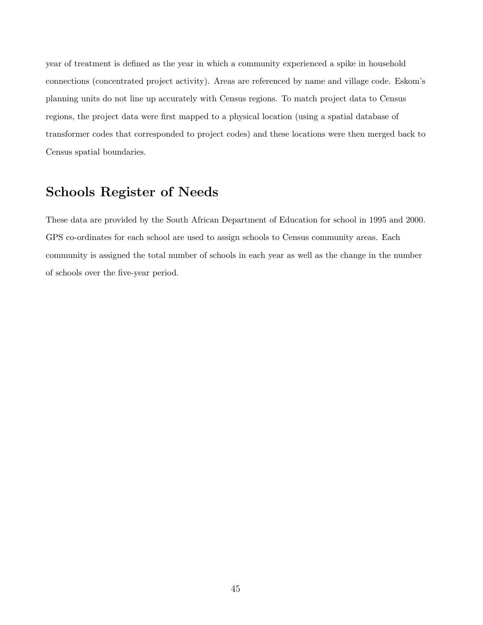year of treatment is defined as the year in which a community experienced a spike in household connections (concentrated project activity). Areas are referenced by name and village code. Eskom's planning units do not line up accurately with Census regions. To match project data to Census regions, the project data were first mapped to a physical location (using a spatial database of transformer codes that corresponded to project codes) and these locations were then merged back to Census spatial boundaries.

# Schools Register of Needs

These data are provided by the South African Department of Education for school in 1995 and 2000. GPS co-ordinates for each school are used to assign schools to Census community areas. Each community is assigned the total number of schools in each year as well as the change in the number of schools over the five-year period.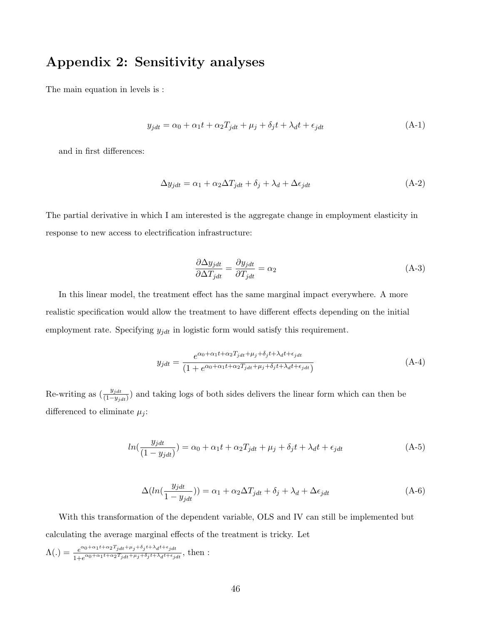# Appendix 2: Sensitivity analyses

The main equation in levels is :

$$
y_{jdt} = \alpha_0 + \alpha_1 t + \alpha_2 T_{jdt} + \mu_j + \delta_j t + \lambda_d t + \epsilon_{jdt}
$$
\n(A-1)

and in first differences:

$$
\Delta y_{jdt} = \alpha_1 + \alpha_2 \Delta T_{jdt} + \delta_j + \lambda_d + \Delta \epsilon_{jdt}
$$
\n(A-2)

The partial derivative in which I am interested is the aggregate change in employment elasticity in response to new access to electrification infrastructure:

$$
\frac{\partial \Delta y_{jdt}}{\partial \Delta T_{jdt}} = \frac{\partial y_{jdt}}{\partial T_{jdt}} = \alpha_2
$$
\n(A-3)

In this linear model, the treatment effect has the same marginal impact everywhere. A more realistic specification would allow the treatment to have different effects depending on the initial employment rate. Specifying  $y_{jdt}$  in logistic form would satisfy this requirement.

$$
y_{jdt} = \frac{e^{\alpha_0 + \alpha_1 t + \alpha_2 T_{jdt} + \mu_j + \delta_j t + \lambda_d t + \epsilon_{jdt}}}{(1 + e^{\alpha_0 + \alpha_1 t + \alpha_2 T_{jdt} + \mu_j + \delta_j t + \lambda_d t + \epsilon_{jdt})}}
$$
(A-4)

Re-writing as  $(\frac{y_{jdt}}{(1-y_{jdt})})$  and taking logs of both sides delivers the linear form which can then be differenced to eliminate  $\mu_i$ :

$$
ln(\frac{y_{jdt}}{(1-y_{jdt})}) = \alpha_0 + \alpha_1 t + \alpha_2 T_{jdt} + \mu_j + \delta_j t + \lambda_d t + \epsilon_{jdt}
$$
\n(A-5)

$$
\Delta(ln(\frac{y_{jdt}}{1 - y_{jdt}})) = \alpha_1 + \alpha_2 \Delta T_{jdt} + \delta_j + \lambda_d + \Delta \epsilon_{jdt}
$$
\n(A-6)

With this transformation of the dependent variable, OLS and IV can still be implemented but calculating the average marginal effects of the treatment is tricky. Let

$$
\Lambda(.) = \frac{e^{\alpha_0 + \alpha_1 t + \alpha_2 T_{jdt} + \mu_j + \delta_j t + \lambda_d t + \epsilon_{jdt}}}{1 + e^{\alpha_0 + \alpha_1 t + \alpha_2 T_{jdt} + \mu_j + \delta_j t + \lambda_d t + \epsilon_{jdt}}}, \text{ then :}
$$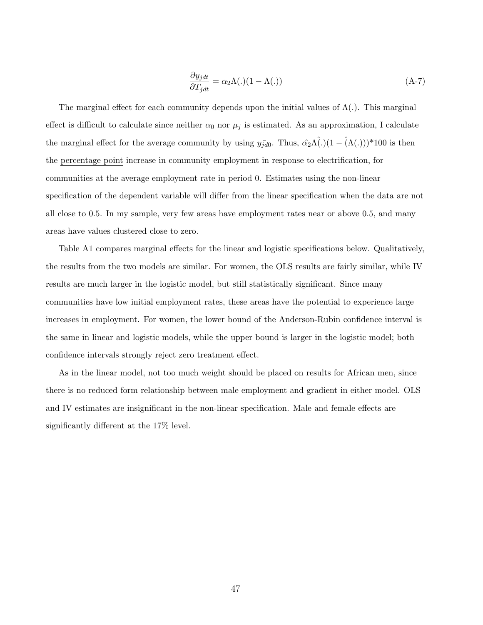$$
\frac{\partial y_{jdt}}{\partial T_{jdt}} = \alpha_2 \Lambda(.) (1 - \Lambda(.)) \tag{A-7}
$$

The marginal effect for each community depends upon the initial values of  $\Lambda(.)$ . This marginal effect is difficult to calculate since neither  $\alpha_0$  nor  $\mu_j$  is estimated. As an approximation, I calculate the marginal effect for the average community by using  $y_{\bar{j}d0}$ . Thus,  $\hat{\alpha_2}\Lambda(\dot{\cdot})(1 - (\Lambda(\dot{\cdot})))^*100$  is then the percentage point increase in community employment in response to electrification, for communities at the average employment rate in period 0. Estimates using the non-linear specification of the dependent variable will differ from the linear specification when the data are not all close to 0.5. In my sample, very few areas have employment rates near or above 0.5, and many areas have values clustered close to zero.

Table A1 compares marginal effects for the linear and logistic specifications below. Qualitatively, the results from the two models are similar. For women, the OLS results are fairly similar, while IV results are much larger in the logistic model, but still statistically significant. Since many communities have low initial employment rates, these areas have the potential to experience large increases in employment. For women, the lower bound of the Anderson-Rubin confidence interval is the same in linear and logistic models, while the upper bound is larger in the logistic model; both confidence intervals strongly reject zero treatment effect.

As in the linear model, not too much weight should be placed on results for African men, since there is no reduced form relationship between male employment and gradient in either model. OLS and IV estimates are insignificant in the non-linear specification. Male and female effects are significantly different at the 17% level.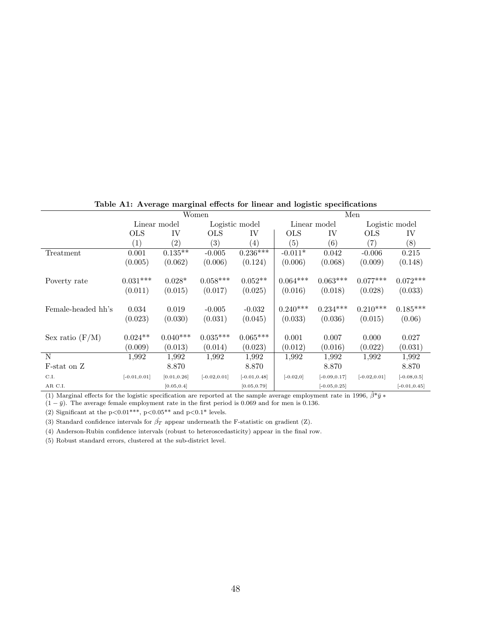|                    |                   |                   | Women             |                   | Men               |                 |                   |                 |
|--------------------|-------------------|-------------------|-------------------|-------------------|-------------------|-----------------|-------------------|-----------------|
|                    |                   | Linear model      |                   | Logistic model    |                   | Linear model    | Logistic model    |                 |
|                    | <b>OLS</b>        | IV                | <b>OLS</b>        | IV                | <b>OLS</b>        | IV              | <b>OLS</b>        | IV              |
|                    | $\left( 1\right)$ | $\left( 2\right)$ | $\left( 3\right)$ | $\left( 4\right)$ | $\left( 5\right)$ | (6)             | $\left( 7\right)$ | (8)             |
| Treatment          | 0.001             | $0.135***$        | $-0.005$          | $0.236***$        | $-0.011*$         | 0.042           | $-0.006$          | 0.215           |
|                    | (0.005)           | (0.062)           | (0.006)           | (0.124)           | (0.006)           | (0.068)         | (0.009)           | (0.148)         |
|                    |                   |                   |                   |                   |                   |                 |                   |                 |
| Poverty rate       | $0.031***$        | $0.028*$          | $0.058***$        | $0.052**$         | $0.064***$        | $0.063***$      | $0.077***$        | $0.072***$      |
|                    | (0.011)           | (0.015)           | (0.017)           | (0.025)           | (0.016)           | (0.018)         | (0.028)           | (0.033)         |
| Female-headed hh's | 0.034             | 0.019             | $-0.005$          | $-0.032$          | $0.240***$        | $0.234***$      | $0.210***$        | $0.185***$      |
|                    | (0.023)           | (0.030)           | (0.031)           | (0.045)           | (0.033)           | (0.036)         | (0.015)           | (0.06)          |
|                    |                   |                   |                   |                   |                   |                 |                   |                 |
| Sex ratio $(F/M)$  | $0.024**$         | $0.040***$        | $0.035***$        | $0.065***$        | 0.001             | 0.007           | 0.000             | 0.027           |
|                    | (0.009)           | (0.013)           | (0.014)           | (0.023)           | (0.012)           | (0.016)         | (0.022)           | (0.031)         |
| N                  | 1,992             | 1,992             | 1,992             | 1,992             | 1,992             | 1,992           | 1,992             | 1,992           |
| F-stat on Z        |                   | 8.870             |                   | 8.870             |                   | 8.870           |                   | 8.870           |
| C.I.               | $[-0.01, 0.01]$   | [0.01, 0.26]      | $[-0.02, 0.01]$   | $[-0.01, 0.48]$   | $[-0.02, 0]$      | $[-0.09, 0.17]$ | $[-0.02, 0.01]$   | $[-0.08, 0.5]$  |
| AR C.I.            |                   | [0.05, 0.4]       |                   | [0.05, 0.79]      |                   | $[-0.05, 0.25]$ |                   | $[-0.01, 0.45]$ |

Table A1: Average marginal effects for linear and logistic specifications

(1) Marginal effects for the logistic specification are reported at the sample average employment rate in 1996,  $\hat{\beta}^*\bar{y}$  \*

 $(1 - \bar{y})$ . The average female employment rate in the first period is 0.069 and for men is 0.136.

(2) Significant at the p<0.01\*\*\*, p<0.05\*\* and p<0.1\* levels.

(3) Standard confidence intervals for  $\hat{\beta}_T$  appear underneath the F-statistic on gradient (Z).

(4) Anderson-Rubin confidence intervals (robust to heteroscedasticity) appear in the final row.

(5) Robust standard errors, clustered at the sub-district level.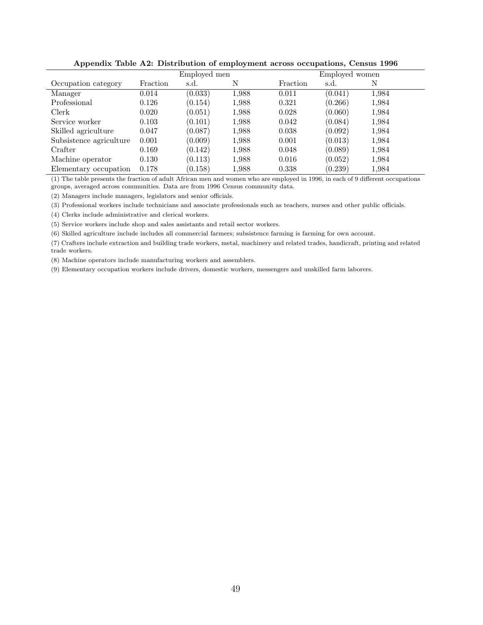|                         |          | Employed men |       |          | Employed women |       |  |  |
|-------------------------|----------|--------------|-------|----------|----------------|-------|--|--|
| Occupation category     | Fraction | s.d.         | Ν     | Fraction | s.d.           | Ν     |  |  |
| Manager                 | 0.014    | (0.033)      | 1,988 | 0.011    | (0.041)        | 1,984 |  |  |
| Professional            | 0.126    | (0.154)      | 1,988 | 0.321    | (0.266)        | 1,984 |  |  |
| Clerk                   | 0.020    | (0.051)      | 1,988 | 0.028    | (0.060)        | 1,984 |  |  |
| Service worker          | 0.103    | (0.101)      | 1,988 | 0.042    | (0.084)        | 1,984 |  |  |
| Skilled agriculture     | 0.047    | (0.087)      | 1,988 | 0.038    | (0.092)        | 1,984 |  |  |
| Subsistence agriculture | 0.001    | (0.009)      | 1,988 | 0.001    | (0.013)        | 1,984 |  |  |
| Crafter                 | 0.169    | (0.142)      | 1,988 | 0.048    | (0.089)        | 1,984 |  |  |
| Machine operator        | 0.130    | (0.113)      | 1,988 | 0.016    | (0.052)        | 1,984 |  |  |
| Elementary occupation   | 0.178    | (0.158)      | 1.988 | 0.338    | (0.239)        | 1,984 |  |  |

Appendix Table A2: Distribution of employment across occupations, Census 1996

(1) The table presents the fraction of adult African men and women who are employed in 1996, in each of 9 different occupations groups, averaged across communities. Data are from 1996 Census community data.

(2) Managers include managers, legislators and senior officials.

(3) Professional workers include technicians and associate professionals such as teachers, nurses and other public officials.

(4) Clerks include administrative and clerical workers.

(5) Service workers include shop and sales assistants and retail sector workers.

(6) Skilled agriculture include includes all commercial farmers; subsistence farming is farming for own account.

(7) Crafters include extraction and building trade workers, metal, machinery and related trades, handicraft, printing and related trade workers.

(8) Machine operators include manufacturing workers and assemblers.

(9) Elementary occupation workers include drivers, domestic workers, messengers and unskilled farm laborers.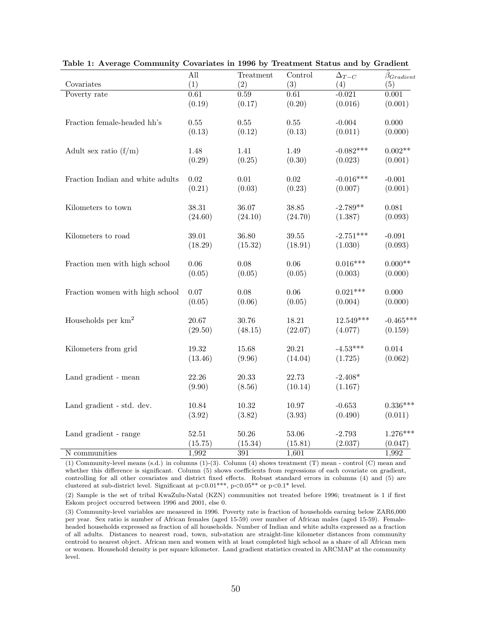|                                  | All       | Treatment | Control   | $\Delta_{T-C}$ | $\beta_{Gradient}$ |
|----------------------------------|-----------|-----------|-----------|----------------|--------------------|
| Covariates                       | (1)       | (2)       | (3)       | (4)            | (5)                |
| Poverty rate                     | 0.61      | 0.59      | 0.61      | $-0.021$       | 0.001              |
|                                  | (0.19)    | (0.17)    | (0.20)    | (0.016)        | (0.001)            |
| Fraction female-headed hh's      | $0.55\,$  | 0.55      | 0.55      | $-0.004$       | 0.000              |
|                                  | (0.13)    | (0.12)    | (0.13)    | (0.011)        | (0.000)            |
| Adult sex ratio $(f/m)$          | 1.48      | 1.41      | 1.49      | $-0.082***$    | $0.002**$          |
|                                  | (0.29)    | (0.25)    | (0.30)    | (0.023)        | (0.001)            |
| Fraction Indian and white adults | 0.02      | 0.01      | 0.02      | $-0.016***$    | $-0.001$           |
|                                  | (0.21)    | (0.03)    | (0.23)    | (0.007)        | (0.001)            |
| Kilometers to town               | 38.31     | 36.07     | 38.85     | $-2.789**$     | 0.081              |
|                                  | (24.60)   | (24.10)   | (24.70)   | (1.387)        | (0.093)            |
| Kilometers to road               | 39.01     | 36.80     | $39.55\,$ | $-2.751***$    | $-0.091$           |
|                                  | (18.29)   | (15.32)   | (18.91)   | (1.030)        | (0.093)            |
| Fraction men with high school    | 0.06      | 0.08      | $0.06\,$  | $0.016***$     | $0.000**$          |
|                                  | (0.05)    | (0.05)    | (0.05)    | (0.003)        | (0.000)            |
| Fraction women with high school  | 0.07      | 0.08      | 0.06      | $0.021***$     | 0.000              |
|                                  | (0.05)    | (0.06)    | (0.05)    | (0.004)        | (0.000)            |
| Households per $km2$             | 20.67     | 30.76     | 18.21     | $12.549***$    | $-0.465***$        |
|                                  | (29.50)   | (48.15)   | (22.07)   | (4.077)        | (0.159)            |
| Kilometers from grid             | $19.32\,$ | $15.68\,$ | 20.21     | $-4.53***$     | 0.014              |
|                                  | (13.46)   | (9.96)    | (14.04)   | (1.725)        | (0.062)            |
| Land gradient - mean             | 22.26     | 20.33     | 22.73     | $-2.408*$      |                    |
|                                  | (9.90)    | (8.56)    | (10.14)   | (1.167)        |                    |
| Land gradient - std. dev.        | 10.84     | 10.32     | 10.97     | $-0.653$       | $0.336***$         |
|                                  | (3.92)    | (3.82)    | (3.93)    | (0.490)        | (0.011)            |
| Land gradient - range            | $52.51\,$ | $50.26\,$ | 53.06     | $-2.793$       | $1.276***$         |
|                                  | (15.75)   | (15.34)   | (15.81)   | (2.037)        | (0.047)            |
| N communities                    | 1,992     | 391       | 1,601     |                | 1,992              |

Table 1: Average Community Covariates in 1996 by Treatment Status and by Gradient

(1) Community-level means (s.d.) in columns (1)-(3). Column (4) shows treatment (T) mean - control (C) mean and whether this difference is significant. Column (5) shows coefficients from regressions of each covariate on gradient, controlling for all other covariates and district fixed effects. Robust standard errors in columns (4) and (5) are clustered at sub-district level. Significant at  $p<0.01***$ ,  $p<0.05**$  or  $p<0.1*$  level.

(2) Sample is the set of tribal KwaZulu-Natal (KZN) communities not treated before 1996; treatment is 1 if first Eskom project occurred between 1996 and 2001, else 0.

(3) Community-level variables are measured in 1996. Poverty rate is fraction of households earning below ZAR6,000 per year. Sex ratio is number of African females (aged 15-59) over number of African males (aged 15-59). Femaleheaded households expressed as fraction of all households. Number of Indian and white adults expressed as a fraction of all adults. Distances to nearest road, town, sub-station are straight-line kilometer distances from community centroid to nearest object. African men and women with at least completed high school as a share of all African men or women. Household density is per square kilometer. Land gradient statistics created in ARCMAP at the community level.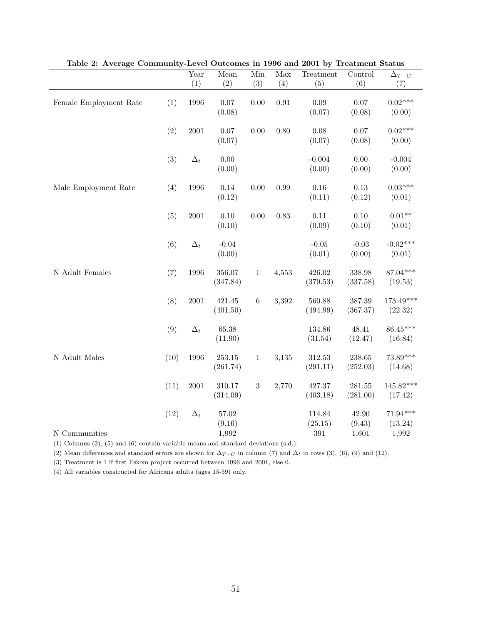|                        |      | Year       | Mean      | Min        | $\overline{\text{Max}}$ | Treatment        | Control  | $\Delta_{T-C}$ |
|------------------------|------|------------|-----------|------------|-------------------------|------------------|----------|----------------|
|                        |      | (1)        | (2)       | (3)        | (4)                     | (5)              | (6)      | (7)            |
|                        |      |            |           |            |                         |                  |          |                |
| Female Employment Rate | (1)  | 1996       | 0.07      | 0.00       | $\rm 0.91$              | 0.09             | 0.07     | $0.02***$      |
|                        |      |            | (0.08)    |            |                         | (0.07)           | (0.08)   | (0.00)         |
|                        |      |            |           |            |                         |                  |          |                |
|                        | (2)  | 2001       | 0.07      | 0.00       | 0.80                    | 0.08             | 0.07     | $0.02***$      |
|                        |      |            | (0.07)    |            |                         | (0.07)           | (0.08)   | (0.00)         |
|                        |      |            |           |            |                         |                  |          |                |
|                        | (3)  | $\Delta_t$ | $0.00\,$  |            |                         | $-0.004$         | 0.00     | $-0.004$       |
|                        |      |            | (0.00)    |            |                         | (0.00)           | (0.00)   | (0.00)         |
| Male Employment Rate   | (4)  | 1996       | $0.14\,$  | 0.00       | 0.99                    | $0.16\,$         | $0.13\,$ | $0.03***$      |
|                        |      |            | (0.12)    |            |                         | (0.11)           | (0.12)   | (0.01)         |
|                        |      |            |           |            |                         |                  |          |                |
|                        | (5)  | 2001       | $0.10\,$  | 0.00       | $0.83\,$                | $0.11\,$         | 0.10     | $0.01**$       |
|                        |      |            | (0.10)    |            |                         | (0.09)           | (0.10)   | (0.01)         |
|                        |      |            |           |            |                         |                  |          |                |
|                        | (6)  | $\Delta_t$ | $-0.04$   |            |                         | $-0.05$          | $-0.03$  | $-0.02***$     |
|                        |      |            | (0.00)    |            |                         | (0.01)           | (0.00)   | (0.01)         |
|                        |      |            |           |            |                         |                  |          |                |
| N Adult Females        | (7)  | 1996       | 356.07    | $\,1$      | 4,553                   | 426.02           | 338.98   | 87.04***       |
|                        |      |            | (347.84)  |            |                         | (379.53)         | (337.58) | (19.53)        |
|                        |      |            |           |            |                         |                  |          |                |
|                        | (8)  | $2001\,$   | 421.45    | $\,6\,$    | 3,392                   | 560.88           | 387.39   | $173.49***$    |
|                        |      |            | (401.50)  |            |                         | (494.99)         | (367.37) | (22.32)        |
|                        |      |            |           |            |                         |                  |          |                |
|                        | (9)  | $\Delta_t$ | $65.38\,$ |            |                         | 134.86           | 48.41    | $86.45***$     |
|                        |      |            | (11.90)   |            |                         | (31.54)          | (12.47)  | (16.84)        |
|                        |      |            |           |            |                         |                  |          |                |
| N Adult Males          | (10) | 1996       | 253.15    | $\,1\,$    | 3,135                   | 312.53           | 238.65   | 73.89***       |
|                        |      |            | (261.74)  |            |                         | (291.11)         | (252.03) | (14.68)        |
|                        | (11) | $2001\,$   | 310.17    | $\sqrt{3}$ | 2,770                   | 427.37           | 281.55   | $145.82***$    |
|                        |      |            | (314.09)  |            |                         | (403.18)         | (281.00) | (17.42)        |
|                        |      |            |           |            |                         |                  |          |                |
|                        | (12) | $\Delta_t$ | $57.02\,$ |            |                         | 114.84           | 42.90    | $71.94***$     |
|                        |      |            | (9.16)    |            |                         | (25.15)          | (9.43)   | (13.24)        |
| N Communities          |      |            | 1,992     |            |                         | $\overline{391}$ | 1,601    | 1,992          |

Table 2: Average Community-Level Outcomes in 1996 and 2001 by Treatment Status

(1) Columns (2), (5) and (6) contain variable means and standard deviations (s.d.).

(2) Mean differences and standard errors are shown for  $\Delta_{T-C}$  in column (7) and  $\Delta_t$  in rows (3), (6), (9) and (12).

(3) Treatment is 1 if first Eskom project occurred between 1996 and 2001, else 0.

(4) All variables constructed for Africans adults (ages 15-59) only.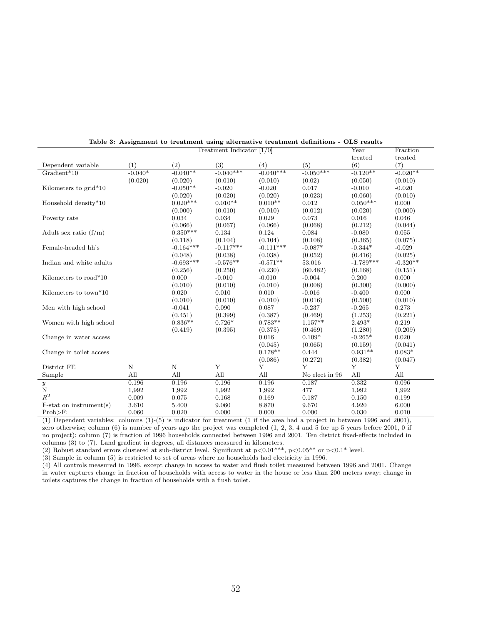| Treatment Indicator $[1/0]$ |             |             |             |             |                |             | Fraction   |
|-----------------------------|-------------|-------------|-------------|-------------|----------------|-------------|------------|
|                             |             |             |             |             |                | treated     | treated    |
| Dependent variable          | (1)         | (2)         | (3)         | (4)         | (5)            | (6)         | (7)        |
| $Gradient*10$               | $-0.040*$   | $-0.040**$  | $-0.040***$ | $-0.040***$ | $-0.050***$    | $-0.120**$  | $-0.020**$ |
|                             | (0.020)     | (0.020)     | (0.010)     | (0.010)     | (0.02)         | (0.050)     | (0.010)    |
| Kilometers to grid*10       |             | $-0.050**$  | $-0.020$    | $-0.020$    | 0.017          | $-0.010$    | $-0.020$   |
|                             |             | (0.020)     | (0.020)     | (0.020)     | (0.023)        | (0.060)     | (0.010)    |
| Household density*10        |             | $0.020***$  | $0.010**$   | $0.010**$   | 0.012          | $0.050***$  | 0.000      |
|                             |             | (0.000)     | (0.010)     | (0.010)     | (0.012)        | (0.020)     | (0.000)    |
| Poverty rate                |             | 0.034       | 0.034       | 0.029       | 0.073          | 0.016       | 0.046      |
|                             |             | (0.066)     | (0.067)     | (0.066)     | (0.068)        | (0.212)     | (0.044)    |
| Adult sex ratio $(f/m)$     |             | $0.350***$  | 0.134       | 0.124       | 0.084          | $-0.080$    | 0.055      |
|                             |             | (0.118)     | (0.104)     | (0.104)     | (0.108)        | (0.365)     | (0.075)    |
| Female-headed hh's          |             | $-0.164***$ | $-0.117***$ | $-0.111***$ | $-0.087*$      | $-0.344*$   | $-0.029$   |
|                             |             | (0.048)     | (0.038)     | (0.038)     | (0.052)        | (0.416)     | (0.025)    |
| Indian and white adults     |             | $-0.693***$ | $-0.576**$  | $-0.571**$  | 53.016         | $-1.789***$ | $-0.320**$ |
|                             |             | (0.256)     | (0.250)     | (0.230)     | (60.482)       | (0.168)     | (0.151)    |
| Kilometers to road*10       |             | 0.000       | $-0.010$    | $-0.010$    | $-0.004$       | 0.200       | 0.000      |
|                             |             | (0.010)     | (0.010)     | (0.010)     | (0.008)        | (0.300)     | (0.000)    |
| Kilometers to town*10       |             | 0.020       | 0.010       | 0.010       | $-0.016$       | $-0.400$    | 0.000      |
|                             |             | (0.010)     | (0.010)     | (0.010)     | (0.016)        | (0.500)     | (0.010)    |
| Men with high school        |             | $-0.041$    | 0.090       | 0.087       | $-0.237$       | $-0.265$    | 0.273      |
|                             |             | (0.451)     | (0.399)     | (0.387)     | (0.469)        | (1.253)     | (0.221)    |
| Women with high school      |             | $0.836**$   | $0.726*$    | $0.783**$   | $1.157**$      | $2.493*$    | 0.219      |
|                             |             | (0.419)     | (0.395)     | (0.375)     | (0.469)        | (1.280)     | (0.209)    |
| Change in water access      |             |             |             | 0.016       | $0.109*$       | $-0.265*$   | 0.020      |
|                             |             |             |             | (0.045)     | (0.065)        | (0.159)     | (0.041)    |
| Change in toilet access     |             |             |             | $0.178**$   | 0.444          | $0.931**$   | $0.083*$   |
|                             |             |             |             | (0.086)     | (0.272)        | (0.382)     | (0.047)    |
| District FE                 | $\mathbf N$ | $\rm N$     | Y           | Y           | Y              | Y           | Y          |
| Sample                      | All         | All         | All         | All         | No elect in 96 | All         | All        |
| $\overline{\overline{y}}_N$ | 0.196       | 0.196       | 0.196       | 0.196       | 0.187          | 0.332       | 0.096      |
|                             | 1,992       | 1,992       | 1,992       | 1,992       | 477            | 1,992       | 1,992      |
| $\mathbb{R}^2$              | 0.009       | 0.075       | 0.168       | 0.169       | 0.187          | 0.150       | 0.199      |
| $F-stat on instrument(s)$   | 3.610       | 5.400       | 9.060       | 8.870       | 9.670          | 4.920       | 6.000      |
| Prob>F:                     | 0.060       | 0.020       | 0.000       | 0.000       | 0.000          | 0.030       | 0.010      |

| Table 3: Assignment to treatment using alternative treatment definitions - OLS results |  |  |  |
|----------------------------------------------------------------------------------------|--|--|--|
|----------------------------------------------------------------------------------------|--|--|--|

(1) Dependent variables: columns (1)-(5) is indicator for treatment (1 if the area had a project in between 1996 and 2001), zero otherwise; column (6) is number of years ago the project was completed (1, 2, 3, 4 and 5 for up 5 years before 2001, 0 if no project); column (7) is fraction of 1996 households connected between 1996 and 2001. Ten district fixed-effects included in columns (3) to (7). Land gradient in degrees, all distances measured in kilometers.

(2) Robust standard errors clustered at sub-district level. Significant at  $p<0.01^{***}$ ,  $p<0.05^{**}$  or  $p<0.1^*$  level.

(3) Sample in column (5) is restricted to set of areas where no households had electricity in 1996.

(4) All controls measured in 1996, except change in access to water and flush toilet measured between 1996 and 2001. Change in water captures change in fraction of households with access to water in the house or less than 200 meters away; change in toilets captures the change in fraction of households with a flush toilet.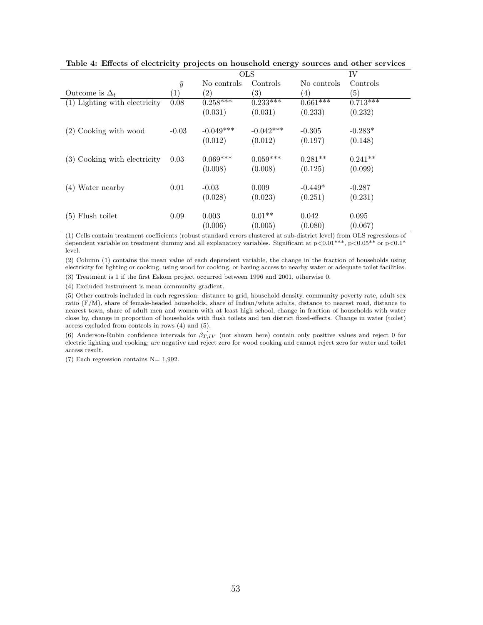|                                 |                   | <b>OLS</b>             |                        | IV                   |                       |  |
|---------------------------------|-------------------|------------------------|------------------------|----------------------|-----------------------|--|
|                                 | $\bar{y}$         | No controls            | Controls               | No controls          | Controls              |  |
| Outcome is $\Delta_t$           | $\left( 1\right)$ | (2)                    | (3)                    | $\left( 4\right)$    | (5)                   |  |
| $(1)$ Lighting with electricity | 0.08              | $0.258***$             | $0.233***$             | $0.661***$           | $0.71\overline{3***}$ |  |
|                                 |                   | (0.031)                | (0.031)                | (0.233)              | (0.232)               |  |
| (2) Cooking with wood           | $-0.03$           | $-0.049***$<br>(0.012) | $-0.042***$<br>(0.012) | $-0.305$<br>(0.197)  | $-0.283*$<br>(0.148)  |  |
| (3) Cooking with electricity    | 0.03              | $0.069***$<br>(0.008)  | $0.059***$<br>(0.008)  | $0.281**$<br>(0.125) | $0.241**$<br>(0.099)  |  |
| Water nearby<br>(4)             | 0.01              | $-0.03$<br>(0.028)     | 0.009<br>(0.023)       | $-0.449*$<br>(0.251) | $-0.287$<br>(0.231)   |  |
| $(5)$ Flush toilet              | 0.09              | 0.003<br>(0.006)       | $0.01**$<br>(0.005)    | 0.042<br>(0.080)     | 0.095<br>(0.067)      |  |

Table 4: Effects of electricity projects on household energy sources and other services

(1) Cells contain treatment coefficients (robust standard errors clustered at sub-district level) from OLS regressions of dependent variable on treatment dummy and all explanatory variables. Significant at  $p<0.01^{***}$ ,  $p<0.05^{**}$  or  $p<0.1^*$ level.

(2) Column (1) contains the mean value of each dependent variable, the change in the fraction of households using electricity for lighting or cooking, using wood for cooking, or having access to nearby water or adequate toilet facilities.

(3) Treatment is 1 if the first Eskom project occurred between 1996 and 2001, otherwise 0.

(4) Excluded instrument is mean community gradient.

(5) Other controls included in each regression: distance to grid, household density, community poverty rate, adult sex ratio (F/M), share of female-headed households, share of Indian/white adults, distance to nearest road, distance to nearest town, share of adult men and women with at least high school, change in fraction of households with water close by, change in proportion of households with flush toilets and ten district fixed-effects. Change in water (toilet) access excluded from controls in rows (4) and (5).

(6) Anderson-Rubin confidence intervals for  $\hat{\beta_{T,IV}}$  (not shown here) contain only positive values and reject 0 for electric lighting and cooking; are negative and reject zero for wood cooking and cannot reject zero for water and toilet access result.

(7) Each regression contains  $N= 1,992$ .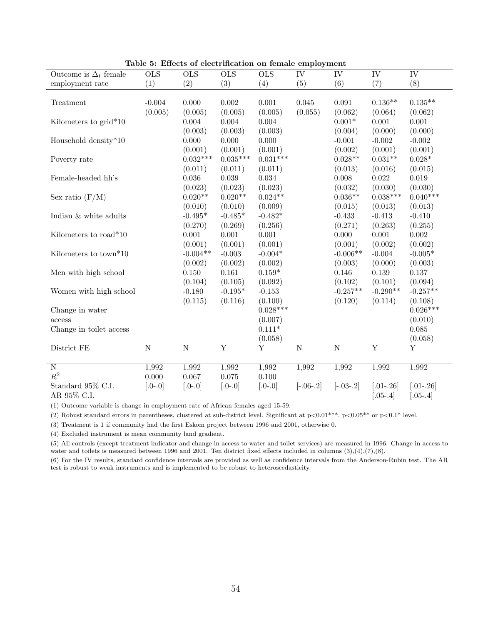| ravic<br>Outcome is $\Delta_t$ female | $\overline{\text{OLS}}$ | or Encoup of creemmeasion on female employments<br>$\overline{\text{OLS}}$ | $\overline{\text{OLS}}$ | <b>OLS</b>  | $\overline{\text{IV}}$ | $\overline{\text{IV}}$ | $\overline{\text{IV}}$ | IV           |
|---------------------------------------|-------------------------|----------------------------------------------------------------------------|-------------------------|-------------|------------------------|------------------------|------------------------|--------------|
| employment rate                       | (1)                     | (2)                                                                        | (3)                     | (4)         | (5)                    | (6)                    | (7)                    | (8)          |
|                                       |                         |                                                                            |                         |             |                        |                        |                        |              |
| Treatment                             | $-0.004$                | 0.000                                                                      | 0.002                   | 0.001       | 0.045                  | 0.091                  | $0.136**$              | $0.135**$    |
|                                       | (0.005)                 | (0.005)                                                                    | (0.005)                 | (0.005)     | (0.055)                | (0.062)                | (0.064)                | (0.062)      |
| Kilometers to grid*10                 |                         | 0.004                                                                      | 0.004                   | 0.004       |                        | $0.001*$               | 0.001                  | 0.001        |
|                                       |                         | (0.003)                                                                    | (0.003)                 | (0.003)     |                        | (0.004)                | (0.000)                | (0.000)      |
| Household density*10                  |                         | 0.000                                                                      | 0.000                   | 0.000       |                        | $-0.001$               | $-0.002$               | $-0.002$     |
|                                       |                         | (0.001)                                                                    | (0.001)                 | (0.001)     |                        | (0.002)                | (0.001)                | (0.001)      |
| Poverty rate                          |                         | $0.032***$                                                                 | $0.035***$              | $0.031***$  |                        | $0.028**$              | $0.031**$              | $0.028*$     |
|                                       |                         | (0.011)                                                                    | (0.011)                 | (0.011)     |                        | (0.013)                | (0.016)                | (0.015)      |
| Female-headed hh's                    |                         | $0.036\,$                                                                  | 0.039                   | $\,0.034\,$ |                        | 0.008                  | 0.022                  | 0.019        |
|                                       |                         | (0.023)                                                                    | (0.023)                 | (0.023)     |                        | (0.032)                | (0.030)                | (0.030)      |
| Sex ratio $(F/M)$                     |                         | $0.020**$                                                                  | $0.020**$               | $0.024**$   |                        | $0.036**$              | $0.038***$             | $0.040***$   |
|                                       |                         | (0.010)                                                                    | (0.010)                 | (0.009)     |                        | (0.015)                | (0.013)                | (0.013)      |
| Indian & white adults                 |                         | $-0.495*$                                                                  | $-0.485*$               | $-0.482*$   |                        | $-0.433$               | $-0.413$               | $-0.410$     |
|                                       |                         | (0.270)                                                                    | (0.269)                 | (0.256)     |                        | (0.271)                | (0.263)                | (0.255)      |
| Kilometers to road*10                 |                         | $0.001\,$                                                                  | $0.001\,$               | 0.001       |                        | 0.000                  | 0.001                  | $0.002\,$    |
|                                       |                         | (0.001)                                                                    | (0.001)                 | (0.001)     |                        | (0.001)                | (0.002)                | (0.002)      |
| Kilometers to town*10                 |                         | $-0.004**$                                                                 | $-0.003$                | $-0.004*$   |                        | $-0.006**$             | $-0.004$               | $-0.005*$    |
|                                       |                         | (0.002)                                                                    | (0.002)                 | (0.002)     |                        | (0.003)                | (0.000)                | (0.003)      |
| Men with high school                  |                         | 0.150                                                                      | 0.161                   | $0.159*$    |                        | 0.146                  | 0.139                  | 0.137        |
|                                       |                         | (0.104)                                                                    | (0.105)                 | (0.092)     |                        | (0.102)                | (0.101)                | (0.094)      |
| Women with high school                |                         | $-0.180$                                                                   | $-0.195*$               | $-0.153$    |                        | $-0.257**$             | $-0.290**$             | $-0.257**$   |
|                                       |                         | (0.115)                                                                    | (0.116)                 | (0.100)     |                        | (0.120)                | (0.114)                | (0.108)      |
| Change in water                       |                         |                                                                            |                         | $0.028***$  |                        |                        |                        | $0.026***$   |
| access                                |                         |                                                                            |                         | (0.007)     |                        |                        |                        | (0.010)      |
| Change in toilet access               |                         |                                                                            |                         | $0.111*$    |                        |                        |                        | 0.085        |
|                                       |                         |                                                                            |                         | (0.058)     |                        |                        |                        | (0.058)      |
| District FE                           | ${\rm N}$               | ${\rm N}$                                                                  | $\mathbf Y$             | Υ           | ${\bf N}$              | ${\bf N}$              | $\mathbf Y$            | Υ            |
|                                       |                         |                                                                            |                         |             |                        |                        |                        |              |
| $\overline{\text{N}}$                 | 1,992                   | 1,992                                                                      | 1,992                   | 1,992       | 1,992                  | 1,992                  | 1,992                  | 1,992        |
| $\mathbb{R}^2$                        | 0.000                   | $0.067\,$                                                                  | $0.075\,$               | $0.100\,$   |                        |                        |                        |              |
| Standard 95% C.I.                     | $[.0 - .0]$             | $[0.0 - 0]$                                                                | $[.0 - .0]$             | $[0.0 - 0]$ | $[-.06-.2]$            | $[-.03-.2]$            | $[.01-.26]$            | $[.01-.26]$  |
| AR 95% C.I.                           |                         |                                                                            |                         |             |                        |                        | $0.05 - .4$            | $.05 - .4$ ] |

Table 5: Effects of electrification on female employment

(1) Outcome variable is change in employment rate of African females aged 15-59.

(2) Robust standard errors in parentheses, clustered at sub-district level. Significant at  $p<0.01***$ ,  $p<0.05**$  or  $p<0.1*$  level.

(3) Treatment is 1 if community had the first Eskom project between 1996 and 2001, otherwise 0.

(4) Excluded instrument is mean community land gradient.

(5) All controls (except treatment indicator and change in access to water and toilet services) are measured in 1996. Change in access to water and toilets is measured between 1996 and 2001. Ten district fixed effects included in columns  $(3),(4),(7),(8)$ .

(6) For the IV results, standard confidence intervals are provided as well as confidence intervals from the Anderson-Rubin test. The AR test is robust to weak instruments and is implemented to be robust to heteroscedasticity.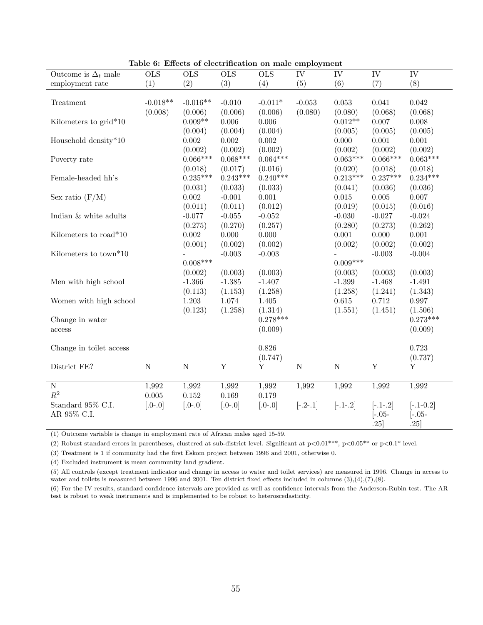|                            |                         | Table 6: Effects of electrification on male employment |                         |             |                        |                        |                        |                        |
|----------------------------|-------------------------|--------------------------------------------------------|-------------------------|-------------|------------------------|------------------------|------------------------|------------------------|
| Outcome is $\Delta_t$ male | $\overline{\text{OLS}}$ | $\overline{\text{OLS}}$                                | $\overline{\text{OLS}}$ | OLS         | $\overline{\text{IV}}$ | $\overline{\text{IV}}$ | $\overline{\text{IV}}$ | $\overline{\text{IV}}$ |
| employment rate            | (1)                     | (2)                                                    | (3)                     | (4)         | (5)                    | (6)                    | (7)                    | (8)                    |
|                            |                         |                                                        |                         |             |                        |                        |                        |                        |
| Treatment                  | $-0.018**$              | $-0.016**$                                             | $-0.010$                | $-0.011*$   | $-0.053$               | 0.053                  | 0.041                  | 0.042                  |
|                            | (0.008)                 | (0.006)                                                | (0.006)                 | (0.006)     | (0.080)                | (0.080)                | (0.068)                | (0.068)                |
| Kilometers to grid*10      |                         | $0.009**$                                              | 0.006                   | 0.006       |                        | $0.012**$              | 0.007                  | 0.008                  |
|                            |                         | (0.004)                                                | (0.004)                 | (0.004)     |                        | (0.005)                | (0.005)                | (0.005)                |
| Household density*10       |                         | $0.002\,$                                              | 0.002                   | 0.002       |                        | 0.000                  | 0.001                  | 0.001                  |
|                            |                         | (0.002)                                                | (0.002)                 | (0.002)     |                        | (0.002)                | (0.002)                | (0.002)                |
| Poverty rate               |                         | $0.066***$                                             | $0.068***$              | $0.064***$  |                        | $0.063***$             | $0.066***$             | $0.063***$             |
|                            |                         | (0.018)                                                | (0.017)                 | (0.016)     |                        | (0.020)                | (0.018)                | (0.018)                |
| Female-headed hh's         |                         | $0.235***$                                             | $0.243***$              | $0.240***$  |                        | $0.213***$             | $0.237***$             | $0.234***$             |
|                            |                         | (0.031)                                                | (0.033)                 | (0.033)     |                        | (0.041)                | (0.036)                | (0.036)                |
| Sex ratio $(F/M)$          |                         | 0.002                                                  | $-0.001$                | 0.001       |                        | 0.015                  | 0.005                  | 0.007                  |
|                            |                         | (0.011)                                                | (0.011)                 | (0.012)     |                        | (0.019)                | (0.015)                | (0.016)                |
| Indian & white adults      |                         | $-0.077$                                               | $-0.055$                | $-0.052$    |                        | $-0.030$               | $-0.027$               | $-0.024$               |
|                            |                         | (0.275)                                                | (0.270)                 | (0.257)     |                        | (0.280)                | (0.273)                | (0.262)                |
| Kilometers to road*10      |                         | 0.002                                                  | 0.000                   | 0.000       |                        | 0.001                  | 0.000                  | $0.001\,$              |
|                            |                         | (0.001)                                                | (0.002)                 | (0.002)     |                        | (0.002)                | (0.002)                | (0.002)                |
| Kilometers to town*10      |                         |                                                        | $-0.003$                | $-0.003$    |                        |                        | $-0.003$               | $-0.004$               |
|                            |                         | $0.008***$                                             |                         |             |                        | $0.009***$             |                        |                        |
|                            |                         | (0.002)                                                | (0.003)                 | (0.003)     |                        | (0.003)                | (0.003)                | (0.003)                |
| Men with high school       |                         | $-1.366$                                               | $-1.385$                | $-1.407$    |                        | $-1.399$               | $-1.468$               | $-1.491$               |
|                            |                         | (0.113)                                                | (1.153)                 | (1.258)     |                        | (1.258)                | (1.241)                | (1.343)                |
| Women with high school     |                         | 1.203                                                  | 1.074                   | 1.405       |                        | $0.615\,$              | 0.712                  | 0.997                  |
|                            |                         | (0.123)                                                | (1.258)                 | (1.314)     |                        | (1.551)                | (1.451)                | (1.506)                |
| Change in water            |                         |                                                        |                         | $0.278***$  |                        |                        |                        | $0.273***$             |
| access                     |                         |                                                        |                         | (0.009)     |                        |                        |                        | (0.009)                |
|                            |                         |                                                        |                         |             |                        |                        |                        |                        |
| Change in toilet access    |                         |                                                        |                         | 0.826       |                        |                        |                        | 0.723                  |
|                            |                         |                                                        |                         | (0.747)     |                        |                        |                        | (0.737)                |
| District FE?               | ${\bf N}$               | ${\bf N}$                                              | Y                       | Y           | ${\rm N}$              | ${\bf N}$              | $\mathbf Y$            | Y                      |
|                            |                         |                                                        |                         |             |                        |                        |                        |                        |
| $\overline{\text{N}}$      | 1,992                   | 1,992                                                  | 1,992                   | 1,992       | 1,992                  | 1,992                  | 1,992                  | 1,992                  |
| $\mathbb{R}^2$             | $0.005\,$               | $0.152\,$                                              | $0.169\,$               | 0.179       |                        |                        |                        |                        |
| Standard 95% C.I.          | $[.0 - .0]$             | $[0.0 - 0]$                                            | $[.0 - .0]$             | $[.0 - .0]$ | $[-.2-.1]$             | $[-.1-.2]$             | $[-.1-.2]$             | $[-.1 - 0.2]$          |
| AR 95% C.I.                |                         |                                                        |                         |             |                        |                        | $[-.05 -$              | $[-.05 -$              |
|                            |                         |                                                        |                         |             |                        |                        | .25]                   | .25                    |

Table 6: Effects of electrification on male employment

(1) Outcome variable is change in employment rate of African males aged 15-59.

(2) Robust standard errors in parentheses, clustered at sub-district level. Significant at  $p<0.01***$ ,  $p<0.05**$  or  $p<0.1*$  level.

(3) Treatment is 1 if community had the first Eskom project between 1996 and 2001, otherwise 0.

(4) Excluded instrument is mean community land gradient.

(5) All controls (except treatment indicator and change in access to water and toilet services) are measured in 1996. Change in access to water and toilets is measured between 1996 and 2001. Ten district fixed effects included in columns  $(3),(4),(7),(8)$ .

(6) For the IV results, standard confidence intervals are provided as well as confidence intervals from the Anderson-Rubin test. The AR test is robust to weak instruments and is implemented to be robust to heteroscedasticity.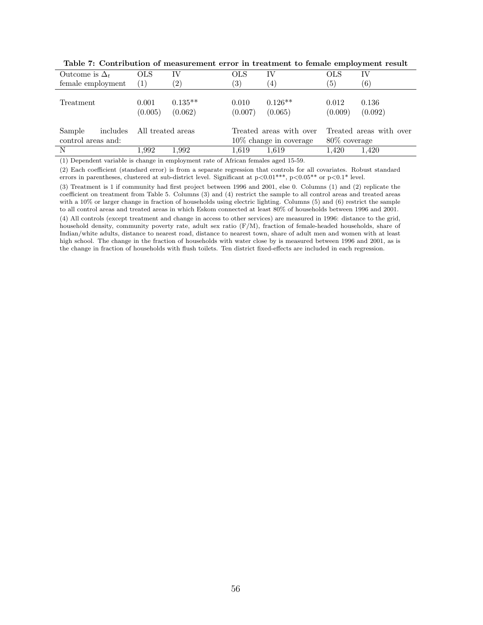| Outcome is $\Delta_t$                    | OLS               | IV                   | OLS              | IV                                                   | $_{\rm OLS}$     | IV                      |
|------------------------------------------|-------------------|----------------------|------------------|------------------------------------------------------|------------------|-------------------------|
| female employment                        | $\left(1\right)$  | $\left( 2\right)$    | (3)              | $\left( 4\right)$                                    | 5)               | $\left(6\right)$        |
| Treatment                                | 0.001<br>(0.005)  | $0.135**$<br>(0.062) | 0.010<br>(0.007) | $0.126**$<br>(0.065)                                 | 0.012<br>(0.009) | 0.136<br>(0.092)        |
| includes<br>Sample<br>control areas and: | All treated areas |                      |                  | Treated areas with over<br>$10\%$ change in coverage | 80\% coverage    | Treated areas with over |
| N                                        | 1.992             | 1,992                | 1,619            | 1.619                                                | 1.420            | 1,420                   |

Table 7: Contribution of measurement error in treatment to female employment result

(1) Dependent variable is change in employment rate of African females aged 15-59.

(2) Each coefficient (standard error) is from a separate regression that controls for all covariates. Robust standard errors in parentheses, clustered at sub-district level. Significant at  $p<0.01***$ ,  $p<0.05**$  or  $p<0.1*$  level.

(3) Treatment is 1 if community had first project between 1996 and 2001, else 0. Columns (1) and (2) replicate the coefficient on treatment from Table 5. Columns (3) and (4) restrict the sample to all control areas and treated areas with a 10% or larger change in fraction of households using electric lighting. Columns (5) and (6) restrict the sample to all control areas and treated areas in which Eskom connected at least 80% of households between 1996 and 2001.

(4) All controls (except treatment and change in access to other services) are measured in 1996: distance to the grid, household density, community poverty rate, adult sex ratio (F/M), fraction of female-headed households, share of Indian/white adults, distance to nearest road, distance to nearest town, share of adult men and women with at least high school. The change in the fraction of households with water close by is measured between 1996 and 2001, as is the change in fraction of households with flush toilets. Ten district fixed-effects are included in each regression.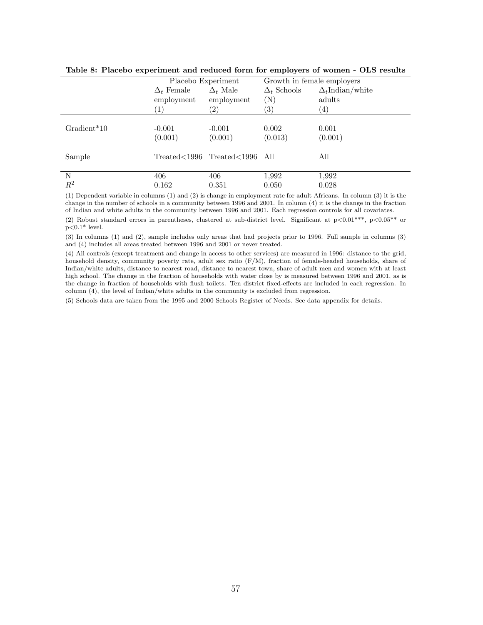|               | Placebo Experiment                   |                               | Growth in female employers |                         |  |  |
|---------------|--------------------------------------|-------------------------------|----------------------------|-------------------------|--|--|
|               | $\Delta_t$ Male<br>$\Delta_t$ Female |                               | $\Delta_t$ Schools         | $\Delta_t$ Indian/white |  |  |
|               | employment                           | employment                    | $({\rm N})$                | adults                  |  |  |
|               | (1)                                  | $\left( 2\right)$             | $\left(3\right)$           | $\left( 4\right)$       |  |  |
|               |                                      |                               |                            |                         |  |  |
| $Gradient*10$ | $-0.001$                             | $-0.001$                      | 0.002                      | 0.001                   |  |  |
|               | (0.001)                              | (0.001)                       | (0.013)                    | (0.001)                 |  |  |
| Sample        |                                      | Treated<1996 Treated<1996 All |                            | All                     |  |  |
|               |                                      |                               |                            |                         |  |  |
| N             | 406                                  | 406                           | 1,992                      | 1,992                   |  |  |
| $R^2$         | 0.162                                | 0.351                         | 0.050                      | 0.028                   |  |  |

Table 8: Placebo experiment and reduced form for employers of women - OLS results

(1) Dependent variable in columns (1) and (2) is change in employment rate for adult Africans. In column (3) it is the change in the number of schools in a community between 1996 and 2001. In column (4) it is the change in the fraction of Indian and white adults in the community between 1996 and 2001. Each regression controls for all covariates.

(2) Robust standard errors in parentheses, clustered at sub-district level. Significant at  $p<0.01***$ ,  $p<0.05**$  or  $p<0.1*$  level.

(3) In columns (1) and (2), sample includes only areas that had projects prior to 1996. Full sample in columns (3) and (4) includes all areas treated between 1996 and 2001 or never treated.

(4) All controls (except treatment and change in access to other services) are measured in 1996: distance to the grid, household density, community poverty rate, adult sex ratio (F/M), fraction of female-headed households, share of Indian/white adults, distance to nearest road, distance to nearest town, share of adult men and women with at least high school. The change in the fraction of households with water close by is measured between 1996 and 2001, as is the change in fraction of households with flush toilets. Ten district fixed-effects are included in each regression. In column (4), the level of Indian/white adults in the community is excluded from regression.

(5) Schools data are taken from the 1995 and 2000 Schools Register of Needs. See data appendix for details.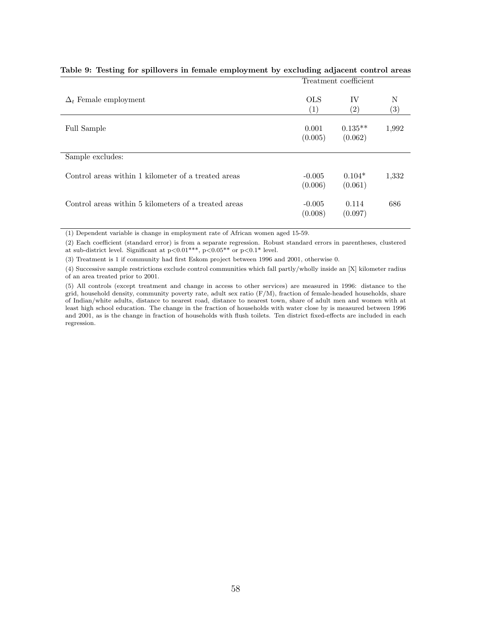|                                                      |                     | Treatment coefficient   |                        |
|------------------------------------------------------|---------------------|-------------------------|------------------------|
| $\Delta_t$ Female employment                         | <b>OLS</b><br>(1)   | IV<br>$\left( 2\right)$ | Ν<br>$\left( 3\right)$ |
| Full Sample                                          | 0.001<br>(0.005)    | $0.135**$<br>(0.062)    | 1,992                  |
| Sample excludes:                                     |                     |                         |                        |
| Control areas within 1 kilometer of a treated areas  | $-0.005$<br>(0.006) | $0.104*$<br>(0.061)     | 1,332                  |
| Control areas within 5 kilometers of a treated areas | $-0.005$<br>(0.008) | 0.114<br>(0.097)        | 686                    |

#### Table 9: Testing for spillovers in female employment by excluding adjacent control areas

(1) Dependent variable is change in employment rate of African women aged 15-59.

(2) Each coefficient (standard error) is from a separate regression. Robust standard errors in parentheses, clustered at sub-district level. Significant at p<0.01\*\*\*, p<0.05\*\* or p<0.1\* level.

(3) Treatment is 1 if community had first Eskom project between 1996 and 2001, otherwise 0.

(4) Successive sample restrictions exclude control communities which fall partly/wholly inside an [X] kilometer radius of an area treated prior to 2001.

(5) All controls (except treatment and change in access to other services) are measured in 1996: distance to the grid, household density, community poverty rate, adult sex ratio  $(F/M)$ , fraction of female-headed households, share of Indian/white adults, distance to nearest road, distance to nearest town, share of adult men and women with at least high school education. The change in the fraction of households with water close by is measured between 1996 and 2001, as is the change in fraction of households with flush toilets. Ten district fixed-effects are included in each regression.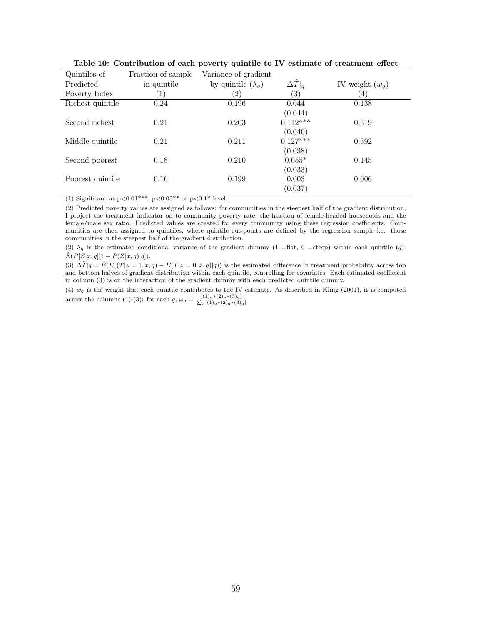| Quintiles of     | Fraction of sample | Variance of gradient      |                      |                   |
|------------------|--------------------|---------------------------|----------------------|-------------------|
| Predicted        | in quintile        | by quintile $(\lambda_a)$ | $ \Delta \hat{T} _q$ | IV weight $(w_q)$ |
| Poverty Index    | 1                  | $\left( 2\right)$         | $\left( 3\right)$    | $\left(4\right)$  |
| Richest quintile | 0.24               | 0.196                     | 0.044                | 0.138             |
|                  |                    |                           | (0.044)              |                   |
| Second richest   | 0.21               | 0.203                     | $0.112***$           | 0.319             |
|                  |                    |                           | (0.040)              |                   |
| Middle quintile  | 0.21               | 0.211                     | $0.127***$           | 0.392             |
|                  |                    |                           | (0.038)              |                   |
| Second poorest   | 0.18               | 0.210                     | $0.055*$             | 0.145             |
|                  |                    |                           | (0.033)              |                   |
| Poorest quintile | 0.16               | 0.199                     | 0.003                | 0.006             |
|                  |                    |                           | (0.037)              |                   |

Table 10: Contribution of each poverty quintile to IV estimate of treatment effect

(1) Significant at  $p < 0.01***$ ,  $p < 0.05**$  or  $p < 0.1*$  level.

(2) Predicted poverty values are assigned as follows: for communities in the steepest half of the gradient distribution, I project the treatment indicator on to community poverty rate, the fraction of female-headed households and the female/male sex ratio. Predicted values are created for every community using these regression coefficients. Communities are then assigned to quintiles, where quintile cut-points are defined by the regression sample i.e. those communities in the steepest half of the gradient distribution.

(2)  $\lambda_q$  is the estimated conditional variance of the gradient dummy (1 =flat, 0 =steep) within each quintile (q):  $\hat{E}(P[Z|x, q][1 - P(Z|x, q)|q]).$ 

(3)  $\Delta \hat{T} |q = \hat{E}(E((T|z=1, x, q) - \hat{E}(T|z=0, x, q)|q))$  is the estimated difference in treatment probability across top and bottom halves of gradient distribution within each quintile, controlling for covariates. Each estimated coefficient in column (3) is on the interaction of the gradient dummy with each predicted quintile dummy.

(4)  $w_q$  is the weight that each quintile contributes to the IV estimate. As described in Kling (2001), it is computed across the columns (1)-(3): for each  $q, \omega_q = \frac{[(1)_q * (2)_q * (3)_q]}{\sum_q [(1)_q * (2)_q * (3)]}$  $_q[(1)_q*(2)_q*(3)_q]$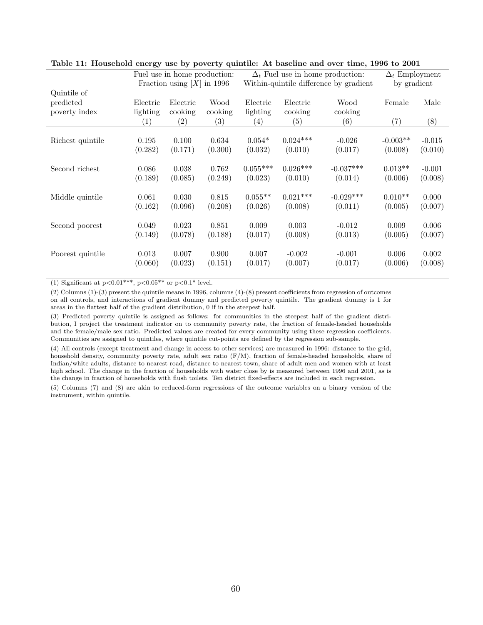|                   |                      |                     |                                                                                 |                      | $\Delta_t$ Employment<br>by gradient |                                                                                                      |          |
|-------------------|----------------------|---------------------|---------------------------------------------------------------------------------|----------------------|--------------------------------------|------------------------------------------------------------------------------------------------------|----------|
|                   |                      |                     |                                                                                 |                      |                                      |                                                                                                      |          |
|                   |                      |                     |                                                                                 |                      |                                      |                                                                                                      | Male     |
| $\left( 1\right)$ | $\left( 2\right)$    | (3)                 | (4)                                                                             | (5)                  | (6)                                  | (7)                                                                                                  | (8)      |
| 0.195             | 0.100                | 0.634               | $0.054*$                                                                        | $0.024***$           | $-0.026$                             | $-0.003**$                                                                                           | $-0.015$ |
| (0.282)           | (0.171)              | (0.300)             | (0.032)                                                                         | (0.010)              | (0.017)                              | (0.008)                                                                                              | (0.010)  |
| 0.086             | 0.038                | 0.762               | $0.055***$                                                                      | $0.026***$           | $-0.037***$                          | $0.013**$                                                                                            | $-0.001$ |
| (0.189)           | (0.085)              | (0.249)             | (0.023)                                                                         | (0.010)              | (0.014)                              | (0.006)                                                                                              | (0.008)  |
| 0.061             | 0.030                | 0.815               | $0.055**$                                                                       | $0.021***$           | $-0.029***$                          | $0.010**$                                                                                            | 0.000    |
| (0.162)           | (0.096)              | (0.208)             | (0.026)                                                                         | (0.008)              | (0.011)                              | (0.005)                                                                                              | (0.007)  |
| 0.049             | 0.023                | 0.851               | 0.009                                                                           | 0.003                | $-0.012$                             | 0.009                                                                                                | 0.006    |
| (0.149)           | (0.078)              | (0.188)             | (0.017)                                                                         | (0.008)              | (0.013)                              | (0.005)                                                                                              | (0.007)  |
| 0.013             | 0.007                | 0.900               | 0.007                                                                           | $-0.002$             | $-0.001$                             | 0.006                                                                                                | 0.002    |
| (0.060)           | (0.023)              | (0.151)             | (0.017)                                                                         | (0.007)              | (0.017)                              | (0.006)                                                                                              | (0.008)  |
|                   | Electric<br>lighting | Electric<br>cooking | Fuel use in home production:<br>Fraction using $[X]$ in 1996<br>Wood<br>cooking | Electric<br>lighting | Electric<br>cooking                  | $\Delta_t$ Fuel use in home production:<br>Within-quintile difference by gradient<br>Wood<br>cooking | Female   |

Table 11: Household energy use by poverty quintile: At baseline and over time, 1996 to 2001

(1) Significant at  $p<0.01***$ ,  $p<0.05**$  or  $p<0.1*$  level.

(2) Columns (1)-(3) present the quintile means in 1996, columns (4)-(8) present coefficients from regression of outcomes on all controls, and interactions of gradient dummy and predicted poverty quintile. The gradient dummy is 1 for areas in the flattest half of the gradient distribution, 0 if in the steepest half.

(3) Predicted poverty quintile is assigned as follows: for communities in the steepest half of the gradient distribution, I project the treatment indicator on to community poverty rate, the fraction of female-headed households and the female/male sex ratio. Predicted values are created for every community using these regression coefficients. Communities are assigned to quintiles, where quintile cut-points are defined by the regression sub-sample.

(4) All controls (except treatment and change in access to other services) are measured in 1996: distance to the grid, household density, community poverty rate, adult sex ratio (F/M), fraction of female-headed households, share of Indian/white adults, distance to nearest road, distance to nearest town, share of adult men and women with at least high school. The change in the fraction of households with water close by is measured between 1996 and 2001, as is the change in fraction of households with flush toilets. Ten district fixed-effects are included in each regression.

(5) Columns (7) and (8) are akin to reduced-form regressions of the outcome variables on a binary version of the instrument, within quintile.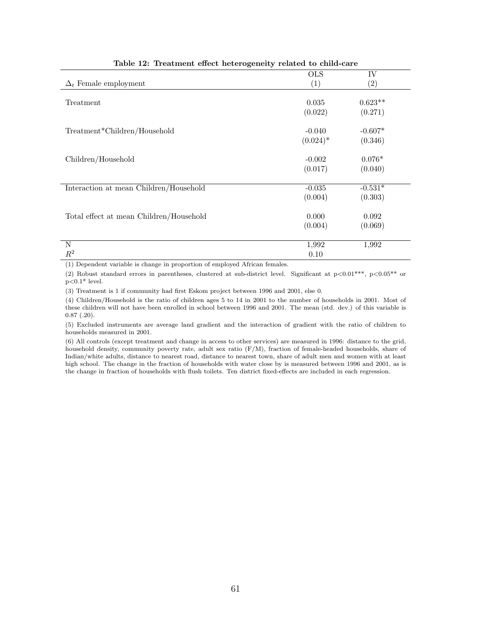|                                         | <b>OLS</b>  | IV                |
|-----------------------------------------|-------------|-------------------|
| $\Delta_t$ Female employment            | (1)         | $\left( 2\right)$ |
|                                         |             |                   |
| Treatment                               | 0.035       | $0.623**$         |
|                                         | (0.022)     | (0.271)           |
|                                         |             |                   |
| Treatment*Children/Household            | $-0.040$    | $-0.607*$         |
|                                         | $(0.024)^*$ | (0.346)           |
|                                         |             |                   |
| Children/Household                      | $-0.002$    | $0.076*$          |
|                                         | (0.017)     | (0.040)           |
|                                         |             |                   |
| Interaction at mean Children/Household  | $-0.035$    | $-0.531*$         |
|                                         | (0.004)     | (0.303)           |
|                                         |             |                   |
| Total effect at mean Children/Household | 0.000       | 0.092             |
|                                         | (0.004)     | (0.069)           |
|                                         |             |                   |
| N                                       | 1,992       | 1,992             |
| $R^2$                                   | 0.10        |                   |
|                                         |             |                   |

Table 12: Treatment effect heterogeneity related to child-care

(1) Dependent variable is change in proportion of employed African females.

(2) Robust standard errors in parentheses, clustered at sub-district level. Significant at p<0.01\*\*\*, p<0.05\*\* or  $p<0.1*$  level.

(3) Treatment is 1 if community had first Eskom project between 1996 and 2001, else 0.

(4) Children/Household is the ratio of children ages 5 to 14 in 2001 to the number of households in 2001. Most of these children will not have been enrolled in school between 1996 and 2001. The mean (std. dev.) of this variable is 0.87 (.20).

(5) Excluded instruments are average land gradient and the interaction of gradient with the ratio of children to households measured in 2001.

(6) All controls (except treatment and change in access to other services) are measured in 1996: distance to the grid, household density, community poverty rate, adult sex ratio (F/M), fraction of female-headed households, share of Indian/white adults, distance to nearest road, distance to nearest town, share of adult men and women with at least high school. The change in the fraction of households with water close by is measured between 1996 and 2001, as is the change in fraction of households with flush toilets. Ten district fixed-effects are included in each regression.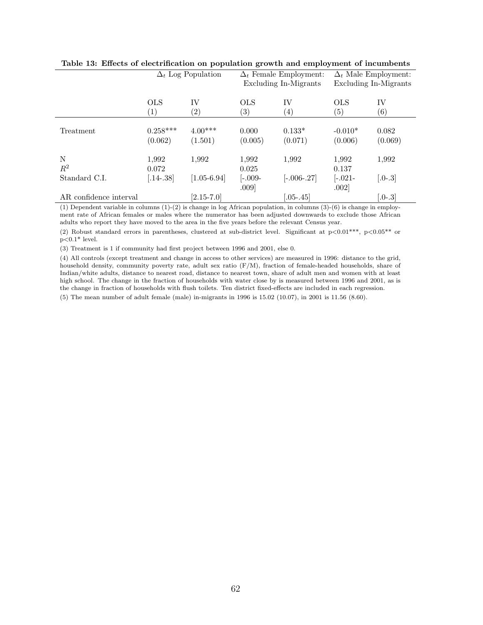|                        | $\Delta_t$ Log Population |                   |                   | $\Delta_t$ Female Employment: | $\Delta_t$ Male Employment: |                   |  |
|------------------------|---------------------------|-------------------|-------------------|-------------------------------|-----------------------------|-------------------|--|
|                        |                           |                   |                   | Excluding In-Migrants         | Excluding In-Migrants       |                   |  |
|                        |                           |                   |                   |                               |                             |                   |  |
|                        | <b>OLS</b>                | IV                | <b>OLS</b>        | <b>IV</b>                     | <b>OLS</b>                  | IV                |  |
|                        | $\left( 1\right)$         | $\left( 2\right)$ | $\left( 3\right)$ | $^{(4)}$                      | $\left( 5\right)$           | $\left( 6\right)$ |  |
|                        |                           |                   |                   |                               |                             |                   |  |
| Treatment              | $0.258***$                | $4.00***$         | 0.000             | $0.133*$                      | $-0.010*$                   | 0.082             |  |
|                        | (0.062)                   | (1.501)           | (0.005)           | (0.071)                       | (0.006)                     | (0.069)           |  |
| N                      | 1,992                     | 1,992             | 1,992             | 1,992                         | 1,992                       | 1,992             |  |
| $R^2$                  | 0.072                     |                   | 0.025             |                               | 0.137                       |                   |  |
| Standard C.I.          | $[.14-.38]$               | $[1.05 - 6.94]$   | $[-.009 -$        | $[-.006-.27]$                 | $[-.021 -$                  | $[.0-.3]$         |  |
|                        |                           |                   | .009              |                               | .002]                       |                   |  |
| AR confidence interval |                           | $[2.15 - 7.0]$    |                   | $.05 - .45$                   |                             | $[.0-.3]$         |  |

|  | Table 13: Effects of electrification on population growth and employment of incumbents |  |  |  |  |  |
|--|----------------------------------------------------------------------------------------|--|--|--|--|--|
|  |                                                                                        |  |  |  |  |  |

(1) Dependent variable in columns (1)-(2) is change in log African population, in columns (3)-(6) is change in employment rate of African females or males where the numerator has been adjusted downwards to exclude those African adults who report they have moved to the area in the five years before the relevant Census year.

(2) Robust standard errors in parentheses, clustered at sub-district level. Significant at  $p<0.01***$ ,  $p<0.05**$  or  $p<0.1*$  level.

(3) Treatment is 1 if community had first project between 1996 and 2001, else 0.

(4) All controls (except treatment and change in access to other services) are measured in 1996: distance to the grid, household density, community poverty rate, adult sex ratio (F/M), fraction of female-headed households, share of Indian/white adults, distance to nearest road, distance to nearest town, share of adult men and women with at least high school. The change in the fraction of households with water close by is measured between 1996 and 2001, as is the change in fraction of households with flush toilets. Ten district fixed-effects are included in each regression.

(5) The mean number of adult female (male) in-migrants in 1996 is 15.02 (10.07), in 2001 is 11.56 (8.60).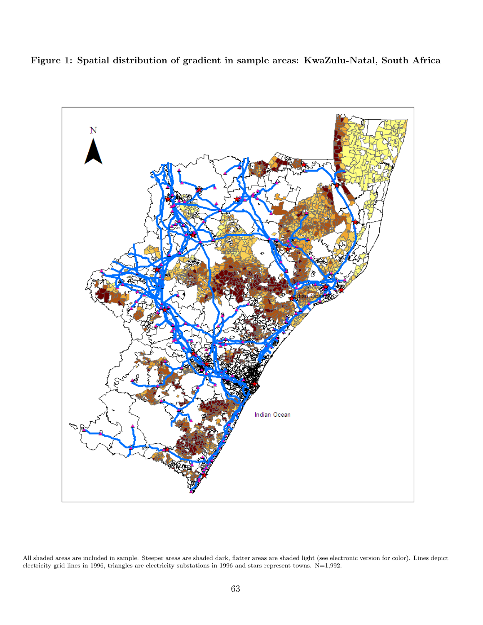Figure 1: Spatial distribution of gradient in sample areas: KwaZulu-Natal, South Africa



All shaded areas are included in sample. Steeper areas are shaded dark, flatter areas are shaded light (see electronic version for color). Lines depict electricity grid lines in 1996, triangles are electricity substations in 1996 and stars represent towns. N=1,992.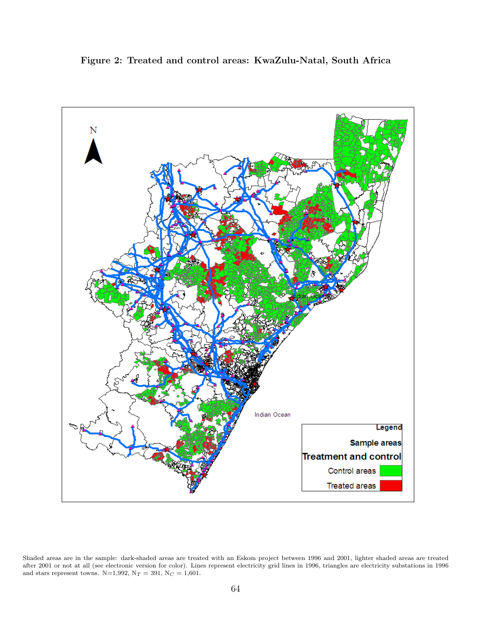Figure 2: Treated and control areas: KwaZulu-Natal, South Africa



Shaded areas are in the sample: dark-shaded areas are treated with an Eskom project between 1996 and 2001, lighter shaded areas are treated after 2001 or not at all (see electronic version for color). Lines represent electricity grid lines in 1996, triangles are electricity substations in 1996 and stars represent towns. N=1,992,  $\mathrm{N}_T =$  391,  $\mathrm{N}_C =$  1,601.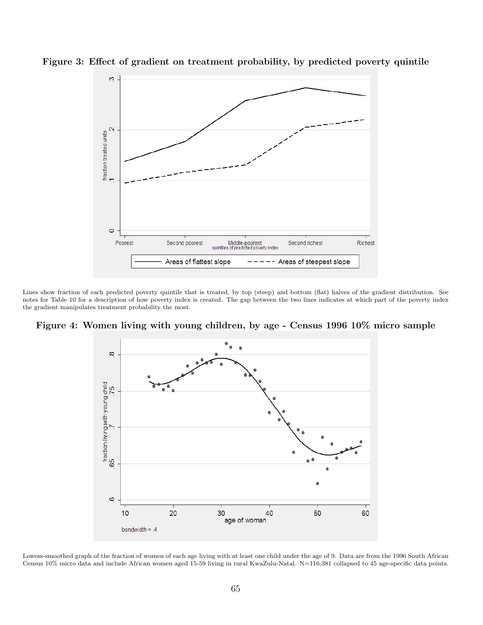

Figure 3: Effect of gradient on treatment probability, by predicted poverty quintile

Lines show fraction of each predicted poverty quintile that is treated, by top (steep) and bottom (flat) halves of the gradient distribution. See notes for Table 10 for a description of how poverty index is created. The gap between the two lines indicates at which part of the poverty index the gradient manipulates treatment probability the most.

Figure 4: Women living with young children, by age - Census 1996 10% micro sample



Lowess-smoothed graph of the fraction of women of each age living with at least one child under the age of 9. Data are from the 1996 South African Census 10% micro data and include African women aged 15-59 living in rural KwaZulu-Natal. N=116,381 collapsed to 45 age-specific data points.